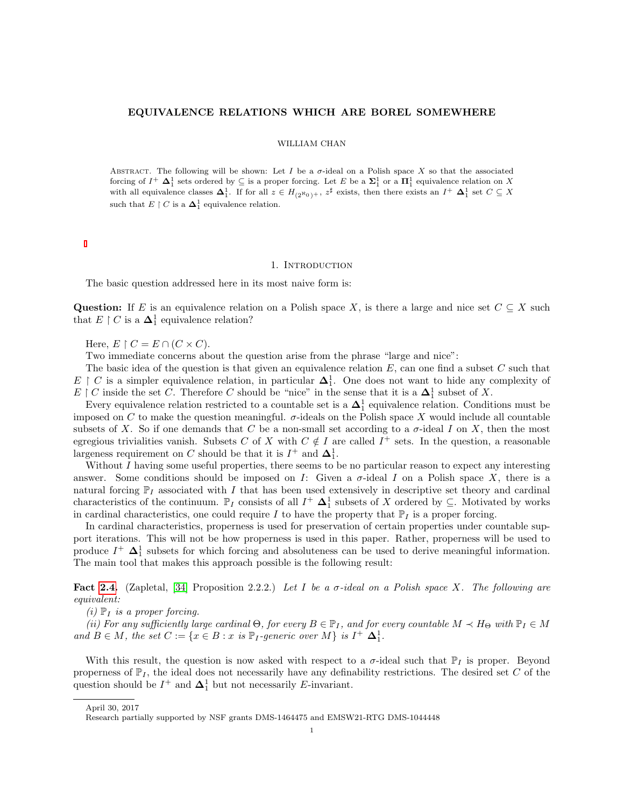#### EQUIVALENCE RELATIONS WHICH ARE BOREL SOMEWHERE

#### WILLIAM CHAN

ABSTRACT. The following will be shown: Let I be a  $\sigma$ -ideal on a Polish space X so that the associated forcing of  $I^+$   $\Delta_1^1$  sets ordered by  $\subseteq$  is a proper forcing. Let E be a  $\Sigma_1^1$  or a  $\Pi_1^1$  equivalence relation on X with all equivalence classes  $\Delta_1^1$ . If for all  $z \in H_{(2^N0)^+}$ ,  $z^{\sharp}$  exists, then there exists an  $I^+ \Delta_1^1$  set  $C \subseteq X$ such that  $E \restriction C$  is a  $\mathbf{\Delta}^1_1$  equivalence relation.

#### 1. INTRODUCTION

The basic question addressed here in its most naive form is:

Question: If E is an equivalence relation on a Polish space X, is there a large and nice set  $C \subseteq X$  such that  $E \restriction C$  is a  $\mathbf{\Delta}^1_1$  equivalence relation?

Here,  $E \restriction C = E \cap (C \times C)$ .

Two immediate concerns about the question arise from the phrase "large and nice":

The basic idea of the question is that given an equivalence relation  $E$ , can one find a subset  $C$  such that  $E \upharpoonright C$  is a simpler equivalence relation, in particular  $\Delta_1^1$ . One does not want to hide any complexity of E | C inside the set C. Therefore C should be "nice" in the sense that it is a  $\Delta_1^1$  subset of X.

Every equivalence relation restricted to a countable set is a  $\Delta_1^1$  equivalence relation. Conditions must be imposed on C to make the question meaningful.  $\sigma$ -ideals on the Polish space X would include all countable subsets of X. So if one demands that C be a non-small set according to a  $\sigma$ -ideal I on X, then the most egregious trivialities vanish. Subsets C of X with  $C \notin I$  are called  $I^+$  sets. In the question, a reasonable largeness requirement on C should be that it is  $I^+$  and  $\Delta_1^1$ .

Without  $I$  having some useful properties, there seems to be no particular reason to expect any interesting answer. Some conditions should be imposed on I: Given a  $\sigma$ -ideal I on a Polish space X, there is a natural forcing  $\mathbb{P}_I$  associated with I that has been used extensively in descriptive set theory and cardinal characteristics of the continuum.  $\mathbb{P}_I$  consists of all  $I^+$   $\Delta_1^1$  subsets of X ordered by  $\subseteq$ . Motivated by works in cardinal characteristics, one could require I to have the property that  $\mathbb{P}_I$  is a proper forcing.

In cardinal characteristics, properness is used for preservation of certain properties under countable support iterations. This will not be how properness is used in this paper. Rather, properness will be used to produce  $I^+$   $\mathbf{\Delta}^1_1$  subsets for which forcing and absoluteness can be used to derive meaningful information. The main tool that makes this approach possible is the following result:

Fact [2.4.](#page-3-0) (Zapletal, [\[34\]](#page-28-0) Proposition 2.2.2.) Let I be a  $\sigma$ -ideal on a Polish space X. The following are equivalent:

 $(i)$   $\mathbb{P}_I$  is a proper forcing.

(ii) For any sufficiently large cardinal  $\Theta$ , for every  $B \in \mathbb{P}_I$ , and for every countable  $M \prec H_\Theta$  with  $\mathbb{P}_I \in M$ and  $B \in M$ , the set  $C := \{x \in B : x \text{ is } \mathbb{P}_I\text{-}generic over M\}$  is  $I^+ \Delta_1^1$ .

With this result, the question is now asked with respect to a  $\sigma$ -ideal such that  $\mathbb{P}_I$  is proper. Beyond properness of  $\mathbb{P}_I$ , the ideal does not necessarily have any definability restrictions. The desired set C of the question should be  $I^+$  and  $\mathbf{\Delta}_1^1$  but not necessarily E-invariant.

April 30, 2017

Research partially supported by NSF grants DMS-1464475 and EMSW21-RTG DMS-1044448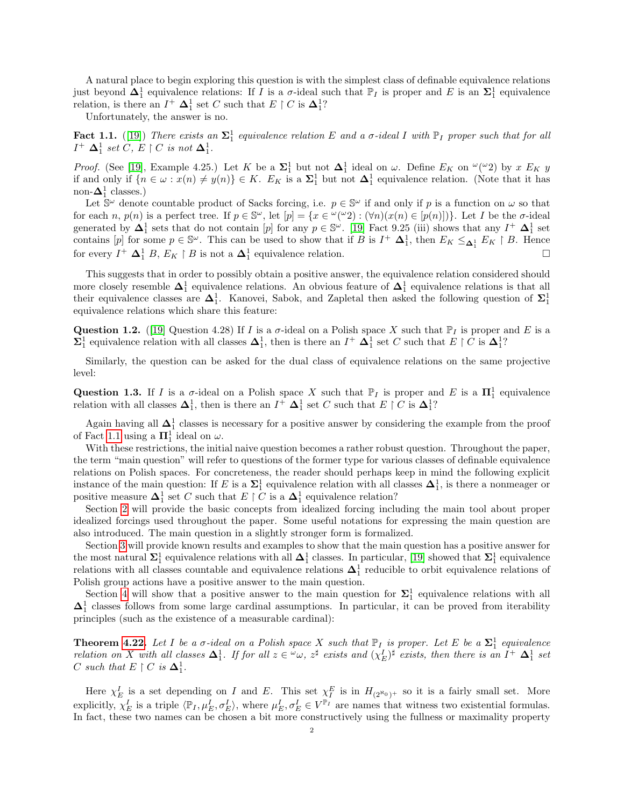A natural place to begin exploring this question is with the simplest class of definable equivalence relations just beyond  $\Delta_1^1$  equivalence relations: If I is a  $\sigma$ -ideal such that  $\mathbb{P}_I$  is proper and E is an  $\Sigma_1^1$  equivalence relation, is there an  $I^+ \Delta_1^1$  set C such that  $E \restriction C$  is  $\Delta_1^1$ ?

Unfortunately, the answer is no.

<span id="page-1-0"></span>**Fact 1.1.** ([\[19\]](#page-28-1)) There exists an  $\Sigma_1^1$  equivalence relation E and a  $\sigma$ -ideal I with  $\mathbb{P}_I$  proper such that for all  $I^+ \Delta_1^1$  set  $C, E \restriction C$  is not  $\Delta_1^1$ .

*Proof.* (See [\[19\]](#page-28-1), Example 4.25.) Let K be a  $\Sigma_1^1$  but not  $\Delta_1^1$  ideal on  $\omega$ . Define  $E_K$  on  $\omega(\omega_2)$  by x  $E_K$  y if and only if  $\{n \in \omega : x(n) \neq y(n)\} \in K$ .  $E_K$  is a  $\Sigma_1^1$  but not  $\Delta_1^1$  equivalence relation. (Note that it has non- $\mathbf{\Delta}^1_1$  classes.)

Let  $\mathbb{S}^{\omega}$  denote countable product of Sacks forcing, i.e.  $p \in \mathbb{S}^{\omega}$  if and only if p is a function on  $\omega$  so that for each n,  $p(n)$  is a perfect tree. If  $p \in \mathbb{S}^{\omega}$ , let  $[p] = \{x \in {}^{\omega}({}^{\omega}2) : (\forall n)(x(n) \in [p(n)])\}$ . Let I be the  $\sigma$ -ideal generated by  $\Delta_1^1$  sets that do not contain [p] for any  $p \in \mathbb{S}^\omega$ . [\[19\]](#page-28-1) Fact 9.25 (iii) shows that any  $I^+ \Delta_1^1$  set contains  $[p]$  for some  $p \in \mathbb{S}^{\omega}$ . This can be used to show that if B is  $I^+ \Delta_1^1$ , then  $E_K \leq_{\Delta_1^1} E_K \restriction B$ . Hence for every  $I^+ \Delta_1^1 B$ ,  $E_K \upharpoonright B$  is not a  $\Delta_1^1$  equivalence relation.

This suggests that in order to possibly obtain a positive answer, the equivalence relation considered should more closely resemble  $\Delta_1^1$  equivalence relations. An obvious feature of  $\Delta_1^1$  equivalence relations is that all their equivalence classes are  $\Delta_1^1$ . Kanovei, Sabok, and Zapletal then asked the following question of  $\Sigma_1^1$ equivalence relations which share this feature:

Question 1.2. ([\[19\]](#page-28-1) Question 4.28) If I is a  $\sigma$ -ideal on a Polish space X such that  $\mathbb{P}_I$  is proper and E is a  $\Sigma_1^1$  equivalence relation with all classes  $\Delta_1^1$ , then is there an  $I^+$   $\Delta_1^1$  set C such that  $E \restriction C$  is  $\Delta_1^1$ ?

Similarly, the question can be asked for the dual class of equivalence relations on the same projective level:

Question 1.3. If I is a  $\sigma$ -ideal on a Polish space X such that  $\mathbb{P}_I$  is proper and E is a  $\Pi_1^1$  equivalence relation with all classes  $\Delta_1^1$ , then is there an  $I^+$   $\Delta_1^1$  set C such that  $E \restriction C$  is  $\Delta_1^1$ ?

Again having all  $\Delta_1^1$  classes is necessary for a positive answer by considering the example from the proof of Fact [1.1](#page-1-0) using a  $\Pi_1^1$  ideal on  $\omega$ .

With these restrictions, the initial naive question becomes a rather robust question. Throughout the paper, the term "main question" will refer to questions of the former type for various classes of definable equivalence relations on Polish spaces. For concreteness, the reader should perhaps keep in mind the following explicit instance of the main question: If E is a  $\Sigma_1^1$  equivalence relation with all classes  $\Delta_1^1$ , is there a nonmeager or positive measure  $\Delta_1^1$  set C such that  $E \restriction C$  is a  $\Delta_1^1$  equivalence relation?

Section [2](#page-3-1) will provide the basic concepts from idealized forcing including the main tool about proper idealized forcings used throughout the paper. Some useful notations for expressing the main question are also introduced. The main question in a slightly stronger form is formalized.

Section [3](#page-4-0) will provide known results and examples to show that the main question has a positive answer for the most natural  $\Sigma_1^1$  equivalence relations with all  $\Delta_1^1$  classes. In particular, [\[19\]](#page-28-1) showed that  $\Sigma_1^1$  equivalence relations with all classes countable and equivalence relations  $\Delta_1^1$  reducible to orbit equivalence relations of Polish group actions have a positive answer to the main question.

Section [4](#page-7-0) will show that a positive answer to the main question for  $\Sigma_1^1$  equivalence relations with all  $\Delta_1^1$  classes follows from some large cardinal assumptions. In particular, it can be proved from iterability principles (such as the existence of a measurable cardinal):

**Theorem [4.22.](#page-13-0)** Let I be a  $\sigma$ -ideal on a Polish space X such that  $\mathbb{P}_I$  is proper. Let E be a  $\Sigma_1^1$  equivalence relation on X with all classes  $\Delta_1^1$ . If for all  $z \in \omega$ ,  $z^{\sharp}$  exists and  $(\chi_E^I)^{\sharp}$  exists, then there is an  $I^+$   $\Delta_1^1$  set C such that  $E \restriction C$  is  $\Delta_1^1$ .

Here  $\chi_E^I$  is a set depending on I and E. This set  $\chi_I^E$  is in  $H_{(2^{\aleph_0})^+}$  so it is a fairly small set. More explicitly,  $\chi_E^I$  is a triple  $\langle \mathbb{P}_I, \mu_E^I, \sigma_E^I \rangle$ , where  $\mu_E^I, \sigma_E^I \in V^{\mathbb{P}_I}$  are names that witness two existential formulas. In fact, these two names can be chosen a bit more constructively using the fullness or maximality property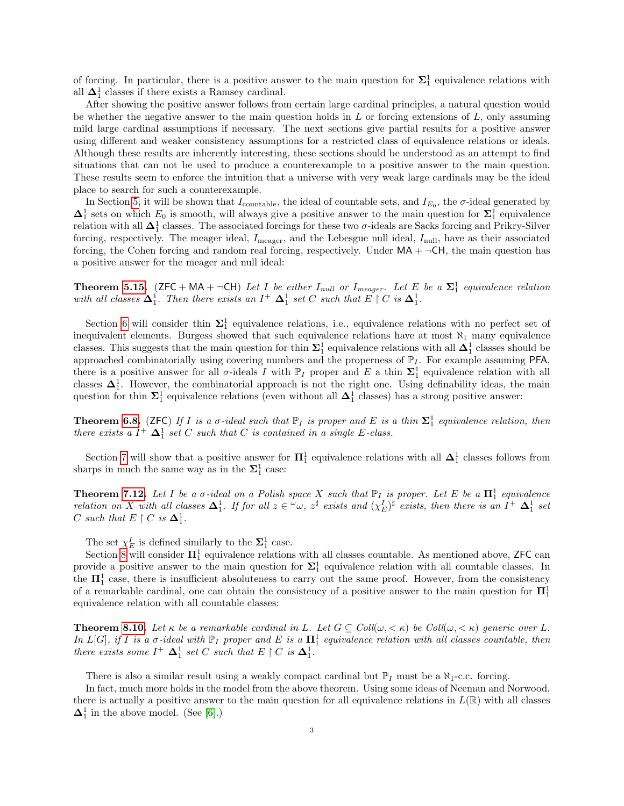of forcing. In particular, there is a positive answer to the main question for  $\Sigma_1^1$  equivalence relations with all  $\Delta_1^1$  classes if there exists a Ramsey cardinal.

After showing the positive answer follows from certain large cardinal principles, a natural question would be whether the negative answer to the main question holds in  $L$  or forcing extensions of  $L$ , only assuming mild large cardinal assumptions if necessary. The next sections give partial results for a positive answer using different and weaker consistency assumptions for a restricted class of equivalence relations or ideals. Although these results are inherently interesting, these sections should be understood as an attempt to find situations that can not be used to produce a counterexample to a positive answer to the main question. These results seem to enforce the intuition that a universe with very weak large cardinals may be the ideal place to search for such a counterexample.

In Section [5,](#page-14-0) it will be shown that  $I_{\text{countable}}$ , the ideal of countable sets, and  $I_{E_0}$ , the  $\sigma$ -ideal generated by  $\Delta_1^1$  sets on which  $E_0$  is smooth, will always give a positive answer to the main question for  $\Sigma_1^1$  equivalence relation with all  $\Delta^1_1$  classes. The associated forcings for these two  $\sigma$ -ideals are Sacks forcing and Prikry-Silver forcing, respectively. The meager ideal,  $I_{\text{meager}}$ , and the Lebesgue null ideal,  $I_{\text{null}}$ , have as their associated forcing, the Cohen forcing and random real forcing, respectively. Under  $MA + \neg CH$ , the main question has a positive answer for the meager and null ideal:

**Theorem [5.15.](#page-16-0)** (ZFC + MA +  $\neg$ CH) Let I be either I<sub>null</sub> or I<sub>meager</sub>. Let E be a  $\Sigma_1^1$  equivalence relation with all classes  $\Delta_1^1$ . Then there exists an  $I^+ \Delta_1^1$  set C such that  $E \restriction C$  is  $\Delta_1^1$ .

Section [6](#page-16-1) will consider thin  $\Sigma_1^1$  equivalence relations, i.e., equivalence relations with no perfect set of inequivalent elements. Burgess showed that such equivalence relations have at most  $\aleph_1$  many equivalence classes. This suggests that the main question for thin  $\Sigma_1^1$  equivalence relations with all  $\Delta_1^1$  classes should be approached combinatorially using covering numbers and the properness of  $\mathbb{P}_I$ . For example assuming PFA, there is a positive answer for all  $\sigma$ -ideals I with  $\mathbb{P}_I$  proper and E a thin  $\Sigma_1^1$  equivalence relation with all classes  $\Delta_1^1$ . However, the combinatorial approach is not the right one. Using definability ideas, the main question for thin  $\Sigma_1^1$  equivalence relations (even without all  $\Delta_1^1$  classes) has a strong positive answer:

**Theorem [6.8.](#page-17-0)** (ZFC) If I is a  $\sigma$ -ideal such that  $\mathbb{P}_I$  is proper and E is a thin  $\Sigma_1^1$  equivalence relation, then there exists a  $I^+$   $\Delta_1^1$  set C such that C is contained in a single E-class.

Section [7](#page-18-0) will show that a positive answer for  $\Pi_1^1$  equivalence relations with all  $\Delta_1^1$  classes follows from sharps in much the same way as in the  $\Sigma^1_1$  case:

**Theorem [7.12.](#page-19-0)** Let I be a  $\sigma$ -ideal on a Polish space X such that  $\mathbb{P}_I$  is proper. Let E be a  $\Pi_1^1$  equivalence relation on X with all classes  $\Delta_1^1$ . If for all  $z \in \omega$ ,  $z^{\sharp}$  exists and  $(\chi_E^I)^{\sharp}$  exists, then there is an  $I^+$   $\Delta_1^1$  set C such that  $E \restriction C$  is  $\Delta_1^1$ .

The set  $\chi_E^I$  is defined similarly to the  $\Sigma_1^1$  case.

Section [8](#page-19-1) will consider  $\Pi_1^1$  equivalence relations with all classes countable. As mentioned above, ZFC can provide a positive answer to the main question for  $\Sigma_1^1$  equivalence relation with all countable classes. In the  $\Pi_1^1$  case, there is insufficient absoluteness to carry out the same proof. However, from the consistency of a remarkable cardinal, one can obtain the consistency of a positive answer to the main question for  $\Pi_1^1$ equivalence relation with all countable classes:

**Theorem [8.10.](#page-22-0)** Let  $\kappa$  be a remarkable cardinal in L. Let  $G \subseteq Coll(\omega, \langle \kappa \rangle)$  be Coll $(\omega, \langle \kappa \rangle)$  generic over L. In  $L[G]$ , if I is a  $\sigma$ -ideal with  $\mathbb{P}_I$  proper and E is a  $\Pi_1^1$  equivalence relation with all classes countable, then there exists some  $I^+ \Delta_1^1$  set C such that  $E \restriction C$  is  $\Delta_1^1$ .

There is also a similar result using a weakly compact cardinal but  $\mathbb{P}_I$  must be a  $\aleph_1$ -c.c. forcing.

In fact, much more holds in the model from the above theorem. Using some ideas of Neeman and Norwood, there is actually a positive answer to the main question for all equivalence relations in  $L(\mathbb{R})$  with all classes  $\Delta_1^1$  in the above model. (See [\[6\]](#page-27-0).)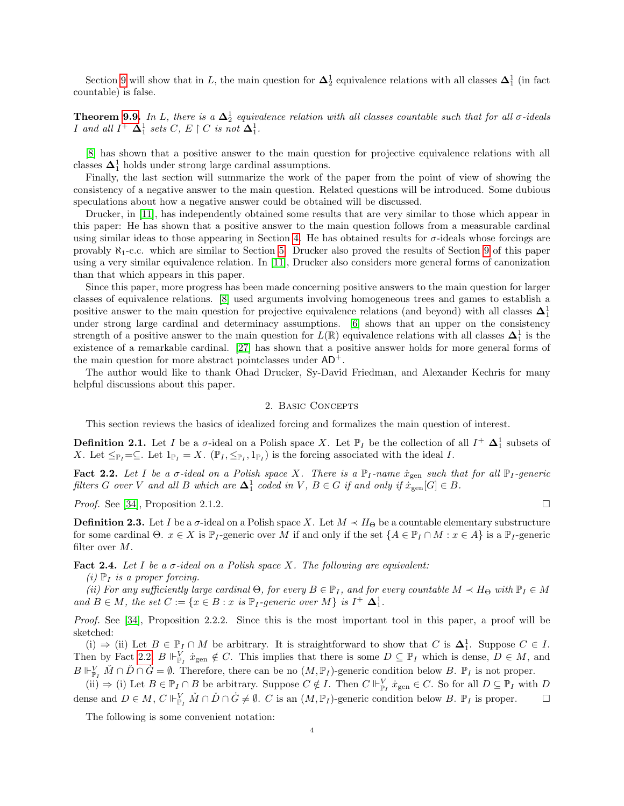Section [9](#page-22-1) will show that in L, the main question for  $\Delta_2^1$  equivalence relations with all classes  $\Delta_1^1$  (in fact countable) is false.

**Theorem [9.9.](#page-24-0)** In L, there is a  $\Delta_2^1$  equivalence relation with all classes countable such that for all  $\sigma$ -ideals *I* and all  $I^+$   $\Delta_1^1$  sets C,  $E \restriction C$  is not  $\Delta_1^1$ .

[\[8\]](#page-27-1) has shown that a positive answer to the main question for projective equivalence relations with all classes  $\mathbf{\Delta}^1_1$  holds under strong large cardinal assumptions.

Finally, the last section will summarize the work of the paper from the point of view of showing the consistency of a negative answer to the main question. Related questions will be introduced. Some dubious speculations about how a negative answer could be obtained will be discussed.

Drucker, in [\[11\]](#page-28-2), has independently obtained some results that are very similar to those which appear in this paper: He has shown that a positive answer to the main question follows from a measurable cardinal using similar ideas to those appearing in Section [4.](#page-7-0) He has obtained results for σ-ideals whose forcings are provably  $\aleph_1$ -c.c. which are similar to Section [5.](#page-14-0) Drucker also proved the results of Section [9](#page-22-1) of this paper using a very similar equivalence relation. In [\[11\]](#page-28-2), Drucker also considers more general forms of canonization than that which appears in this paper.

Since this paper, more progress has been made concerning positive answers to the main question for larger classes of equivalence relations. [\[8\]](#page-27-1) used arguments involving homogeneous trees and games to establish a positive answer to the main question for projective equivalence relations (and beyond) with all classes  $\Delta_1^1$ under strong large cardinal and determinacy assumptions. [\[6\]](#page-27-0) shows that an upper on the consistency strength of a positive answer to the main question for  $L(\mathbb{R})$  equivalence relations with all classes  $\Delta_1^1$  is the existence of a remarkable cardinal. [\[27\]](#page-28-3) has shown that a positive answer holds for more general forms of the main question for more abstract pointclasses under  $AD^+$ .

The author would like to thank Ohad Drucker, Sy-David Friedman, and Alexander Kechris for many helpful discussions about this paper.

### 2. BASIC CONCEPTS

<span id="page-3-1"></span>This section reviews the basics of idealized forcing and formalizes the main question of interest.

**Definition 2.1.** Let I be a  $\sigma$ -ideal on a Polish space X. Let  $\mathbb{P}_I$  be the collection of all  $I^+ \Delta_1^1$  subsets of X. Let  $\leq_{\mathbb{P}_I}=\subseteq$ . Let  $1_{\mathbb{P}_I}=X$ .  $(\mathbb{P}_I,\leq_{\mathbb{P}_I},1_{\mathbb{P}_I})$  is the forcing associated with the ideal I.

<span id="page-3-2"></span>**Fact 2.2.** Let I be a  $\sigma$ -ideal on a Polish space X. There is a  $\mathbb{P}_I$ -name  $\dot{x}_{gen}$  such that for all  $\mathbb{P}_I$ -generic filters G over V and all B which are  $\Delta_1^1$  coded in V,  $B \in G$  if and only if  $\dot{x}_{gen}[G] \in B$ .

*Proof.* See [\[34\]](#page-28-0), Proposition 2.1.2.

**Definition 2.3.** Let I be a  $\sigma$ -ideal on a Polish space X. Let  $M \prec H_{\Theta}$  be a countable elementary substructure for some cardinal  $\Theta$ .  $x \in X$  is  $\mathbb{P}_I$ -generic over M if and only if the set  $\{A \in \mathbb{P}_I \cap M : x \in A\}$  is a  $\mathbb{P}_I$ -generic filter over M.

<span id="page-3-0"></span>**Fact 2.4.** Let I be a  $\sigma$ -ideal on a Polish space X. The following are equivalent:

 $(i)$   $\mathbb{P}_I$  is a proper forcing.

(ii) For any sufficiently large cardinal  $\Theta$ , for every  $B \in \mathbb{P}_I$ , and for every countable  $M \prec H_{\Theta}$  with  $\mathbb{P}_I \in M$ and  $B \in M$ , the set  $C := \{x \in B : x \text{ is } \mathbb{P}_I\text{-}generic over M\}$  is  $I^+ \Delta_1^1$ .

Proof. See [\[34\]](#page-28-0), Proposition 2.2.2. Since this is the most important tool in this paper, a proof will be sketched:

(i)  $\Rightarrow$  (ii) Let  $B \in \mathbb{P}_I \cap M$  be arbitrary. It is straightforward to show that C is  $\Delta_1^1$ . Suppose  $C \in I$ . Then by Fact [2.2,](#page-3-2)  $B \Vdash_{\mathbb{P}_I}^V \dot{x}_{\text{gen}} \notin C$ . This implies that there is some  $D \subseteq \mathbb{P}_I$  which is dense,  $D \in M$ , and  $B \Vdash_{\mathbb{P}_I}^V \check{M} \cap \check{D} \cap \dot{G} = \emptyset$ . Therefore, there can be no  $(M, \mathbb{P}_I)$ -generic condition below B.  $\mathbb{P}_I$  is not proper.

 $(ii) \Rightarrow (i)$  Let  $B \in \mathbb{P}_I \cap B$  be arbitrary. Suppose  $C \notin I$ . Then  $C \Vdash_{\mathbb{P}_I}^V \dot{x}_{\text{gen}} \in C$ . So for all  $D \subseteq \mathbb{P}_I$  with  $D$ dense and  $D \in M$ ,  $C \Vdash^V_{\mathbb{P}_I} \check{M} \cap \check{D} \cap \dot{G} \neq \emptyset$ .  $C$  is an  $(M, \mathbb{P}_I)$ -generic condition below  $B$ .  $\mathbb{P}_I$  is proper.  $\Box$ 

The following is some convenient notation: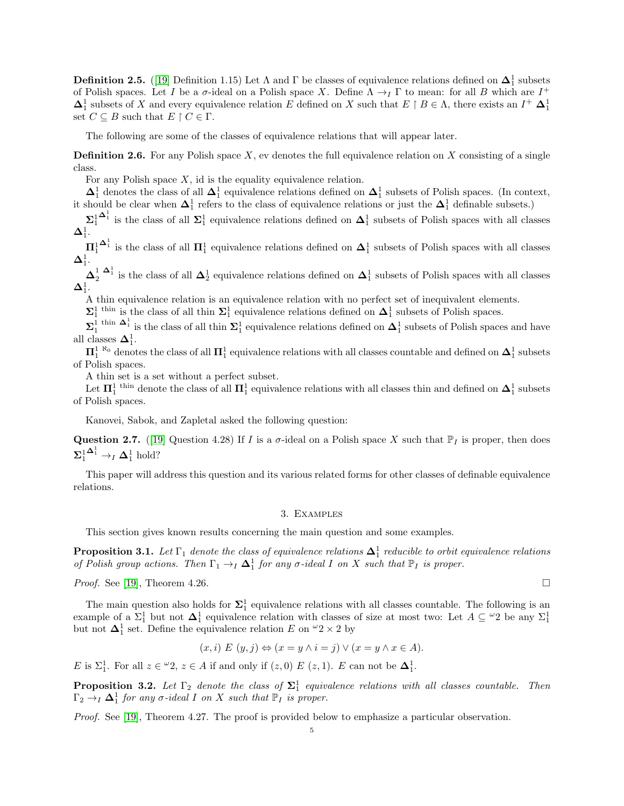**Definition 2.5.** ([\[19\]](#page-28-1) Definition 1.15) Let  $\Lambda$  and  $\Gamma$  be classes of equivalence relations defined on  $\Delta_1^1$  subsets of Polish spaces. Let I be a  $\sigma$ -ideal on a Polish space X. Define  $\Lambda \to_I \Gamma$  to mean: for all B which are  $I^+$  $\Delta_1^1$  subsets of X and every equivalence relation E defined on X such that  $E \upharpoonright B \in \Lambda$ , there exists an  $I^+ \Delta_1^1$ set  $C \subseteq B$  such that  $E \restriction C \in \Gamma$ .

The following are some of the classes of equivalence relations that will appear later.

**Definition 2.6.** For any Polish space  $X$ , ev denotes the full equivalence relation on  $X$  consisting of a single class.

For any Polish space  $X$ , id is the equality equivalence relation.

 $\Delta_1^1$  denotes the class of all  $\Delta_1^1$  equivalence relations defined on  $\Delta_1^1$  subsets of Polish spaces. (In context, it should be clear when  $\Delta_1^1$  refers to the class of equivalence relations or just the  $\Delta_1^1$  definable subsets.)

 $\Sigma^1_1$  $\Delta_1^1$  is the class of all  $\Sigma_1^1$  equivalence relations defined on  $\Delta_1^1$  subsets of Polish spaces with all classes  ${\bf \Delta}^1_1.$ 

 $\Pi^1_1$  $\Delta_1^1$  is the class of all  $\mathbf{\Pi}_1^1$  equivalence relations defined on  $\Delta_1^1$  subsets of Polish spaces with all classes  ${\bf \Delta}^1_1.$ 

 $\Delta_1^1$   $\Delta_1^1$  is the class of all  $\Delta_2^1$  equivalence relations defined on  $\Delta_1^1$  subsets of Polish spaces with all classes  ${\bf \Delta}^1_1.$ 

A thin equivalence relation is an equivalence relation with no perfect set of inequivalent elements.

 $\Sigma_1^1$ <sup>thin</sup> is the class of all thin  $\Sigma_1^1$  equivalence relations defined on  $\Delta_1^1$  subsets of Polish spaces.

 $\Sigma_1^1$ <sup>thin</sup>  $\Delta_1^1$  is the class of all thin  $\Sigma_1^1$  equivalence relations defined on  $\Delta_1^1$  subsets of Polish spaces and have all classes  $\mathbf{\Delta}^1_1$ .

 $\Pi_1^{1\ \, \aleph_0}$  denotes the class of all  $\Pi_1^1$  equivalence relations with all classes countable and defined on  $\Delta_1^1$  subsets of Polish spaces.

A thin set is a set without a perfect subset.

Let  $\Pi_1^1$ <sup>thin</sup> denote the class of all  $\Pi_1^1$  equivalence relations with all classes thin and defined on  $\Delta_1^1$  subsets of Polish spaces.

Kanovei, Sabok, and Zapletal asked the following question:

<span id="page-4-3"></span>Question 2.7. ([\[19\]](#page-28-1) Question 4.28) If I is a  $\sigma$ -ideal on a Polish space X such that  $\mathbb{P}_I$  is proper, then does  $\mathbf{\Sigma}^1_1$  $\mathbf{\Delta}^1_1 \rightarrow_I \mathbf{\Delta}^1_1 \text{ hold?}$ 

This paper will address this question and its various related forms for other classes of definable equivalence relations.

### 3. Examples

<span id="page-4-0"></span>This section gives known results concerning the main question and some examples.

<span id="page-4-1"></span>**Proposition 3.1.** Let  $\Gamma_1$  denote the class of equivalence relations  $\Delta_1^1$  reducible to orbit equivalence relations of Polish group actions. Then  $\Gamma_1 \to_I \Delta^1$  for any  $\sigma$ -ideal I on X such that  $\mathbb{P}_I$  is proper.

*Proof.* See [\[19\]](#page-28-1), Theorem 4.26.

The main question also holds for  $\Sigma_1^1$  equivalence relations with all classes countable. The following is an example of a  $\Sigma_1^1$  but not  $\Delta_1^1$  equivalence relation with classes of size at most two: Let  $A \subseteq {}^{\omega}2$  be any  $\Sigma_1^1$ but not  $\Delta_1^1$  set. Define the equivalence relation E on  $\omega_2 \times 2$  by

$$
(x,i) E (y,j) \Leftrightarrow (x = y \land i = j) \lor (x = y \land x \in A).
$$

E is  $\Sigma_1^1$ . For all  $z \in \omega_2$ ,  $z \in A$  if and only if  $(z, 0)$  E  $(z, 1)$ . E can not be  $\Delta_1^1$ .

<span id="page-4-2"></span>**Proposition 3.2.** Let  $\Gamma_2$  denote the class of  $\Sigma_1^1$  equivalence relations with all classes countable. Then  $\Gamma_2 \rightarrow_I \Delta^1_1$  for any  $\sigma$ -ideal I on X such that  $\mathbb{P}_I$  is proper.

Proof. See [\[19\]](#page-28-1), Theorem 4.27. The proof is provided below to emphasize a particular observation.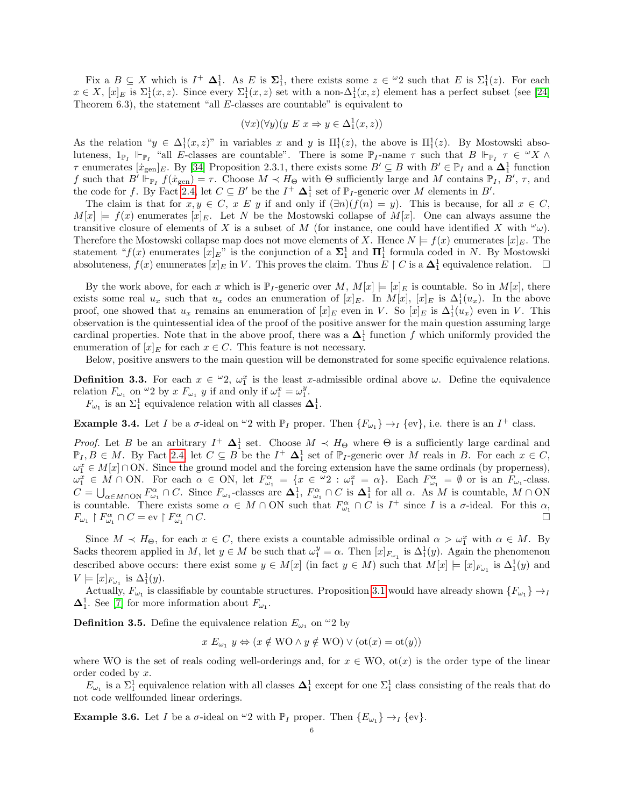Fix a  $B \subseteq X$  which is  $I^+ \Delta_1^1$ . As E is  $\Sigma_1^1$ , there exists some  $z \in {}^{\omega}2$  such that E is  $\Sigma_1^1(z)$ . For each  $x \in X$ ,  $[x]_E$  is  $\Sigma_1^1(x, z)$ . Since every  $\Sigma_1^1(x, z)$  set with a non- $\Delta_1^1(x, z)$  element has a perfect subset (see [\[24\]](#page-28-4) Theorem 6.3), the statement "all E-classes are countable" is equivalent to

$$
(\forall x)(\forall y)(y \ E \ x \Rightarrow y \in \Delta_1^1(x, z))
$$

As the relation " $y \in \Delta_1^1(x, z)$ " in variables x and y is  $\Pi_1^1(z)$ , the above is  $\Pi_1^1(z)$ . By Mostowski absoluteness,  $1_{\mathbb{P}_I}$   $\Vdash_{\mathbb{P}_I}$  "all E-classes are countable". There is some  $\mathbb{P}_I$ -name  $\tau$  such that  $B \Vdash_{\mathbb{P}_I} \tau \in {}^{\omega}X \wedge {}^{\omega}Y$  $\tau$  enumerates  $[x_{gen}]_E$ . By [\[34\]](#page-28-0) Proposition 2.3.1, there exists some  $B' \subseteq B$  with  $B' \in \mathbb{P}_I$  and a  $\Delta_1^1$  function f such that  $B' \Vdash_{\mathbb{P}_I} f(\dot{x}_{\text{gen}}) = \tau$ . Choose  $M \prec H_{\Theta}$  with  $\Theta$  sufficiently large and M contains  $\mathbb{P}_I$ ,  $B'$ ,  $\tau$ , and the code for f. By Fact [2.4,](#page-3-0) let  $C \subseteq B'$  be the  $I^+ \Delta_1^1$  set of  $\mathbb{P}_I$ -generic over M elements in  $B'$ .

The claim is that for  $x, y \in C$ ,  $x \in y$  if and only if  $(\exists n)(f(n) = y)$ . This is because, for all  $x \in C$ ,  $M[x] \models f(x)$  enumerates  $[x]_E$ . Let N be the Mostowski collapse of  $M[x]$ . One can always assume the transitive closure of elements of X is a subset of M (for instance, one could have identified X with  $\omega_{\mu}$ ). Therefore the Mostowski collapse map does not move elements of X. Hence  $N \models f(x)$  enumerates  $[x]_E$ . The statement " $f(x)$  enumerates  $[x]_E$ " is the conjunction of a  $\Sigma_1^1$  and  $\Pi_1^1$  formula coded in N. By Mostowski absoluteness,  $f(x)$  enumerates  $[x]_E$  in V. This proves the claim. Thus  $E \restriction C$  is a  $\Delta_1^1$  equivalence relation.  $\Box$ 

By the work above, for each x which is  $\mathbb{P}_I$ -generic over M,  $M[x] \models [x]_E$  is countable. So in  $M[x]$ , there exists some real  $u_x$  such that  $u_x$  codes an enumeration of  $[x]_E$ . In  $M[x]$ ,  $[x]_E$  is  $\Delta_1^1(u_x)$ . In the above proof, one showed that  $u_x$  remains an enumeration of  $[x]_E$  even in V. So  $[x]_E$  is  $\Delta_1^1(u_x)$  even in V. This observation is the quintessential idea of the proof of the positive answer for the main question assuming large cardinal properties. Note that in the above proof, there was a  $\Delta_1^1$  function f which uniformly provided the enumeration of  $[x]_E$  for each  $x \in C$ . This feature is not necessary.

Below, positive answers to the main question will be demonstrated for some specific equivalence relations.

**Definition 3.3.** For each  $x \in \omega_2$ ,  $\omega_1^x$  is the least x-admissible ordinal above  $\omega$ . Define the equivalence relation  $F_{\omega_1}$  on  $\omega_2$  by  $x F_{\omega_1} y$  if and only if  $\omega_1^x = \omega_1^y$ .

 $F_{\omega_1}$  is an  $\Sigma_1^1$  equivalence relation with all classes  $\mathbf{\Delta}_1^1$ .

**Example 3.4.** Let I be a  $\sigma$ -ideal on  ${}^{\omega}2$  with  $\mathbb{P}_I$  proper. Then  $\{F_{\omega_1}\} \to_I \{\text{ev}\}\)$ , i.e. there is an  $I^+$  class.

*Proof.* Let B be an arbitrary  $I^+$   $\Delta_1^1$  set. Choose  $M \prec H_{\Theta}$  where  $\Theta$  is a sufficiently large cardinal and  $\mathbb{P}_I, B \in M$ . By Fact [2.4,](#page-3-0) let  $C \subseteq B$  be the  $I^+$   $\Delta_1^1$  set of  $\mathbb{P}_I$ -generic over M reals in B. For each  $x \in C$ ,  $\omega_1^x \in M[x] \cap ON$ . Since the ground model and the forcing extension have the same ordinals (by properness),  $\omega_1^x \in M \cap \text{ON}$ . For each  $\alpha \in \text{ON}$ , let  $F_{\omega_1}^{\alpha} = \{x \in {}^{\omega}2 : \omega_1^x = \alpha\}$ . Each  $F_{\omega_1}^{\alpha} = \emptyset$  or is an  $F_{\omega_1}$ -class.  $C=\bigcup_{\alpha\in M\cap\text{ON}} F_{\omega_1}^{\alpha}\cap C$ . Since  $F_{\omega_1}$ -classes are  $\Delta_1^1$ ,  $F_{\omega_1}^{\alpha}\cap C$  is  $\Delta_1^1$  for all  $\alpha$ . As M is countable,  $M\cap\text{ON}$ is countable. There exists some  $\alpha \in M \cap ON$  such that  $F_{\omega_1}^{\alpha} \cap C$  is  $I^+$  since I is a  $\sigma$ -ideal. For this  $\alpha$ ,  $F_{\omega_1} \restriction F_{\omega_1}^{\alpha} \cap C = \text{ev} \restriction F_{\omega_1}^{\alpha}$  $\cap$  C.

Since  $M \prec H_{\Theta}$ , for each  $x \in C$ , there exists a countable admissible ordinal  $\alpha > \omega_1^x$  with  $\alpha \in M$ . By Sacks theorem applied in M, let  $y \in M$  be such that  $\omega_1^y = \alpha$ . Then  $[x]_{F_{\omega_1}}$  is  $\Delta_1^1(y)$ . Again the phenomenon described above occurs: there exist some  $y \in M[x]$  (in fact  $y \in M$ ) such that  $M[x] \models [x]_{F_{\omega_1}}$  is  $\Delta_1^1(y)$  and  $V \models [x]_{F_{\omega_1}}$  is  $\Delta_1^1(y)$ .

Actually,  $F_{\omega_1}$  is classifiable by countable structures. Proposition [3.1](#page-4-1) would have already shown  $\{F_{\omega_1}\}\to_I$  $\mathbf{\Delta}^1_1$ . See [\[7\]](#page-27-2) for more information about  $F_{\omega_1}$ .

**Definition 3.5.** Define the equivalence relation  $E_{\omega_1}$  on  $\omega_2$  by

 $x E_{\omega_1} y \Leftrightarrow (x \notin \text{WO} \land y \notin \text{WO}) \lor (\text{ot}(x) = \text{ot}(y))$ 

where WO is the set of reals coding well-orderings and, for  $x \in WO$ , ot $(x)$  is the order type of the linear order coded by x.

 $E_{\omega_1}$  is a  $\Sigma_1^1$  equivalence relation with all classes  $\Delta_1^1$  except for one  $\Sigma_1^1$  class consisting of the reals that do not code wellfounded linear orderings.

**Example 3.6.** Let I be a  $\sigma$ -ideal on  $\omega_2$  with  $\mathbb{P}_I$  proper. Then  $\{E_{\omega_1}\}\to_I \{\text{ev}\}.$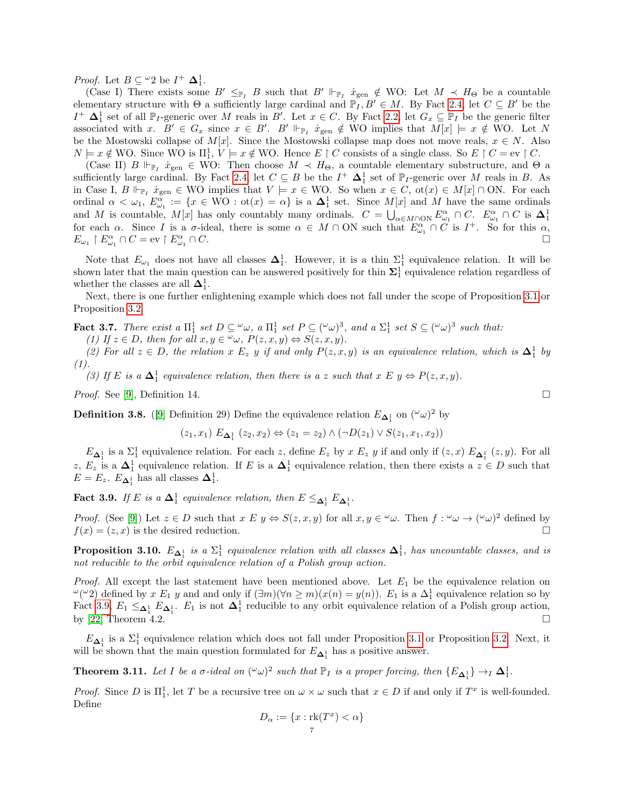*Proof.* Let  $B \subseteq {}^{\omega}2$  be  $I^+ \Delta_1^1$ .

(Case I) There exists some  $B' \leq_{\mathbb{P}_I} B$  such that  $B' \Vdash_{\mathbb{P}_I} \dot{x}_{\text{gen}} \notin \mathcal{W}$ O: Let  $M \prec H_{\Theta}$  be a countable elementary structure with  $\Theta$  a sufficiently large cardinal and  $\mathbb{P}_I, B' \in M$ . By Fact [2.4,](#page-3-0) let  $C \subseteq B'$  be the  $I^+$   $\Delta_1^1$  set of all  $\mathbb{P}_I$ -generic over M reals in B'. Let  $x \in C$ . By Fact [2.2,](#page-3-2) let  $G_x \subseteq \mathbb{P}_I$  be the generic filter associated with x.  $B' \in G_x$  since  $x \in B'$ .  $B' \Vdash_{\mathbb{P}_I} \dot{x}_{gen} \notin WO$  implies that  $M[x] \models x \notin WO$ . Let N be the Mostowski collapse of  $M[x]$ . Since the Mostowski collapse map does not move reals,  $x \in N$ . Also  $N \models x \notin \text{WO}$ . Since WO is  $\Pi_1^1$ ,  $V \models x \notin \text{WO}$ . Hence  $E \restriction C$  consists of a single class. So  $E \restriction C = \text{ev} \restriction C$ .

(Case II)  $B \Vdash_{\mathbb{P}_I} \dot{x}_{gen} \in \mathbb{W}$ O: Then choose  $M \prec H_{\Theta}$ , a countable elementary substructure, and  $\Theta$  a sufficiently large cardinal. By Fact [2.4,](#page-3-0) let  $C \subseteq B$  be the  $I^+$   $\Delta_1^1$  set of  $\mathbb{P}_I$ -generic over M reals in B. As in Case I,  $B \Vdash_{\mathbb{P}_I} \dot{x}_{\text{gen}} \in WO$  implies that  $V \models x \in WO$ . So when  $x \in C$ ,  $\text{ot}(x) \in M[x] \cap ON$ . For each ordinal  $\alpha < \omega_1$ ,  $E_{\omega_1}^{\alpha} := \{x \in WO : ot(x) = \alpha\}$  is a  $\Delta_1^1$  set. Since  $M[x]$  and M have the same ordinals and M is countable,  $M[x]$  has only countably many ordinals.  $C = \bigcup_{\alpha \in M \cap \text{ON}} E^{\alpha}_{\omega_1} \cap C$ .  $E^{\alpha}_{\omega_1} \cap C$  is  $\Delta_1^1$  for each  $\alpha$ . Since I is a  $\sigma$ -ideal, there is some  $\alpha \in M \cap \text{ON}$  such that  $E^{\alpha}_{\omega_1} \cap C$  is  $E_{\omega_1} \restriction E_{\omega_1}^{\alpha} \cap C = \text{ev} \restriction E_{\omega_1}^{\alpha}$  $\cap C.$ 

Note that  $E_{\omega_1}$  does not have all classes  $\Delta_1^1$ . However, it is a thin  $\Sigma_1^1$  equivalence relation. It will be shown later that the main question can be answered positively for thin  $\Sigma_1^1$  equivalence relation regardless of whether the classes are all  $\Delta_1^1$ .

Next, there is one further enlightening example which does not fall under the scope of Proposition [3.1](#page-4-1) or Proposition [3.2.](#page-4-2)

**Fact 3.7.** There exist a  $\Pi_1^1$  set  $D \subseteq \omega_\omega$ , a  $\Pi_1^1$  set  $P \subseteq (\omega_\omega)^3$ , and a  $\Sigma_1^1$  set  $S \subseteq (\omega_\omega)^3$  such that:

(1) If  $z \in D$ , then for all  $x, y \in \omega$ ,  $P(z, x, y) \Leftrightarrow S(z, x, y)$ .

(2) For all  $z \in D$ , the relation x  $E_z$  y if and only  $P(z, x, y)$  is an equivalence relation, which is  $\Delta_1^1$  by  $(1).$ 

(3) If E is a  $\Delta_1^1$  equivalence relation, then there is a z such that  $x \to y \Leftrightarrow P(z, x, y)$ .

*Proof.* See [\[9\]](#page-28-5), Definition 14.

**Definition 3.8.** ([\[9\]](#page-28-5) Definition 29) Define the equivalence relation  $E_{\Delta_1^1}$  on  $({}^{\omega}\omega)^2$  by

$$
(z_1, x_1) E_{\Delta_1^1} (z_2, x_2) \Leftrightarrow (z_1 = z_2) \wedge (\neg D(z_1) \vee S(z_1, x_1, x_2))
$$

 $E_{\Delta_1^1}$  is a  $\Sigma_1^1$  equivalence relation. For each z, define  $E_z$  by x  $E_z$  y if and only if  $(z, x)$   $E_{\Delta_1^1}(z, y)$ . For all z,  $E_z$  is a  $\Delta_1^1$  equivalence relation. If E is a  $\Delta_1^1$  equivalence relation, then there exists a  $z \in D$  such that  $E = E_z$ .  $E_{\mathbf{\Delta}_1^1}$  has all classes  $\mathbf{\Delta}_1^1$ .

<span id="page-6-0"></span>**Fact 3.9.** If E is a  $\Delta_1^1$  equivalence relation, then  $E \leq_{\Delta_1^1} E_{\Delta_1^1}$ .

*Proof.* (See [\[9\]](#page-28-5)) Let  $z \in D$  such that  $x \in y \Leftrightarrow S(z, x, y)$  for all  $x, y \in \omega$ . Then  $f: \omega \to (\omega \omega)^2$  defined by  $f(x) = (z, x)$  is the desired reduction.

**Proposition 3.10.**  $E_{\Delta_1^1}$  is a  $\Sigma_1^1$  equivalence relation with all classes  $\Delta_1^1$ , has uncountable classes, and is not reducible to the orbit equivalence relation of a Polish group action.

*Proof.* All except the last statement have been mentioned above. Let  $E_1$  be the equivalence relation on <sup>ω</sup>(<sup>ω</sup>2) defined by x E<sub>1</sub> y and and only if  $(\exists m)(\forall n \ge m)(x(n) = y(n))$ . E<sub>1</sub> is a Δ<sub>1</sub><sup>1</sup> equivalence relation so by Fact [3.9,](#page-6-0)  $E_1 \leq_{\Delta_1^1} E_{\Delta_1^1}$ .  $E_1$  is not  $\Delta_1^1$  reducible to any orbit equivalence relation of a Polish group action, by [\[22\]](#page-28-6) Theorem 4.2.

 $E_{\Delta_1^1}$  is a  $\Sigma_1^1$  equivalence relation which does not fall under Proposition [3.1](#page-4-1) or Proposition [3.2.](#page-4-2) Next, it will be shown that the main question formulated for  $E_{\mathbf{\Delta}_1^1}$  has a positive answer.

**Theorem 3.11.** Let I be a  $\sigma$ -ideal on  $({}^{\omega}\omega)^2$  such that  $\mathbb{P}_I$  is a proper forcing, then  $\{E_{\mathbf{\Delta}_1^1}\}\rightarrow_I\mathbf{\Delta}_1^1$ .

*Proof.* Since D is  $\Pi_1^1$ , let T be a recursive tree on  $\omega \times \omega$  such that  $x \in D$  if and only if  $T^x$  is well-founded. Define

$$
D_{\alpha} := \{ x : \text{rk}(T^x) < \alpha \}
$$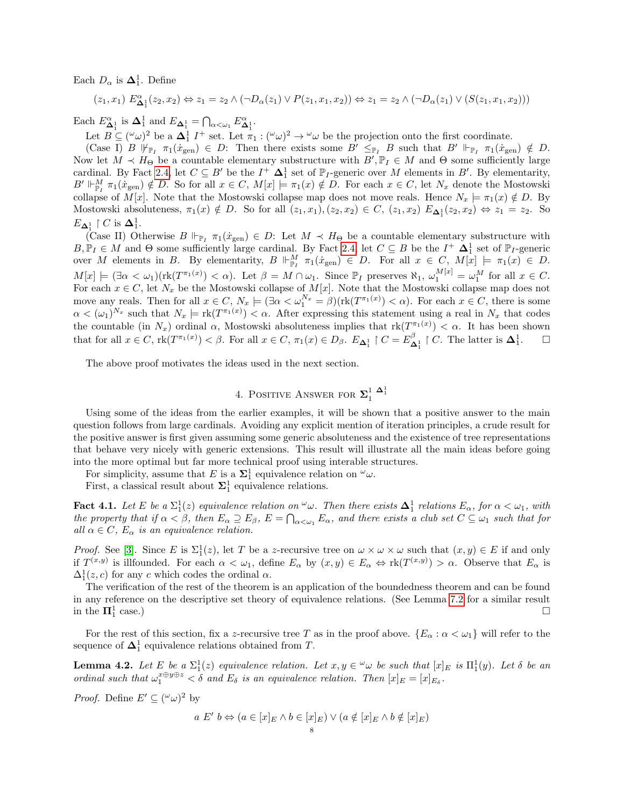Each  $D_{\alpha}$  is  $\Delta_1^1$ . Define

$$
(z_1, x_1) E^{\alpha}_{\Delta_1^1}(z_2, x_2) \Leftrightarrow z_1 = z_2 \wedge (\neg D_{\alpha}(z_1) \vee P(z_1, x_1, x_2)) \Leftrightarrow z_1 = z_2 \wedge (\neg D_{\alpha}(z_1) \vee (S(z_1, x_1, x_2)))
$$

Each  $E^{\alpha}_{\Delta_1^1}$  is  $\Delta_1^1$  and  $E_{\Delta_1^1} = \bigcap_{\alpha < \omega_1} E^{\alpha}_{\Delta_1^1}$ .

Let  $B \subseteq (\omega \omega)^2$  be a  $\Delta_1^1$   $I^+$  set. Let  $\pi_1 : (\omega \omega)^2 \to \omega \omega$  be the projection onto the first coordinate.

(Case I) B  $\mathbb{F}_{p_1}$   $\pi_1(\dot{x}_{gen}) \in D$ : Then there exists some  $B' \leq_{\mathbb{F}_p} B$  such that  $B' \Vdash_{\mathbb{F}_p} \pi_1(\dot{x}_{gen}) \notin D$ . Now let  $M \prec H_{\Theta}$  be a countable elementary substructure with  $B', \mathbb{P}_I \in M$  and  $\Theta$  some sufficiently large cardinal. By Fact [2.4,](#page-3-0) let  $C \subseteq B'$  be the  $I^+ \Delta_1^1$  set of  $\mathbb{P}_I$ -generic over M elements in B'. By elementarity,  $B' \Vdash^M_{\mathbb{P}_I} \pi_1(\dot{x}_{\text{gen}}) \notin D$ . So for all  $x \in C$ ,  $M[x] \models \pi_1(x) \notin D$ . For each  $x \in C$ , let  $N_x$  denote the Mostowski collapse of  $M[x]$ . Note that the Mostowski collapse map does not move reals. Hence  $N_x \models \pi_1(x) \notin D$ . By Mostowski absoluteness,  $\pi_1(x) \notin D$ . So for all  $(z_1, x_1), (z_2, x_2) \in C$ ,  $(z_1, x_2)$   $E_{\mathbf{\Delta}_1^1}(z_2, x_2) \Leftrightarrow z_1 = z_2$ . So  $E_{\mathbf{\Delta}_1^1} \restriction C$  is  $\mathbf{\Delta}_1^1$ .

(Case II) Otherwise  $B \Vdash_{\mathbb{P}_I} \pi_1(\dot{x}_{gen}) \in D:$  Let  $M \prec H_{\Theta}$  be a countable elementary substructure with  $B, \mathbb{P}_I \in M$  and  $\Theta$  some sufficiently large cardinal. By Fact [2.4,](#page-3-0) let  $C \subseteq B$  be the  $I^+$   $\Delta_1^1$  set of  $\mathbb{P}_I$ -generic over M elements in B. By elementarity,  $B \Vdash^M_{\mathbb{P}_I} \pi_1(x_{\text{gen}}) \in D$ . For all  $x \in C$ ,  $M[x] \models \pi_1(x) \in D$ .  $M[x] \models (\exists \alpha < \omega_1)(\text{rk}(T^{\pi_1(x)}) < \alpha)$ . Let  $\beta = M \cap \omega_1$ . Since  $\mathbb{P}_I$  preserves  $\aleph_1$ ,  $\omega_1^{M[x]} = \omega_1^M$  for all  $x \in C$ . For each  $x \in C$ , let  $N_x$  be the Mostowski collapse of  $M[x]$ . Note that the Mostowski collapse map does not move any reals. Then for all  $x \in C$ ,  $N_x \models (\exists \alpha < \omega_1^{N_x} = \beta)(\text{rk}(T^{\pi_1(x)}) < \alpha)$ . For each  $x \in C$ , there is some  $\alpha < (\omega_1)^{N_x}$  such that  $N_x \models \text{rk}(T^{\pi_1(x)}) < \alpha$ . After expressing this statement using a real in  $N_x$  that codes the countable (in  $N_x$ ) ordinal  $\alpha$ , Mostowski absoluteness implies that  $rk(T^{\pi_1(x)}) < \alpha$ . It has been shown that for all  $x \in C$ ,  $\mathrm{rk}(T^{\pi_1(x)}) < \beta$ . For all  $x \in C$ ,  $\pi_1(x) \in D_\beta$ .  $E_{\mathbf{\Delta}_1^1} \upharpoonright C = E_{\mathbf{\Delta}_1^1}^\beta \upharpoonright C$ . The latter is  $\mathbf{\Delta}_1^1$  $\Box$ 

The above proof motivates the ideas used in the next section.

# 4. POSITIVE ANSWER FOR  $\mathbf{\Sigma}_1^1$   $\mathbf{\Delta}_1^1$

<span id="page-7-0"></span>Using some of the ideas from the earlier examples, it will be shown that a positive answer to the main question follows from large cardinals. Avoiding any explicit mention of iteration principles, a crude result for the positive answer is first given assuming some generic absoluteness and the existence of tree representations that behave very nicely with generic extensions. This result will illustrate all the main ideas before going into the more optimal but far more technical proof using interable structures.

For simplicity, assume that E is a  $\Sigma_1^1$  equivalence relation on  $\omega_{\omega}$ .

First, a classical result about  $\Sigma^1_1$  equivalence relations.

<span id="page-7-2"></span>**Fact 4.1.** Let E be a  $\Sigma_1^1(z)$  equivalence relation on  $\omega$ . Then there exists  $\Delta_1^1$  relations  $E_\alpha$ , for  $\alpha < \omega_1$ , with the property that if  $\alpha < \beta$ , then  $E_{\alpha} \supseteq E_{\beta}$ ,  $E = \bigcap_{\alpha < \omega_1} E_{\alpha}$ , and there exists a club set  $C \subseteq \omega_1$  such that for all  $\alpha \in C$ ,  $E_{\alpha}$  is an equivalence relation.

*Proof.* See [\[3\]](#page-27-3). Since E is  $\Sigma_1^1(z)$ , let T be a z-recursive tree on  $\omega \times \omega \times \omega$  such that  $(x, y) \in E$  if and only if  $T^{(x,y)}$  is illfounded. For each  $\alpha < \omega_1$ , define  $E_\alpha$  by  $(x,y) \in E_\alpha \Leftrightarrow \text{rk}(T^{(x,y)}) > \alpha$ . Observe that  $E_\alpha$  is  $\Delta_1^1(z, c)$  for any c which codes the ordinal  $\alpha$ .

The verification of the rest of the theorem is an application of the boundedness theorem and can be found in any reference on the descriptive set theory of equivalence relations. (See Lemma [7.2](#page-18-1) for a similar result in the  $\mathbf{\Pi}^1_1$  $\Box$ 

For the rest of this section, fix a z-recursive tree T as in the proof above.  $\{E_\alpha : \alpha < \omega_1\}$  will refer to the sequence of  $\Delta_1^1$  equivalence relations obtained from T.

<span id="page-7-1"></span>**Lemma 4.2.** Let  $E$  be a  $\Sigma_1^1(z)$  equivalence relation. Let  $x, y \in \omega$  be such that  $[x]_E$  is  $\Pi_1^1(y)$ . Let  $\delta$  be an ordinal such that  $\omega_1^{x \oplus y \oplus z} < \delta$  and  $E_{\delta}$  is an equivalence relation. Then  $[x]_E = [x]_{E_{\delta}}$ .

*Proof.* Define  $E' \subseteq (\omega \omega)^2$  by

$$
a E' b \Leftrightarrow (a \in [x]_E \land b \in [x]_E) \lor (a \notin [x]_E \land b \notin [x]_E)
$$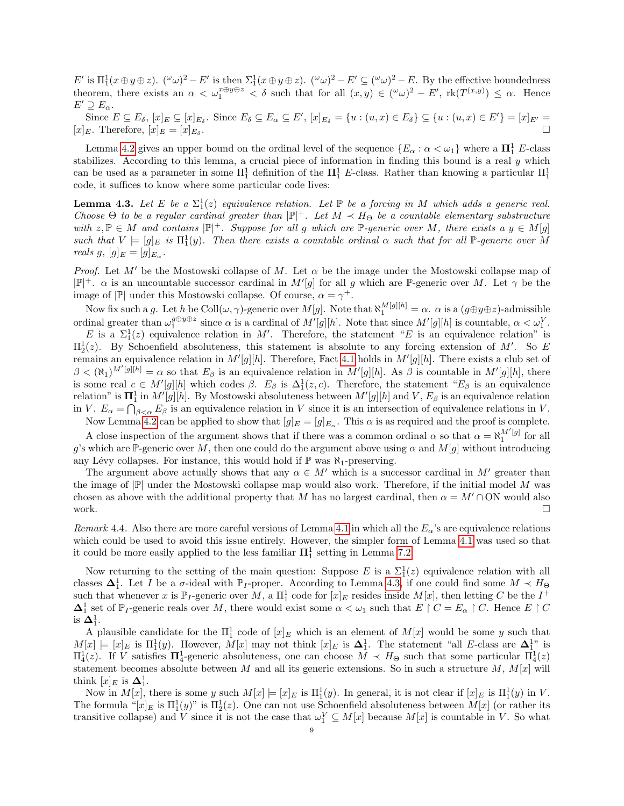$E'$  is  $\Pi_1^1(x \oplus y \oplus z)$ .  $({}^{\omega}\omega)^2 - E'$  is then  $\Sigma_1^1(x \oplus y \oplus z)$ .  $({}^{\omega}\omega)^2 - E' \subseteq ({}^{\omega}\omega)^2 - E$ . By the effective boundedness theorem, there exists an  $\alpha < \omega_1^{x \oplus y \oplus z} < \delta$  such that for all  $(x, y) \in (\omega \omega)^2 - E'$ ,  $rk(T^{(x,y)}) \leq \alpha$ . Hence  $E' \supseteq E_{\alpha}$ .

Since  $E \subseteq E_{\delta}$ ,  $[x]_E \subseteq [x]_{E_{\delta}}$ . Since  $E_{\delta} \subseteq E_{\alpha} \subseteq E'$ ,  $[x]_{E_{\delta}} = \{u : (u, x) \in E_{\delta}\} \subseteq \{u : (u, x) \in E'\} = [x]_{E'} =$  $[x]_E$ . Therefore,  $[x]_E = [x]_{E_{\delta}}$ . .

Lemma [4.2](#page-7-1) gives an upper bound on the ordinal level of the sequence  $\{E_\alpha : \alpha < \omega_1\}$  where a  $\Pi_1^1$  E-class stabilizes. According to this lemma, a crucial piece of information in finding this bound is a real y which can be used as a parameter in some  $\Pi_1^1$  definition of the  $\Pi_1^1$  E-class. Rather than knowing a particular  $\Pi_1^1$ code, it suffices to know where some particular code lives:

<span id="page-8-0"></span>**Lemma 4.3.** Let E be a  $\Sigma_1^1(z)$  equivalence relation. Let  $\mathbb P$  be a forcing in M which adds a generic real. Choose  $\Theta$  to be a regular cardinal greater than  $|\mathbb{P}|^+$ . Let  $M \prec H_\Theta$  be a countable elementary substructure with  $z, \mathbb{P} \in M$  and contains  $|\mathbb{P}|^+$ . Suppose for all g which are  $\mathbb{P}$ -generic over M, there exists a  $y \in M[g]$ such that  $V = [g]_E$  is  $\Pi_1^1(y)$ . Then there exists a countable ordinal  $\alpha$  such that for all P-generic over M reals  $g, [g]_E = [g]_{E_{\alpha}}$ .

*Proof.* Let M' be the Mostowski collapse of M. Let  $\alpha$  be the image under the Mostowski collapse map of  $|\mathbb{P}|^+$ .  $\alpha$  is an uncountable successor cardinal in  $M'[g]$  for all g which are P-generic over M. Let  $\gamma$  be the image of  $|\mathbb{P}|$  under this Mostowski collapse. Of course,  $\alpha = \gamma^+$ .

Now fix such a g. Let h be  $\text{Coll}(\omega, \gamma)$ -generic over  $M[g]$ . Note that  $\aleph_1^{M[g][h]} = \alpha$ .  $\alpha$  is a  $(g \oplus y \oplus z)$ -admissible ordinal greater than  $\omega_1^{g \oplus y \oplus z}$  since  $\alpha$  is a cardinal of  $M'[g][h]$ . Note that since  $M'[g][h]$  is countable,  $\alpha < \omega_1^V$ .

E is a  $\Sigma_1^1(z)$  equivalence relation in M'. Therefore, the statement "E is an equivalence relation" is  $\Pi_2^1(z)$ . By Schoenfield absoluteness, this statement is absolute to any forcing extension of M'. So E remains an equivalence relation in  $M'[g][h]$ . Therefore, Fact [4.1](#page-7-2) holds in  $M'[g][h]$ . There exists a club set of  $\beta < (\aleph_1)^{M'[g][h]} = \alpha$  so that  $E_\beta$  is an equivalence relation in  $M'[g][h]$ . As  $\beta$  is countable in  $M'[g][h]$ , there is some real  $c \in M'[g][h]$  which codes  $\beta$ .  $E_{\beta}$  is  $\Delta_1^1(z, c)$ . Therefore, the statement " $E_{\beta}$  is an equivalence relation" is  $\mathbf{\Pi}^1_1$  in  $M'[g][h]$ . By Mostowski absoluteness between  $M'[g][h]$  and  $V, E_\beta$  is an equivalence relation in V.  $E_{\alpha} = \bigcap_{\beta < \alpha} E_{\beta}$  is an equivalence relation in V since it is an intersection of equivalence relations in V.

Now Lemma [4.2](#page-7-1) can be applied to show that  $[g]_E = [g]_{E_\alpha}$ . This  $\alpha$  is as required and the proof is complete.

A close inspection of the argument shows that if there was a common ordinal  $\alpha$  so that  $\alpha = \aleph_1^{M'[g]}$  for all g's which are P-generic over M, then one could do the argument above using  $\alpha$  and  $M[g]$  without introducing any Lévy collapses. For instance, this would hold if  $\mathbb P$  was  $\aleph_1$ -preserving.

The argument above actually shows that any  $\alpha \in M'$  which is a successor cardinal in M' greater than the image of  $\mathbb{P}$  under the Mostowski collapse map would also work. Therefore, if the initial model M was chosen as above with the additional property that M has no largest cardinal, then  $\alpha = M' \cap ON$  would also work.  $\Box$ 

Remark 4.4. Also there are more careful versions of Lemma [4.1](#page-7-2) in which all the  $E_\alpha$ 's are equivalence relations which could be used to avoid this issue entirely. However, the simpler form of Lemma [4.1](#page-7-2) was used so that it could be more easily applied to the less familiar  $\mathbf{\Pi}^1_1$  setting in Lemma [7.2.](#page-18-1)

Now returning to the setting of the main question: Suppose E is a  $\Sigma_1^1(z)$  equivalence relation with all classes  $\Delta_1^1$ . Let I be a  $\sigma$ -ideal with  $\mathbb{P}_I$ -proper. According to Lemma [4.3,](#page-8-0) if one could find some  $M \prec H_{\Theta}$ such that whenever x is  $\mathbb{P}_I$ -generic over M, a  $\Pi_1^1$  code for  $[x]_E$  resides inside  $M[x]$ , then letting C be the  $I^+$  $\Delta_1^1$  set of  $\mathbb{P}_I$ -generic reals over M, there would exist some  $\alpha < \omega_1$  such that  $E \restriction C = E_\alpha \restriction C$ . Hence  $E \restriction C$ is  ${\bf \Delta}^1_1.$ 

A plausible candidate for the  $\Pi_1^1$  code of  $[x]_E$  which is an element of  $M[x]$  would be some y such that  $M[x] \models [x]_E$  is  $\Pi_1^1(y)$ . However,  $M[x]$  may not think  $[x]_E$  is  $\Delta_1^1$ . The statement "all E-class are  $\Delta_1^{1}$ " is  $\Pi_4^1(z)$ . If V satisfies  $\Pi_4^1$ -generic absoluteness, one can choose  $M \prec H_\Theta$  such that some particular  $\Pi_4^1(z)$ statement becomes absolute between M and all its generic extensions. So in such a structure  $M$ ,  $M[x]$  will think  $[x]_E$  is  $\mathbf{\Delta}_1^1$ .

Now in  $M[x]$ , there is some y such  $M[x] \models [x]_E$  is  $\Pi_1^1(y)$ . In general, it is not clear if  $[x]_E$  is  $\Pi_1^1(y)$  in V. The formula " $[x]_E$  is  $\Pi_1^1(y)$ " is  $\Pi_2^1(z)$ . One can not use Schoenfield absoluteness between  $M[x]$  (or rather its transitive collapse) and V since it is not the case that  $\omega_1^V \subseteq M[x]$  because  $M[x]$  is countable in V. So what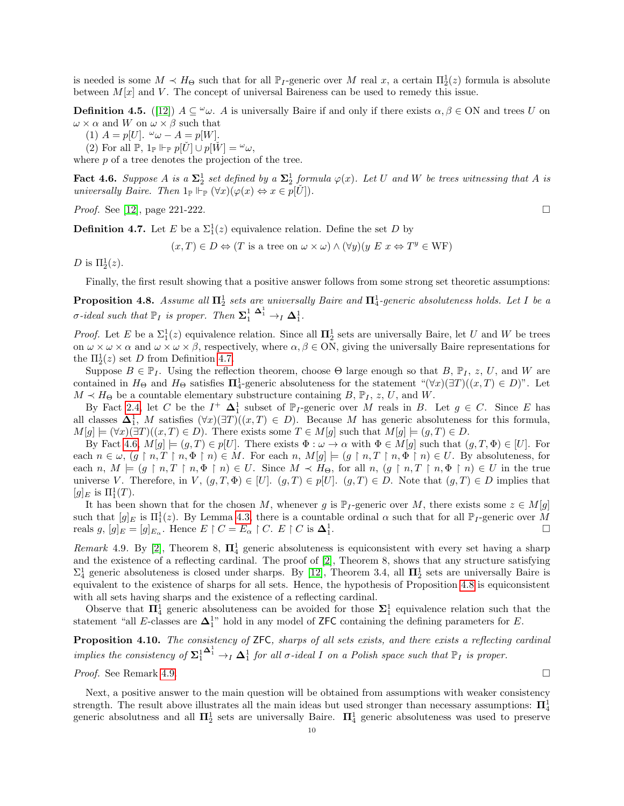is needed is some  $M \prec H_{\Theta}$  such that for all  $\mathbb{P}_I$ -generic over M real x, a certain  $\Pi_2^1(z)$  formula is absolute between  $M[x]$  and V. The concept of universal Baireness can be used to remedy this issue.

**Definition 4.5.** ([\[12\]](#page-28-7))  $A \subseteq \omega \omega$ . A is universally Baire if and only if there exists  $\alpha, \beta \in ON$  and trees U on  $\omega \times \alpha$  and W on  $\omega \times \beta$  such that

(1)  $A = p[U]$ .  $\omega \omega - A = p[W]$ .

(2) For all  $\mathbb{P}, 1_{\mathbb{P}} \Vdash_{\mathbb{P}} p[U] \cup p[W] = \omega_{\omega}$ ,

where  $p$  of a tree denotes the projection of the tree.

<span id="page-9-1"></span>Fact 4.6. Suppose A is a  $\Sigma^1_2$  set defined by a  $\Sigma^1_2$  formula  $\varphi(x)$ . Let U and W be trees witnessing that A is universally Baire. Then  $1_{\mathbb{P}} \Vdash_{\mathbb{P}} (\forall x)(\varphi(x) \Leftrightarrow x \in p[\check{U}]).$ 

*Proof.* See [\[12\]](#page-28-7), page 221-222.

<span id="page-9-0"></span>**Definition 4.7.** Let E be a  $\Sigma_1^1(z)$  equivalence relation. Define the set D by

 $(x, T) \in D \Leftrightarrow (T \text{ is a tree on } \omega \times \omega) \wedge (\forall y)(y \ E \ x \Leftrightarrow T^y \in \text{WF})$ 

D is  $\Pi_2^1(z)$ .

Finally, the first result showing that a positive answer follows from some strong set theoretic assumptions:

<span id="page-9-2"></span>**Proposition 4.8.** Assume all  $\Pi_2^1$  sets are universally Baire and  $\Pi_4^1$ -generic absoluteness holds. Let I be a *σ*-ideal such that  $\mathbb{P}_I$  is proper. Then  $\mathbf{\Sigma}_1^1 \xrightarrow{\mathbf{\Delta}_1^1} \mathbf{\Delta}_1^1$ .

*Proof.* Let E be a  $\Sigma_1^1(z)$  equivalence relation. Since all  $\Pi_2^1$  sets are universally Baire, let U and W be trees on  $\omega \times \omega \times \alpha$  and  $\omega \times \omega \times \beta$ , respectively, where  $\alpha, \beta \in ON$ , giving the universally Baire representations for the  $\Pi_2^1(z)$  set D from Definition [4.7.](#page-9-0)

Suppose  $B \in \mathbb{P}_I$ . Using the reflection theorem, choose  $\Theta$  large enough so that  $B, \mathbb{P}_I, z, U$ , and W are contained in  $H_{\Theta}$  and  $H_{\Theta}$  satisfies  $\Pi_4^1$ -generic absoluteness for the statement " $(\forall x)(\exists T)((x,T) \in D)$ ". Let  $M \prec H_{\Theta}$  be a countable elementary substructure containing  $B, \mathbb{P}_I, z, U$ , and W.

By Fact [2.4,](#page-3-0) let C be the  $I^+$   $\Delta_1^1$  subset of  $\mathbb{P}_I$ -generic over M reals in B. Let  $g \in C$ . Since E has all classes  $\Delta_1^1$ , M satisfies  $(\forall x)(\exists T)((x,T) \in D)$ . Because M has generic absoluteness for this formula,  $M[g] \models (\forall x)(\exists T)((x,T) \in D)$ . There exists some  $T \in M[g]$  such that  $M[g] \models (g,T) \in D$ .

By Fact [4.6,](#page-9-1)  $M[g] \models (g, T) \in p[U]$ . There exists  $\Phi : \omega \to \alpha$  with  $\Phi \in M[g]$  such that  $(g, T, \Phi) \in [U]$ . For each  $n \in \omega$ ,  $(g \restriction n, T \restriction n, \Phi \restriction n) \in M$ . For each  $n, M[g] \models (g \restriction n, T \restriction n, \Phi \restriction n) \in U$ . By absoluteness, for each n,  $M \models (g \restriction n, T \restriction n, \Phi \restriction n) \in U$ . Since  $M \prec H_{\Theta}$ , for all  $n, (g \restriction n, T \restriction n, \Phi \restriction n) \in U$  in the true universe V. Therefore, in V,  $(g, T, \Phi) \in [U]$ .  $(g, T) \in p[U]$ .  $(g, T) \in D$ . Note that  $(g, T) \in D$  implies that  $[g]_E$  is  $\Pi^1_1(T)$ .

It has been shown that for the chosen M, whenever g is  $\mathbb{P}_I$ -generic over M, there exists some  $z \in M[g]$ such that  $[g]_E$  is  $\Pi_1^1(z)$ . By Lemma [4.3,](#page-8-0) there is a countable ordinal  $\alpha$  such that for all  $\mathbb{P}_I$ -generic over M reals g,  $[g]_E = [g]_{E_\alpha}$ . Hence  $E \restriction C = E_\alpha \restriction C$ .  $E \restriction C$  is  $\Delta_1^1$ . В последните поставите на селото на селото на селото на селото на селото на селото на селото на селото на се<br>Селото на селото на селото на селото на селото на селото на селото на селото на селото на селото на селото на

<span id="page-9-3"></span>Remark 4.9. By [\[2\]](#page-27-4), Theorem 8,  $\Pi_4^1$  generic absoluteness is equiconsistent with every set having a sharp and the existence of a reflecting cardinal. The proof of [\[2\]](#page-27-4), Theorem 8, shows that any structure satisfying  $\Sigma_4^1$  generic absoluteness is closed under sharps. By [\[12\]](#page-28-7), Theorem 3.4, all  $\Pi_2^1$  sets are universally Baire is equivalent to the existence of sharps for all sets. Hence, the hypothesis of Proposition [4.8](#page-9-2) is equiconsistent with all sets having sharps and the existence of a reflecting cardinal.

Observe that  $\Pi_4^1$  generic absoluteness can be avoided for those  $\Sigma_1^1$  equivalence relation such that the statement "all E-classes are  $\Delta_1^{1}$ " hold in any model of ZFC containing the defining parameters for E.

Proposition 4.10. The consistency of ZFC, sharps of all sets exists, and there exists a reflecting cardinal implies the consistency of  $\Sigma^1_1$  $\mathbf{\Delta}_1^1 \rightarrow_I \mathbf{\Delta}_1^1$  for all  $\sigma$ -ideal I on a Polish space such that  $\mathbb{P}_I$  is proper.

*Proof.* See Remark [4.9.](#page-9-3)

Next, a positive answer to the main question will be obtained from assumptions with weaker consistency strength. The result above illustrates all the main ideas but used stronger than necessary assumptions:  $\Pi^1_4$ generic absolutness and all  $\Pi_2^1$  sets are universally Baire.  $\Pi_4^1$  generic absoluteness was used to preserve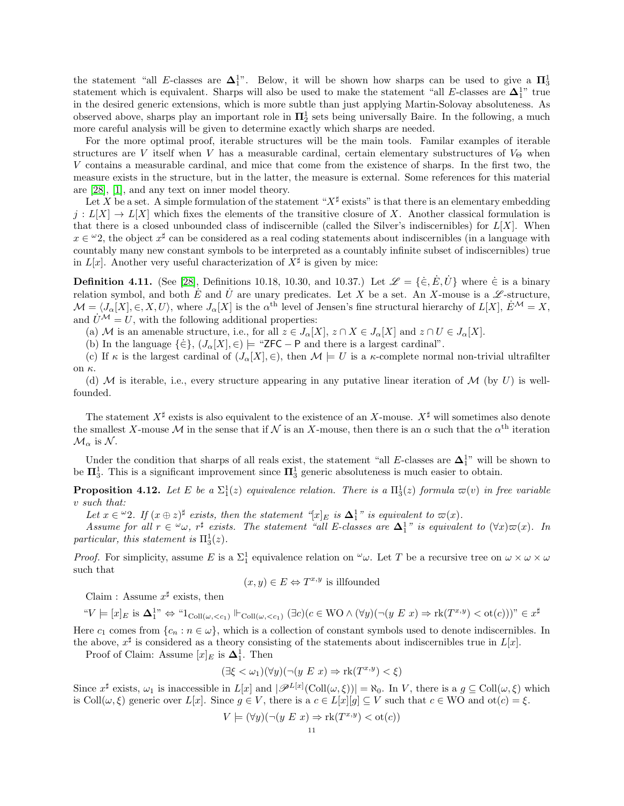the statement "all E-classes are  $\Delta_1^{1}$ ". Below, it will be shown how sharps can be used to give a  $\Pi_3^1$ statement which is equivalent. Sharps will also be used to make the statement "all E-classes are  $\Delta_1^{1}$ " true in the desired generic extensions, which is more subtle than just applying Martin-Solovay absoluteness. As observed above, sharps play an important role in  $\Pi^1_2$  sets being universally Baire. In the following, a much more careful analysis will be given to determine exactly which sharps are needed.

For the more optimal proof, iterable structures will be the main tools. Familar examples of iterable structures are V itself when V has a measurable cardinal, certain elementary substructures of  $V_{\Theta}$  when V contains a measurable cardinal, and mice that come from the existence of sharps. In the first two, the measure exists in the structure, but in the latter, the measure is external. Some references for this material are [\[28\]](#page-28-8), [\[1\]](#page-27-5), and any text on inner model theory.

Let X be a set. A simple formulation of the statement " $X^{\sharp}$  exists" is that there is an elementary embedding  $j: L[X] \to L[X]$  which fixes the elements of the transitive closure of X. Another classical formulation is that there is a closed unbounded class of indiscernible (called the Silver's indiscernibles) for  $L[X]$ . When  $x \in \mathfrak{L}$ , the object  $x^{\sharp}$  can be considered as a real coding statements about indiscernibles (in a language with countably many new constant symbols to be interpreted as a countably infinite subset of indiscernibles) true in  $L[x]$ . Another very useful characterization of  $X^{\sharp}$  is given by mice:

<span id="page-10-1"></span>**Definition 4.11.** (See [\[28\]](#page-28-8), Definitions 10.18, 10.30, and 10.37.) Let  $\mathcal{L} = {\{\dot{\in}, \dot{E}, \dot{U}\}}$  where  $\dot{\in}$  is a binary relation symbol, and both E and U are unary predicates. Let X be a set. An X-mouse is a  $\mathscr{L}$ -structure,  $\mathcal{M} = \langle J_{\alpha}[X], \in, X, U \rangle$ , where  $J_{\alpha}[X]$  is the  $\alpha^{\text{th}}$  level of Jensen's fine structural hierarchy of  $L[X], \dot{E}^{\mathcal{M}} = X$ , and  $\dot{U}^{\mathcal{M}} = U$ , with the following additional properties:

(a) M is an amenable structure, i.e., for all  $z \in J_{\alpha}[X], z \cap X \in J_{\alpha}[X]$  and  $z \cap U \in J_{\alpha}[X]$ .

(b) In the language  $\{\dot{\in}\}, (J_{\alpha}[X], \in) \models$  "ZFC – P and there is a largest cardinal".

(c) If  $\kappa$  is the largest cardinal of  $(J_{\alpha}[X], \in)$ , then  $\mathcal{M} \models U$  is a  $\kappa$ -complete normal non-trivial ultrafilter on κ.

(d) M is iterable, i.e., every structure appearing in any putative linear iteration of  $\mathcal{M}$  (by U) is wellfounded.

The statement  $X^{\sharp}$  exists is also equivalent to the existence of an X-mouse.  $X^{\sharp}$  will sometimes also denote the smallest X-mouse M in the sense that if N is an X-mouse, then there is an  $\alpha$  such that the  $\alpha^{\text{th}}$  iteration  $\mathcal{M}_{\alpha}$  is  $\mathcal{N}$ .

Under the condition that sharps of all reals exist, the statement "all E-classes are  $\Delta_1^{1}$ " will be shown to be  $\Pi_3^1$ . This is a significant improvement since  $\Pi_3^1$  generic absoluteness is much easier to obtain.

<span id="page-10-0"></span>**Proposition 4.12.** Let E be a  $\Sigma_1^1(z)$  equivalence relation. There is a  $\Pi_3^1(z)$  formula  $\varpi(v)$  in free variable v such that:

Let  $x \in \omega$ ?. If  $(x \oplus z)^{\sharp}$  exists, then the statement "[x]<sub>E</sub> is  $\Delta_1^1$ " is equivalent to  $\varpi(x)$ .

Assume for all  $r \in \omega$ ,  $r^{\sharp}$  exists. The statement "all E-classes are  $\Delta_1^1$ " is equivalent to  $(\forall x)\varpi(x)$ . In particular, this statement is  $\Pi_3^1(z)$ .

*Proof.* For simplicity, assume E is a  $\Sigma_1^1$  equivalence relation on  $\omega$ . Let T be a recursive tree on  $\omega \times \omega \times \omega$ such that

$$
(x, y) \in E \Leftrightarrow T^{x,y}
$$
 is illfounded

Claim : Assume  $x^{\sharp}$  exists, then

$$
\text{``$V \models [x]_E$ is $\mathbf{\Delta}^{1}_1$''} \Leftrightarrow \text{``1}_{\mathrm{Coll}(\omega,
$$

Here  $c_1$  comes from  $\{c_n : n \in \omega\}$ , which is a collection of constant symbols used to denote indiscernibles. In the above,  $x^{\sharp}$  is considered as a theory consisting of the statements about indiscernibles true in  $L[x]$ .

Proof of Claim: Assume  $[x]_E$  is  $\Delta_1^1$ . Then

$$
(\exists \xi < \omega_1)(\forall y)(\neg (y \ E \ x) \Rightarrow \text{rk}(T^{x,y}) < \xi)
$$

Since  $x^{\sharp}$  exists,  $\omega_1$  is inaccessible in  $L[x]$  and  $|\mathscr{P}^{L[x]}(\text{Coll}(\omega,\xi))| = \aleph_0$ . In V, there is a  $g \subseteq \text{Coll}(\omega,\xi)$  which is Coll $(\omega, \xi)$  generic over  $L[x]$ . Since  $g \in V$ , there is a  $c \in L[x][g] \subseteq V$  such that  $c \in WO$  and  $ot(c) = \xi$ .

$$
V \models (\forall y)(\neg (y \ E \ x) \Rightarrow \text{rk}(T^{x,y}) < \text{ot}(c))
$$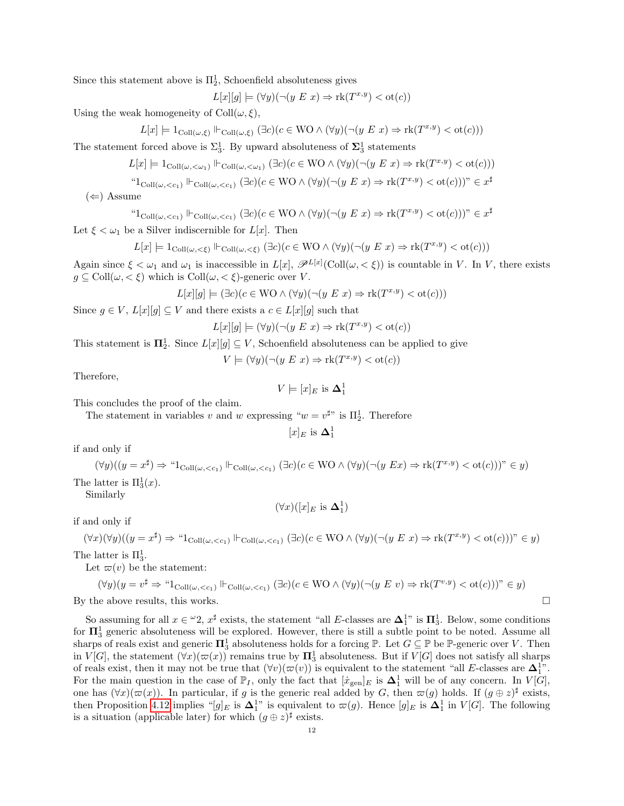Since this statement above is  $\Pi_2^1$ , Schoenfield absoluteness gives

 $L[x][g] \models (\forall y)(\neg (y \ E \ x) \Rightarrow \text{rk}(T^{x,y}) < \text{ot}(c))$ 

Using the weak homogeneity of  $Coll(\omega, \xi)$ ,

$$
L[x] \models 1_{\text{Coll}(\omega,\xi)} \Vdash_{\text{Coll}(\omega,\xi)} (\exists c)(c \in \text{WO} \land (\forall y)(\neg(y \ E \ x) \Rightarrow \text{rk}(T^{x,y}) < \text{ot}(c)))
$$

The statement forced above is  $\Sigma_3^1$ . By upward absoluteness of  $\Sigma_3^1$  statements

$$
L[x] \models 1_{\mathrm{Coll}(\omega,<\omega_1)} \Vdash_{\mathrm{Coll}(\omega,<\omega_1)} (\exists c)(c \in \mathrm{WO} \wedge (\forall y)(\neg(y \ E \ x) \Rightarrow \mathrm{rk}(T^{x,y}) < \mathrm{ot}(c)))
$$

$$
``1_{\mathrm{Coll}(\omega,
$$

 $(\Leftarrow)$  Assume

$$
``1_{\mathrm{Coll}(\omega,
$$

Let  $\xi < \omega_1$  be a Silver indiscernible for  $L[x]$ . Then

$$
L[x]\models 1_{\mathrm{Coll}(\omega,<\xi)} \Vdash_{\mathrm{Coll}(\omega,<\xi)} (\exists c) (c\in \mathrm{WO}\wedge (\forall y)(\neg(y\mathrel{E} x)\Rightarrow \mathrm{rk}(T^{x,y})<\mathrm{ot}(c)))
$$

Again since  $\xi < \omega_1$  and  $\omega_1$  is inaccessible in  $L[x]$ ,  $\mathscr{P}^{L[x]}(\text{Coll}(\omega,<\xi))$  is countable in V. In V, there exists  $g \subseteq \text{Coll}(\omega, < \xi)$  which is  $\text{Coll}(\omega, < \xi)$ -generic over V.

$$
L[x][g] \models (\exists c)(c \in \mathcal{WO} \land (\forall y)(\neg(y \ E \ x) \Rightarrow \text{rk}(T^{x,y}) < \text{ot}(c)))
$$

Since  $g \in V$ ,  $L[x][g] \subseteq V$  and there exists a  $c \in L[x][g]$  such that

$$
L[x][g] \models (\forall y)(\neg(y \ E \ x) \Rightarrow \text{rk}(T^{x,y}) < \text{ot}(c))
$$

This statement is  $\Pi_2^1$ . Since  $L[x][g] \subseteq V$ , Schoenfield absoluteness can be applied to give

$$
V \models (\forall y)(\neg (y \ E \ x) \Rightarrow \text{rk}(T^{x,y}) < \text{ot}(c))
$$

Therefore,

$$
V\models [x]_E \text{ is } \Delta^1_1
$$

This concludes the proof of the claim.

The statement in variables v and w expressing " $w = v^{\sharp}$ " is  $\Pi_2^1$ . Therefore

$$
[x]_E
$$
 is  $\Delta_1^1$ 

if and only if

$$
(\forall y)((y = x^{\sharp}) \Rightarrow \text{``I}_{\text{Coll}(\omega, < c_1)} \Vdash_{\text{Coll}(\omega, < c_1)} (\exists c)(c \in \text{WO} \land (\forall y)(\neg(y \ Ex) \Rightarrow \text{rk}(T^{x,y}) < \text{ot}(c))) \text{''} \in y)
$$
\n
$$
\text{latter is } \Pi_3^1(x).
$$

The 3 Similarly

$$
(\forall x)([x]_E\text{ is }\mathbf{\Delta}^1_1)
$$

if and only if

$$
(\forall x)(\forall y)((y = x^{\sharp}) \Rightarrow \text{``1}_{\text{Coll}(\omega, < c_1)} \Vdash_{\text{Coll}(\omega, < c_1)} (\exists c)(c \in \text{WO} \land (\forall y)(\neg(y \ E \ x) \Rightarrow \text{rk}(T^{x,y}) < \text{ot}(c))) \text{''} \in y)
$$

The latter is  $\Pi_3^1$ .

Let  $\varpi(v)$  be the statement:

$$
(\forall y)(y = v^{\sharp} \Rightarrow "1_{\text{Coll}(\omega, < c_1)} \Vdash_{\text{Coll}(\omega, < c_1)} (\exists c)(c \in \text{WO} \land (\forall y)(\neg(y \ E \ v) \Rightarrow \text{rk}(T^{v,y}) < \text{ot}(c)))^{\nu} \in y)
$$
\nBy the above results, this works.

So assuming for all  $x \in \omega_2$ ,  $x^{\sharp}$  exists, the statement "all E-classes are  $\Delta_1^{1}$ " is  $\Pi_3^1$ . Below, some conditions for  $\Pi^1_3$  generic absoluteness will be explored. However, there is still a subtle point to be noted. Assume all sharps of reals exist and generic  $\mathbf{\Pi}^1_3$  absoluteness holds for a forcing  $\mathbb{P}$ . Let  $G \subseteq \mathbb{P}$  be  $\mathbb{P}$ -generic over V. Then in  $V[G]$ , the statement  $(\forall x)(\varpi(x))$  remains true by  $\Pi_3^1$  absoluteness. But if  $V[G]$  does not satisfy all sharps of reals exist, then it may not be true that  $(\forall v)(\varpi(v))$  is equivalent to the statement "all E-classes are  $\Delta_1^{1}$ ". For the main question in the case of  $\mathbb{P}_I$ , only the fact that  $[\dot{x}_{gen}]_E$  is  $\Delta_1^1$  will be of any concern. In  $V[G]$ , one has  $(\forall x)(\varpi(x))$ . In particular, if g is the generic real added by G, then  $\varpi(g)$  holds. If  $(g \oplus z)^{\sharp}$  exists, then Proposition [4.12](#page-10-0) implies " $[g]_E$  is  $\Delta_1^{1}$ " is equivalent to  $\varpi(g)$ . Hence  $[g]_E$  is  $\Delta_1^{1}$  in  $V[G]$ . The following is a situation (applicable later) for which  $(g \oplus z)^{\sharp}$  exists.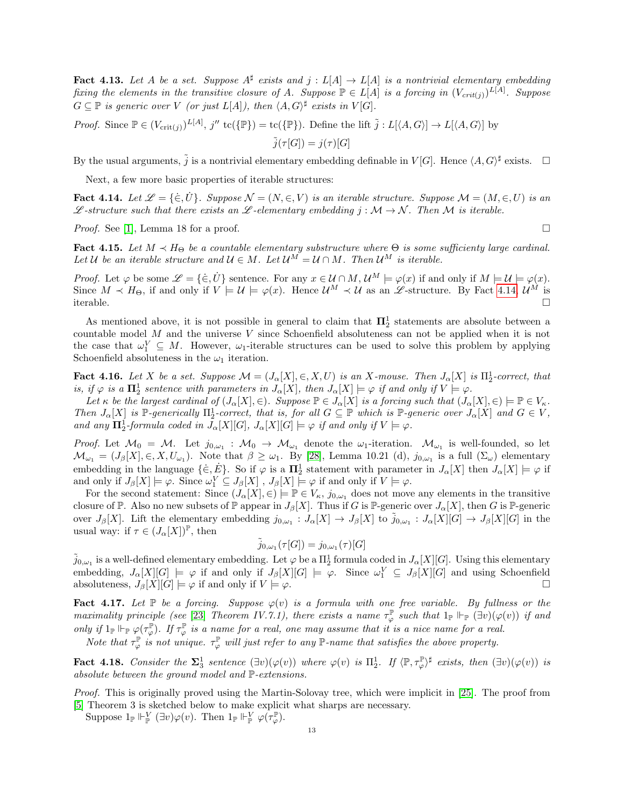<span id="page-12-4"></span>**Fact 4.13.** Let A be a set. Suppose  $A^{\sharp}$  exists and  $j : L[A] \to L[A]$  is a nontrivial elementary embedding fixing the elements in the transitive closure of A. Suppose  $\mathbb{P} \in L[A]$  is a forcing in  $(V_{crit(j)})^{L[A]}$ . Suppose  $G \subseteq \mathbb{P}$  is generic over V (or just  $L[A]$ ), then  $\langle A, G \rangle^{\sharp}$  exists in  $V[G]$ .

*Proof.* Since  $\mathbb{P} \in (V_{\text{crit}(j)})^{L[A]}, j'' \text{tc}(\{\mathbb{P}\}) = \text{tc}(\{\mathbb{P}\}).$  Define the lift  $\tilde{j}: L[\langle A, G \rangle] \to L[\langle A, G \rangle]$  by

 $\tilde{j}(\tau[G]) = j(\tau)[G]$ 

By the usual arguments,  $\tilde{j}$  is a nontrivial elementary embedding definable in  $V[G]$ . Hence  $\langle A, G \rangle^{\sharp}$  exists.  $\Box$ 

Next, a few more basic properties of iterable structures:

<span id="page-12-0"></span>Fact 4.14. Let  $\mathcal{L} = \{\in, U\}$ . Suppose  $\mathcal{N} = (N, \in, V)$  is an iterable structure. Suppose  $\mathcal{M} = (M, \in, U)$  is an L-structure such that there exists an L-elementary embedding  $j : \mathcal{M} \to \mathcal{N}$ . Then M is iterable.

*Proof.* See [\[1\]](#page-27-5), Lemma 18 for a proof.  $\square$ 

<span id="page-12-5"></span>Fact 4.15. Let  $M \prec H_{\Theta}$  be a countable elementary substructure where  $\Theta$  is some sufficienty large cardinal. Let U be an iterable structure and  $U \in M$ . Let  $\mathcal{U}^M = \mathcal{U} \cap M$ . Then  $\mathcal{U}^M$  is iterable.

*Proof.* Let  $\varphi$  be some  $\mathscr{L} = {\{\dot{\in}, \dot{U}\}}$  sentence. For any  $x \in \mathcal{U} \cap M$ ,  $\mathcal{U}^M \models \varphi(x)$  if and only if  $M \models \mathcal{U} \models \varphi(x)$ . Since  $M \prec H_{\Theta}$ , if and only if  $V \models U \models \varphi(x)$ . Hence  $\mathcal{U}^M \prec \mathcal{U}$  as an  $\mathscr{L}$ -structure. By Fact [4.14,](#page-12-0)  $\mathcal{U}^M$  is iterable.

As mentioned above, it is not possible in general to claim that  $\Pi_2^1$  statements are absolute between a countable model  $M$  and the universe  $V$  since Schoenfield absoluteness can not be applied when it is not the case that  $\omega_1^V \subseteq M$ . However,  $\omega_1$ -iterable structures can be used to solve this problem by applying Schoenfield absoluteness in the  $\omega_1$  iteration.

<span id="page-12-1"></span>**Fact 4.16.** Let X be a set. Suppose  $\mathcal{M} = (J_{\alpha}[X], \in, X, U)$  is an X-mouse. Then  $J_{\alpha}[X]$  is  $\Pi_2^1$ -correct, that is, if  $\varphi$  is a  $\Pi_2^1$  sentence with parameters in  $J_\alpha[X]$ , then  $J_\alpha[X] \models \varphi$  if and only if  $V \models \varphi$ .

Let  $\kappa$  be the largest cardinal of  $(J_{\alpha}[X], \in)$ . Suppose  $\mathbb{P} \in J_{\alpha}[X]$  is a forcing such that  $(J_{\alpha}[X], \in) \models \mathbb{P} \in V_{\kappa}$ . Then  $J_{\alpha}[X]$  is P-generically  $\Pi_2^1$ -correct, that is, for all  $G \subseteq \mathbb{P}$  which is P-generic over  $J_{\alpha}[X]$  and  $G \in V$ , and any  $\Pi_2^1$ -formula coded in  $J_\alpha[X][G], J_\alpha[X][G] \models \varphi$  if and only if  $V \models \varphi$ .

*Proof.* Let  $\mathcal{M}_0 = \mathcal{M}$ . Let  $j_{0,\omega_1} : \mathcal{M}_0 \to \mathcal{M}_{\omega_1}$  denote the  $\omega_1$ -iteration.  $\mathcal{M}_{\omega_1}$  is well-founded, so let  $\mathcal{M}_{\omega_1} = (J_\beta[X], \in, X, U_{\omega_1})$ . Note that  $\beta \geq \omega_1$ . By [\[28\]](#page-28-8), Lemma 10.21 (d),  $j_{0,\omega_1}$  is a full  $(\Sigma_\omega)$  elementary embedding in the language  $\{\in, E\}$ . So if  $\varphi$  is a  $\mathbf{\Pi}^1_2$  statement with parameter in  $J_{\alpha}[X]$  then  $J_{\alpha}[X] \models \varphi$  if and only if  $J_{\beta}[X] \models \varphi$ . Since  $\omega_1^V \subseteq J_{\beta}[X]$ ,  $J_{\beta}[X] \models \varphi$  if and only if  $V \models \varphi$ .

For the second statement: Since  $(J_{\alpha}[X], \in) \models \mathbb{P} \in V_{\kappa}, j_{0,\omega_1}$  does not move any elements in the transitive closure of P. Also no new subsets of P appear in  $J_{\beta}[X]$ . Thus if G is P-generic over  $J_{\alpha}[X]$ , then G is P-generic over  $J_{\beta}[X]$ . Lift the elementary embedding  $j_{0,\omega_1}: J_{\alpha}[X] \to J_{\beta}[X]$  to  $\tilde{j}_{0,\omega_1}: J_{\alpha}[X][G] \to J_{\beta}[X][G]$  in the usual way: if  $\tau \in (J_\alpha[X])^{\mathbb{P}},$  then

$$
\tilde{j}_{0,\omega_1}(\tau[G]) = j_{0,\omega_1}(\tau)[G]
$$

 $\tilde{j}_{0,\omega_1}$  is a well-defined elementary embedding. Let  $\varphi$  be a  $\Pi^1_2$  formula coded in  $J_\alpha[X][G]$ . Using this elementary embedding,  $J_{\alpha}[X][G] \models \varphi$  if and only if  $J_{\beta}[X][G] \models \varphi$ . Since  $\omega_1^V \subseteq J_{\beta}[X][G]$  and using Schoenfield absoluteness,  $J_{\beta}[X][G] \models \varphi$  if and only if  $V \models \varphi$ .

<span id="page-12-2"></span>Fact 4.17. Let  $\mathbb P$  be a forcing. Suppose  $\varphi(v)$  is a formula with one free variable. By fullness or the maximality principle (see [\[23\]](#page-28-9) Theorem IV.7.1), there exists a name  $\tau_{\varphi}^{\mathbb{P}}$  such that  $1_{\mathbb{P}} \Vdash_{\mathbb{P}} (\exists v)(\varphi(v))$  if and only if  $1_{\mathbb{P}} \Vdash_{\mathbb{P}} \varphi(\tau_{\varphi}^{\mathbb{P}})$ . If  $\tau_{\varphi}^{\mathbb{P}}$  is a name for a real, one may assume that it is a nice name for a real.

Note that  $\tau_{\varphi}^{\mathbb{P}}$  is not unique.  $\tau_{\varphi}^{\mathbb{P}}$  will just refer to any  $\mathbb{P}$ -name that satisfies the above property.

<span id="page-12-3"></span>**Fact 4.18.** Consider the  $\Sigma_3^1$  sentence  $(\exists v)(\varphi(v))$  where  $\varphi(v)$  is  $\Pi_2^1$ . If  $\langle \mathbb{P}, \tau_{\varphi}^{\mathbb{P}} \rangle^{\sharp}$  exists, then  $(\exists v)(\varphi(v))$  is absolute between the ground model and P-extensions.

Proof. This is originally proved using the Martin-Solovay tree, which were implicit in [\[25\]](#page-28-10). The proof from [\[5\]](#page-27-6) Theorem 3 is sketched below to make explicit what sharps are necessary.

Suppose  $1_{\mathbb{P}} \Vdash_{\mathbb{P}}^V (\exists v) \varphi(v)$ . Then  $1_{\mathbb{P}} \Vdash_{\mathbb{P}}^V \varphi(\tau_{\varphi}^{\mathbb{P}})$ .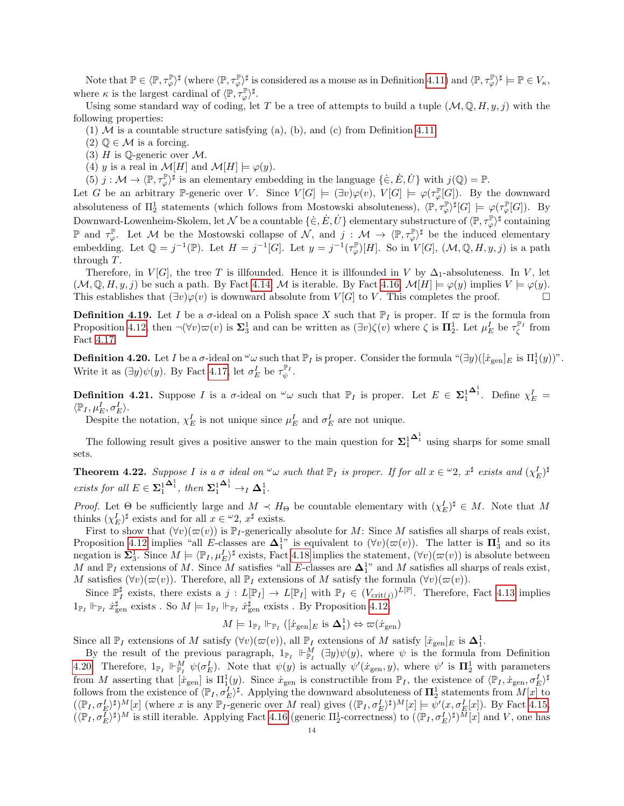Note that  $\mathbb{P} \in \langle \mathbb{P}, \tau_{\varphi}^{\mathbb{P}} \rangle^{\sharp}$  (where  $\langle \mathbb{P}, \tau_{\varphi}^{\mathbb{P}} \rangle^{\sharp}$  is considered as a mouse as in Definition [4.11\)](#page-10-1) and  $\langle \mathbb{P}, \tau_{\varphi}^{\mathbb{P}} \rangle^{\sharp} \models \mathbb{P} \in V_{\kappa}$ , where  $\kappa$  is the largest cardinal of  $\langle \mathbb{P}, \tau_{\varphi}^{\mathbb{P}} \rangle^{\sharp}$ .

Using some standard way of coding, let T be a tree of attempts to build a tuple  $(M, \mathbb{Q}, H, y, j)$  with the following properties:

(1)  $\mathcal M$  is a countable structure satisfying (a), (b), and (c) from Definition [4.11.](#page-10-1)

- $(2)$   $\mathbb{Q} \in \mathcal{M}$  is a forcing.
- (3)  $H$  is Q-generic over  $M$ .
- (4) y is a real in  $\mathcal{M}[H]$  and  $\mathcal{M}[H] \models \varphi(y)$ .

(5)  $j: \mathcal{M} \to \langle \mathbb{P}, \tau_{\varphi}^{\mathbb{P}} \rangle^{\sharp}$  is an elementary embedding in the language  $\{\dot{\in}, E, \dot{U}\}$  with  $j(\mathbb{Q}) = \mathbb{P}$ .

Let G be an arbitrary P-generic over V. Since  $V[G] \models (\exists v)\varphi(v), V[G] \models \varphi(\tau_{\varphi}^{\mathbb{P}}[G])$ . By the downward absoluteness of  $\Pi_2^1$  statements (which follows from Mostowski absoluteness),  $\langle \mathbb{P}, \tau_{\varphi}^{\mathbb{P}} \rangle^{\sharp}[G] \models \varphi(\tau_{\varphi}^{\mathbb{P}}[G])$ . By Downward-Lowenheim-Skolem, let  $\mathcal N$  be a countable  $\{\dot\in,\dot E,\dot U\}$  elementary substructure of  $\langle \mathbb P,\tau_\varphi^{\mathbb P}\rangle^\sharp$  containing P and  $\tau_{\varphi}^{\mathbb{P}}$ . Let M be the Mostowski collapse of N, and  $j: \mathcal{M} \to \langle \mathbb{P}, \tau_{\varphi}^{\mathbb{P}} \rangle^{\sharp}$  be the induced elementary embedding. Let  $\mathbb{Q} = j^{-1}(\mathbb{P})$ . Let  $H = j^{-1}[G]$ . Let  $y = j^{-1}(\tau_{\varphi}^{\mathbb{P}})[H]$ . So in  $V[G]$ ,  $(\mathcal{M}, \mathbb{Q}, H, y, j)$  is a path through T.

Therefore, in  $V[G]$ , the tree T is illfounded. Hence it is illfounded in V by  $\Delta_1$ -absoluteness. In V, let  $(\mathcal{M}, \mathbb{Q}, H, y, j)$  be such a path. By Fact [4.14,](#page-12-0) M is iterable. By Fact [4.16,](#page-12-1)  $\mathcal{M}[H] \models \varphi(y)$  implies  $V \models \varphi(y)$ . This establishes that  $(\exists v)\varphi(v)$  is downward absolute from  $V[G]$  to V. This completes the proof.

**Definition 4.19.** Let I be a  $\sigma$ -ideal on a Polish space X such that  $\mathbb{P}_I$  is proper. If  $\varpi$  is the formula from Proposition [4.12,](#page-10-0) then  $\neg(\forall v)\varpi(v)$  is  $\Sigma_3^1$  and can be written as  $(\exists v)\zeta(v)$  where  $\zeta$  is  $\Pi_2^1$ . Let  $\mu_E^I$  be  $\tau_{\zeta}^{\mathbb{P}_I}$  from Fact [4.17.](#page-12-2)

<span id="page-13-1"></span>**Definition 4.20.** Let I be a  $\sigma$ -ideal on  $\omega$  such that  $\mathbb{P}_I$  is proper. Consider the formula " $(\exists y)([\dot{x}_{gen}]_E$  is  $\Pi_1^1(y)$ ". Write it as  $(\exists y)\psi(y)$ . By Fact [4.17,](#page-12-2) let  $\sigma_E^I$  be  $\tau_{\psi}^{\mathbb{P}_I}$ .

**Definition 4.21.** Suppose I is a  $\sigma$ -ideal on  $\omega$  such that  $\mathbb{P}_I$  is proper. Let  $E \in \Sigma_1^1$  $\Delta_1^1$ . Define  $\chi_E^I$  =  $\langle \mathbb{P}_I, \mu^I_E, \sigma^I_E \rangle.$ 

Despite the notation,  $\chi_E^I$  is not unique since  $\mu_E^I$  and  $\sigma_E^I$  are not unique.

The following result gives a positive answer to the main question for  $\Sigma^1_1$  $\mathbf{\Delta}^1$  using sharps for some small sets.

<span id="page-13-0"></span>**Theorem 4.22.** Suppose I is a  $\sigma$  ideal on  $\omega$  such that  $\mathbb{P}_I$  is proper. If for all  $x \in \omega_2$ ,  $x^{\sharp}$  exists and  $(\chi_E^I)^{\sharp}$ exists for all  $E \in \Sigma_1^1$  $\mathbf{\Delta}^1_1$ , then  $\mathbf{\Sigma}^1_1$  $\mathbf{\Delta}^1_1 \to_I \mathbf{\Delta}^1_1.$ 

*Proof.* Let  $\Theta$  be sufficiently large and  $M \prec H_{\Theta}$  be countable elementary with  $(\chi_E^I)^{\sharp} \in M$ . Note that M thinks  $(\chi_E^I)^\sharp$  exists and for all  $x \in {}^{\omega}2$ ,  $x^\sharp$  exists.

First to show that  $(\forall v)(\varpi(v))$  is P<sub>I</sub>-generically absolute for M: Since M satisfies all sharps of reals exist, Proposition [4.12](#page-10-0) implies "all E-classes are  $\Delta_1^{1}$ " is equivalent to  $(\forall v)(\varpi(v))$ . The latter is  $\Pi_3^1$  and so its negation is  $\Sigma_3^1$ . Since  $M \models \langle \mathbb{P}_I, \mu_E^I \rangle^{\sharp}$  exists, Fact [4.18](#page-12-3) implies the statement,  $(\forall v)(\varpi(v))$  is absolute between M and  $\mathbb{P}_I$  extensions of M. Since M satisfies "all E-classes are  $\Delta_1^{1}$ " and M satisfies all sharps of reals exist, M satisfies  $(\forall v)(\varpi(v))$ . Therefore, all  $\mathbb{P}_I$  extensions of M satisfy the formula  $(\forall v)(\varpi(v))$ .

Since  $\mathbb{P}_I^{\sharp}$  exists, there exists a  $j: L[\mathbb{P}_I] \to L[\mathbb{P}_I]$  with  $\mathbb{P}_I \in (V_{\text{crit}(j)})^{L[\mathbb{P}]}$ . Therefore, Fact [4.13](#page-12-4) implies  $1_{\mathbb{P}_I} \Vdash_{\mathbb{P}_I} \dot{x}_{\text{gen}}^{\sharp}$  exists . So  $M \models 1_{\mathbb{P}_I} \Vdash_{\mathbb{P}_I} \dot{x}_{\text{gen}}^{\sharp}$  exists . By Proposition [4.12,](#page-10-0)

$$
M \models 1_{\mathbb{P}_I} \Vdash_{\mathbb{P}_I} ([\dot{x}_{\text{gen}}]_E \text{ is } \Delta_1^1) \Leftrightarrow \varpi(\dot{x}_{\text{gen}})
$$

Since all  $\mathbb{P}_I$  extensions of M satisfy  $(\forall v)(\varpi(v))$ , all  $\mathbb{P}_I$  extensions of M satisfy  $[\dot{x}_{gen}]_E$  is  $\Delta_1^1$ .

By the result of the previous paragraph,  $1_{\mathbb{P}_I}$   $\mathbb{H}_{\mathbb{P}_I}^M$   $(\exists y)\psi(y)$ , where  $\psi$  is the formula from Definition [4.20.](#page-13-1) Therefore,  $1_{\mathbb{P}_I} \Vdash_{\mathbb{P}_I}^M \psi(\sigma_E^I)$ . Note that  $\psi(y)$  is actually  $\psi'(x_{\text{gen}}, y)$ , where  $\psi'$  is  $\mathbf{\Pi}_2^1$  with parameters from M asserting that  $[\dot{x}_{gen}]$  is  $\Pi_1^1(y)$ . Since  $\dot{x}_{gen}$  is constructible from  $\mathbb{P}_I$ , the existence of  $\langle \mathbb{P}_I, \dot{x}_{gen}, \sigma_E^I \rangle^{\sharp}$ follows from the existence of  $\langle \mathbb{P}_I, \sigma_E^I \rangle^{\sharp}$ . Applying the downward absoluteness of  $\mathbf{\Pi}_2^1$  statements from  $M[x]$  to  $(\langle \mathbb{P}_I, \sigma_E^I \rangle^{\sharp})^M[x]$  (where x is any  $\mathbb{P}_I$ -generic over M real) gives  $(\langle \mathbb{P}_I, \sigma_E^I \rangle^{\sharp})^M[x] \models \psi'(x, \sigma_E^I[x])$ . By Fact [4.15,](#page-12-5)  $(\langle \mathbb{P}_I, \sigma_L^{\overline{I}} \rangle^{\sharp})^M$  is still iterable. Applying Fact [4.16](#page-12-1) (generic  $\Pi_2^1$ -correctness) to  $(\langle \mathbb{P}_I, \sigma_L^{\overline{I}} \rangle^{\sharp})^{\overline{M}}[x]$  and V, one has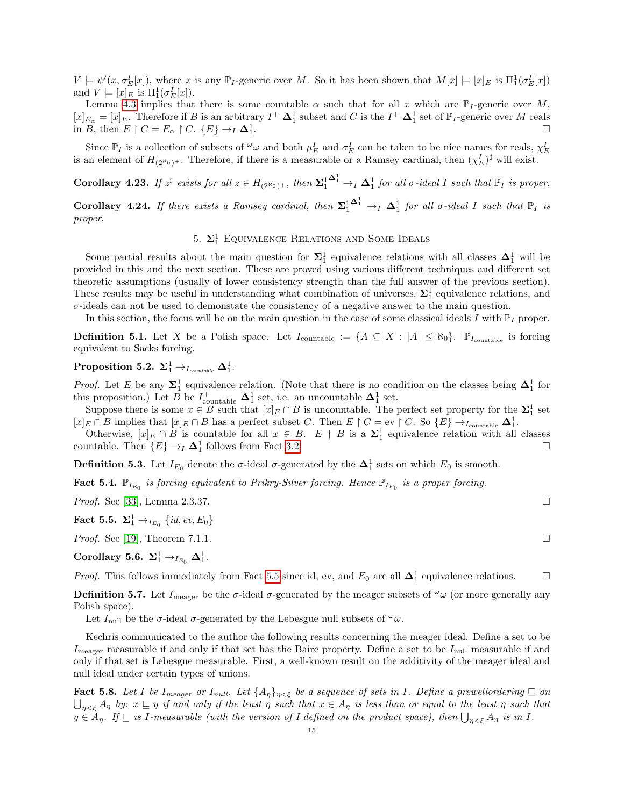$V \models \psi'(x, \sigma_E^I[x])$ , where x is any  $\mathbb{P}_I$ -generic over M. So it has been shown that  $M[x] \models [x]_E$  is  $\Pi_1^1(\sigma_E^I[x])$ and  $V \models [x]_E$  is  $\Pi_1^1(\sigma_E^I[x])$ .

Lemma [4.3](#page-8-0) implies that there is some countable  $\alpha$  such that for all x which are  $\mathbb{P}_I$ -generic over M,  $[x]_{E_{\alpha}} = [x]_E$ . Therefore if B is an arbitrary  $I^+ \Delta_1^1$  subset and C is the  $I^+ \Delta_1^1$  set of  $\mathbb{P}_I$ -generic over M reals in B, then  $E \upharpoonright C = E_{\alpha} \upharpoonright C$ .  $\{E\} \rightarrow_I \Delta_1^1$ .

Since  $\mathbb{P}_I$  is a collection of subsets of  $\omega \omega$  and both  $\mu_E^I$  and  $\sigma_E^I$  can be taken to be nice names for reals,  $\chi_E^I$ is an element of  $H_{(2^{\aleph_0})^+}$ . Therefore, if there is a measurable or a Ramsey cardinal, then  $(\chi_E^I)^{\sharp}$  will exist.

**Corollary 4.23.** If  $z^{\sharp}$  exists for all  $z \in H_{(2^{\aleph_0})^+}$ , then  $\Sigma_1^1$  $\mathbf{\Delta}^1_1 \rightarrow_I \mathbf{\Delta}^1_1$  for all  $\sigma$ -ideal I such that  $\mathbb{P}_I$  is proper.

**Corollary 4.24.** If there exists a Ramsey cardinal, then  $\Sigma_1^1$  $\mathbf{\Delta}_1^1 \rightarrow_I \mathbf{\Delta}_1^1$  for all  $\sigma$ -ideal I such that  $\mathbb{P}_I$  is proper.

# 5.  $\Sigma^1_1$  Equivalence Relations and Some Ideals

<span id="page-14-0"></span>Some partial results about the main question for  $\Sigma_1^1$  equivalence relations with all classes  $\Delta_1^1$  will be provided in this and the next section. These are proved using various different techniques and different set theoretic assumptions (usually of lower consistency strength than the full answer of the previous section). These results may be useful in understanding what combination of universes,  $\Sigma_1^1$  equivalence relations, and  $\sigma$ -ideals can not be used to demonstate the consistency of a negative answer to the main question.

In this section, the focus will be on the main question in the case of some classical ideals I with  $\mathbb{P}_I$  proper.

**Definition 5.1.** Let X be a Polish space. Let  $I_{\text{countable}} := \{A \subseteq X : |A| \leq \aleph_0\}$ .  $\mathbb{P}_{I_{\text{countable}}}$  is forcing equivalent to Sacks forcing.

<span id="page-14-3"></span> $\textbf{Proposition 5.2.} \ \boldsymbol{\Sigma}_1^1 \rightarrow_{I_{countable}} \boldsymbol{\Delta}_1^1.$ 

*Proof.* Let E be any  $\Sigma_1^1$  equivalence relation. (Note that there is no condition on the classes being  $\Delta_1^1$  for this proposition.) Let B be  $I^+_{\text{countable}} \Delta_1^1$  set, i.e. an uncountable  $\Delta_1^1$  set.

Suppose there is some  $x \in B$  such that  $[x]_E \cap B$  is uncountable. The perfect set property for the  $\Sigma_1^1$  set  $[x]_E \cap B$  implies that  $[x]_E \cap B$  has a perfect subset C. Then  $E \upharpoonright C = \text{ev} \upharpoonright C$ . So  $\{E\} \rightarrow_{I_{\text{countable}}} \Delta_1^1$ .

Otherwise,  $[x]_E \cap B$  is countable for all  $x \in B$ .  $E \upharpoonright B$  is a  $\Sigma_1^1$  equivalence relation with all classes countable. Then  $\{E\} \rightarrow_I \mathbf{\Delta}_1^1$  follows from Fact [3.2.](#page-4-2)

**Definition 5.3.** Let  $I_{E_0}$  denote the  $\sigma$ -ideal  $\sigma$ -generated by the  $\Delta_1^1$  sets on which  $E_0$  is smooth.

<span id="page-14-4"></span>Fact 5.4.  $\mathbb{P}_{I_{E_0}}$  is forcing equivalent to Prikry-Silver forcing. Hence  $\mathbb{P}_{I_{E_0}}$  is a proper forcing.

*Proof.* See [\[33\]](#page-28-11), Lemma 2.3.37.

<span id="page-14-1"></span>Fact 5.5.  $\Sigma^1_1 \to_{I_{E_0}} \{id, ev, E_0\}$ 

*Proof.* See [\[19\]](#page-28-1), Theorem 7.1.1.

Corollary 5.6.  $\Sigma_1^1 \rightarrow_{I_{E_0}} \Delta_1^1$ .

*Proof.* This follows immediately from Fact [5.5](#page-14-1) since id, ev, and  $E_0$  are all  $\Delta_1^1$  equivalence relations.  $□$ 

**Definition 5.7.** Let  $I_{\text{meager}}$  be the  $\sigma$ -ideal  $\sigma$ -generated by the meager subsets of  $\omega$  (or more generally any Polish space).

Let  $I_{\text{null}}$  be the  $\sigma$ -ideal  $\sigma$ -generated by the Lebesgue null subsets of  $\omega$ .

Kechris communicated to the author the following results concerning the meager ideal. Define a set to be  $I_{\text{measure}}$  measurable if and only if that set has the Baire property. Define a set to be  $I_{\text{null}}$  measurable if and only if that set is Lebesgue measurable. First, a well-known result on the additivity of the meager ideal and null ideal under certain types of unions.

<span id="page-14-2"></span>**Fact 5.8.** Let I be  $I_{measure}$  or  $I_{null}$ . Let  $\{A_{\eta}\}_{\eta<\xi}$  be a sequence of sets in I. Define a prewellordering  $\subseteq$  on  $\bigcup_{\eta<\xi}A_\eta$  by:  $x\sqsubseteq y$  if and only if the least  $\eta$  such that  $x\in A_\eta$  is less than or equal to the least  $\eta$  such that  $y \in A_\eta$ . If  $\subseteq$  is I-measurable (with the version of I defined on the product space), then  $\bigcup_{\eta<\xi}A_\eta$  is in I.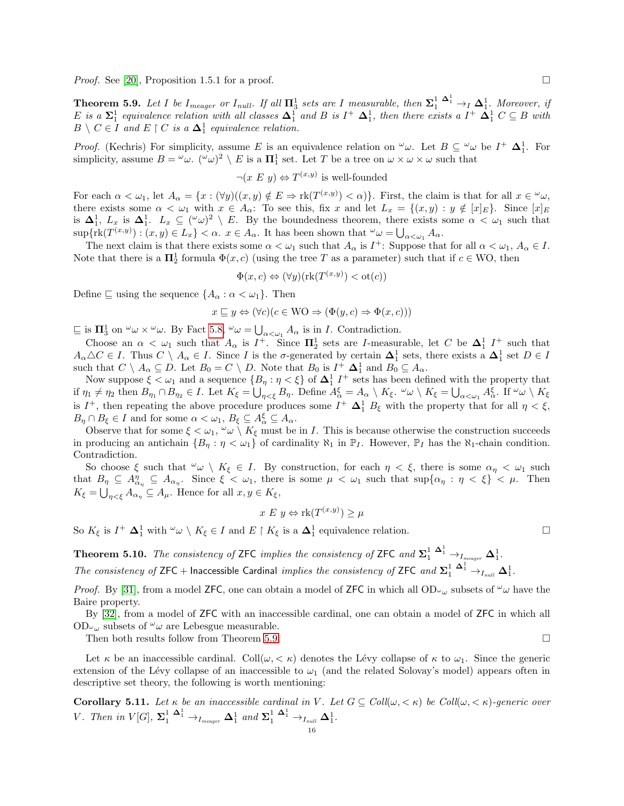*Proof.* See [\[20\]](#page-28-12), Proposition 1.5.1 for a proof.

<span id="page-15-0"></span>**Theorem 5.9.** Let I be I<sub>meager</sub> or I<sub>null</sub>. If all  $\Pi_3^1$  sets are I measurable, then  $\Sigma_1^1 \xrightarrow{\Delta_1^1} \Delta_1^1$ . Moreover, if E is a  $\Sigma_1^1$  equivalence relation with all classes  $\Delta_1^1$  and B is  $I^+$   $\Delta_1^1$ , then there exists a  $I^+$   $\Delta_1^1$   $C \subseteq B$  with  $B \setminus C \in I$  and  $E \restriction C$  is a  $\Delta_1^1$  equivalence relation.

*Proof.* (Kechris) For simplicity, assume E is an equivalence relation on  $\omega$ . Let  $B \subseteq \omega$  be  $I^+ \Delta_1^1$ . For simplicity, assume  $B = \omega \omega$ .  $(\omega \omega)^2 \setminus E$  is a  $\Pi_1^1$  set. Let T be a tree on  $\omega \times \omega \times \omega$  such that

 $\neg(x \ E \ y) \Leftrightarrow T^{(x,y)}$  is well-founded

For each  $\alpha < \omega_1$ , let  $A_\alpha = \{x : (\forall y)((x, y) \notin E \Rightarrow \text{rk}(T^{(x,y)}) < \alpha)\}\.$  First, the claim is that for all  $x \in \omega_\alpha$ , there exists some  $\alpha < \omega_1$  with  $x \in A_\alpha$ : To see this, fix x and let  $L_x = \{(x, y) : y \notin [x]_E\}$ . Since  $[x]_E$ is  $\Delta_1^1$ ,  $L_x$  is  $\Delta_1^1$ .  $L_x \subseteq (\omega \omega)^2 \setminus E$ . By the boundedness theorem, there exists some  $\alpha < \omega_1$  such that  $\sup\{\text{rk}(T^{(x,y)}): (x,y)\in L_x\}<\alpha. \ \ x\in A_\alpha.$  It has been shown that  $\omega \omega = \bigcup_{\alpha<\omega_1} A_\alpha.$ 

The next claim is that there exists some  $\alpha < \omega_1$  such that  $A_\alpha$  is  $I^+$ : Suppose that for all  $\alpha < \omega_1$ ,  $A_\alpha \in I$ . Note that there is a  $\Pi_2^1$  formula  $\Phi(x, c)$  (using the tree T as a parameter) such that if  $c \in WO$ , then

$$
\Phi(x, c) \Leftrightarrow (\forall y)(\text{rk}(T^{(x,y)}) < \text{ot}(c))
$$

Define  $\sqsubseteq$  using the sequence  ${A_{\alpha} : \alpha < \omega_1}$ . Then

$$
x \sqsubseteq y \Leftrightarrow (\forall c)(c \in \text{WO} \Rightarrow (\Phi(y, c) \Rightarrow \Phi(x, c)))
$$

 $\sqsubseteq$  is  $\Pi_3^1$  on  $\omega \times \omega$ . By Fact [5.8,](#page-14-2)  $\omega \omega = \bigcup_{\alpha < \omega_1} A_\alpha$  is in I. Contradiction.

Choose an  $\alpha < \omega_1$  such that  $A_\alpha$  is  $I^+$ . Since  $\Pi_2^1$  sets are I-measurable, let C be  $\Delta_1^1$  I<sup>+</sup> such that  $A_{\alpha} \triangle C \in I$ . Thus  $C \setminus A_{\alpha} \in I$ . Since I is the  $\sigma$ -generated by certain  $\Delta_1^1$  sets, there exists a  $\Delta_1^1$  set  $D \in I$ such that  $C \setminus A_\alpha \subseteq D$ . Let  $B_0 = C \setminus D$ . Note that  $B_0$  is  $I^+ \Delta_1^1$  and  $B_0 \subseteq A_\alpha$ .

Now suppose  $\xi < \omega_1$  and a sequence  $\{B_\eta : \eta < \xi\}$  of  $\Delta_1^1$   $I^+$  sets has been defined with the property that if  $\eta_1 \neq \eta_2$  then  $B_{\eta_1} \cap B_{\eta_2} \in I$ . Let  $K_{\xi} = \bigcup_{\eta < \xi} B_{\eta}$ . Define  $A_{\alpha}^{\xi} = A_{\alpha} \setminus K_{\xi}$ .  $\omega \setminus K_{\xi} = \bigcup_{\alpha < \omega_1} A_{\alpha}^{\xi}$ . If  $\omega \setminus K_{\xi}$ is  $I^+$ , then repeating the above procedure produces some  $I^+$   $\Delta_1^1$   $B_\xi$  with the property that for all  $\eta < \xi$ ,  $B_{\eta} \cap B_{\xi} \in I$  and for some  $\alpha < \omega_1, B_{\xi} \subseteq A_{\alpha}^{\xi} \subseteq A_{\alpha}$ .

Observe that for some  $\xi < \omega_1$ ,  $\omega \setminus K_{\xi}$  must be in I. This is because otherwise the construction succeeds in producing an antichain  $\{B_n : \eta < \omega_1\}$  of cardinality  $\aleph_1$  in  $\mathbb{P}_I$ . However,  $\mathbb{P}_I$  has the  $\aleph_1$ -chain condition. Contradiction.

So choose  $\xi$  such that  $\omega \wedge K_{\xi} \in I$ . By construction, for each  $\eta < \xi$ , there is some  $\alpha_{\eta} < \omega_1$  such that  $B_{\eta} \subseteq A_{\alpha_{\eta}}^{\eta} \subseteq A_{\alpha_{\eta}}$ . Since  $\xi < \omega_1$ , there is some  $\mu < \omega_1$  such that  $\sup\{\alpha_{\eta} : \eta < \xi\} < \mu$ . Then  $K_{\xi} = \bigcup_{\eta < \xi} A_{\alpha_{\eta}} \subseteq A_{\mu}$ . Hence for all  $x, y \in K_{\xi}$ ,

$$
x \mathrel{E} y \Leftrightarrow \text{rk}(T^{(x,y)}) \ge \mu
$$

So  $K_{\xi}$  is  $I^{+} \Delta_{1}^{1}$  with  $\omega \setminus K_{\xi} \in I$  and  $E \upharpoonright K_{\xi}$  is a  $\Delta_{1}^{1}$  equivalence relation.

**Theorem 5.10.** The consistency of ZFC implies the consistency of ZFC and  $\Sigma_1^1$   $\overset{\Delta_1^1}{\rightarrow}$   $\rightarrow$   $I_{meager}$   $\Delta_1^1$ . The consistency of ZFC + Inaccessible Cardinal implies the consistency of ZFC and  $\Sigma_1^1$   $\overset{\Delta_1^1}{\rightarrow}$   $\to_{I_{null}} \Delta_1^1$ .

*Proof.* By [\[31\]](#page-28-13), from a model ZFC, one can obtain a model of ZFC in which all  $OD\omega_{\omega}$  subsets of  $\omega_{\omega}$  have the Baire property.

By [\[32\]](#page-28-14), from a model of ZFC with an inaccessible cardinal, one can obtain a model of ZFC in which all  $OD\omega_{\omega}$  subsets of  $\omega_{\omega}$  are Lebesgue measurable.

Then both results follow from Theorem [5.9.](#page-15-0)

Let  $\kappa$  be an inaccessible cardinal. Coll $(\omega, < \kappa)$  denotes the Lévy collapse of  $\kappa$  to  $\omega_1$ . Since the generic extension of the Lévy collapse of an inaccessible to  $\omega_1$  (and the related Solovay's model) appears often in descriptive set theory, the following is worth mentioning:

<span id="page-15-1"></span>Corollary 5.11. Let  $\kappa$  be an inaccessible cardinal in V. Let  $G \subseteq Coll(\omega, \langle \kappa \rangle)$  be Coll $(\omega, \langle \kappa \rangle)$ -generic over V. Then in  $V[G], \Sigma_1^1 \stackrel{\Delta_1^1}{\rightarrow}_{I_{meager}} \Delta_1^1$  and  $\Sigma_1^1 \stackrel{\Delta_1^1}{\rightarrow}_{I_{null}} \Delta_1^1$ .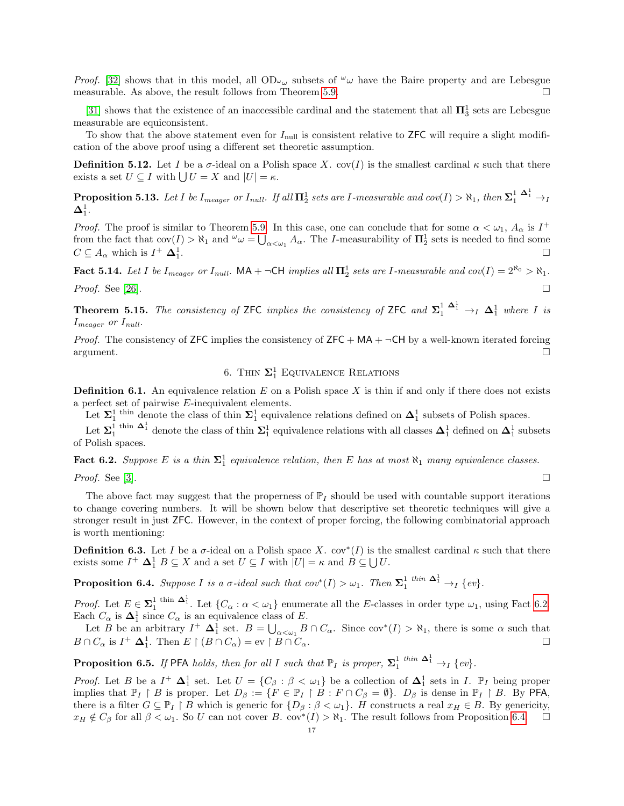*Proof.* [\[32\]](#page-28-14) shows that in this model, all OD<sub> $\omega_{\mu}$ </sub> subsets of  $\omega_{\mu}$  have the Baire property and are Lebesgue measurable. As above, the result follows from Theorem [5.9.](#page-15-0)  $\Box$ 

[\[31\]](#page-28-13) shows that the existence of an inaccessible cardinal and the statement that all  $\Pi_3^1$  sets are Lebesgue measurable are equiconsistent.

To show that the above statement even for  $I_{\text{null}}$  is consistent relative to ZFC will require a slight modification of the above proof using a different set theoretic assumption.

**Definition 5.12.** Let I be a  $\sigma$ -ideal on a Polish space X. cov(I) is the smallest cardinal  $\kappa$  such that there exists a set  $U \subseteq I$  with  $\bigcup U = X$  and  $|U| = \kappa$ .

Proposition 5.13. Let I be  $I_{measure}$  or  $I_{null}$ . If all  $\mathbf{\Pi}^1_2$  sets are I-measurable and  $cov(I) > \aleph_1$ , then  $\mathbf{\Sigma}^{1-\mathbf{\Delta}^1_1}\to_I$  $\mathbf{\Delta}^1_1.$ 

*Proof.* The proof is similar to Theorem [5.9.](#page-15-0) In this case, one can conclude that for some  $\alpha < \omega_1$ ,  $A_\alpha$  is  $I^+$ from the fact that  $cov(I) > \aleph_1$  and  $\omega = \bigcup_{\alpha < \omega_1} A_\alpha$ . The *I*-measurability of  $\mathbf{\Pi}^1_2$  sets is needed to find some  $C \subseteq A_{\alpha}$  which is  $I^+ \Delta_1^1$ . The contract of the contract of the contract of the contract of  $\Box$ 

<span id="page-16-4"></span>Fact 5.14. Let I be  $I_{measure}$  or  $I_{null}$ . MA +  $\neg$ CH implies all  $\Pi_2^1$  sets are I-measurable and  $cov(I) = 2^{\aleph_0} > \aleph_1$ . *Proof.* See [\[26\]](#page-28-15).

<span id="page-16-0"></span>**Theorem 5.15.** The consistency of ZFC implies the consistency of ZFC and  $\Sigma_1^1$   $\longrightarrow_I$   $\Delta_1^1$  where I is  $I_{measure}$  or  $I_{null}$ .

*Proof.* The consistency of ZFC implies the consistency of ZFC +  $MA + \neg CH$  by a well-known iterated forcing argument.

# 6. THIN  $\Sigma^1_1$  EQUIVALENCE RELATIONS

<span id="page-16-1"></span>**Definition 6.1.** An equivalence relation E on a Polish space X is thin if and only if there does not exists a perfect set of pairwise E-inequivalent elements.

Let  $\Sigma_1^1$ <sup>thin</sup> denote the class of thin  $\Sigma_1^1$  equivalence relations defined on  $\Delta_1^1$  subsets of Polish spaces.

Let  $\Sigma_1^1$ <sup>thin  $\Delta_1^1$ </sup> denote the class of thin  $\Sigma_1^1$  equivalence relations with all classes  $\Delta_1^1$  defined on  $\Delta_1^1$  subsets of Polish spaces.

<span id="page-16-2"></span>**Fact 6.2.** Suppose E is a thin  $\Sigma_1^1$  equivalence relation, then E has at most  $\aleph_1$  many equivalence classes.

*Proof.* See [\[3\]](#page-27-3).

The above fact may suggest that the properness of  $\mathbb{P}_I$  should be used with countable support iterations to change covering numbers. It will be shown below that descriptive set theoretic techniques will give a stronger result in just ZFC. However, in the context of proper forcing, the following combinatorial approach is worth mentioning:

**Definition 6.3.** Let I be a  $\sigma$ -ideal on a Polish space X. cov<sup>\*</sup>(I) is the smallest cardinal  $\kappa$  such that there exists some  $I^+ \Delta_1^1 B \subseteq X$  and a set  $U \subseteq I$  with  $|U| = \kappa$  and  $B \subseteq \bigcup U$ .

<span id="page-16-3"></span>**Proposition 6.4.** Suppose I is a  $\sigma$ -ideal such that  $cov^*(I) > \omega_1$ . Then  $\Sigma_1^1$  thin  $\Delta_1^1 \rightarrow_I \{ev\}$ .

*Proof.* Let  $E \in \Sigma_1^1$  thin  $\Delta_1^1$ . Let  $\{C_\alpha : \alpha < \omega_1\}$  enumerate all the E-classes in order type  $\omega_1$ , using Fact [6.2.](#page-16-2) Each  $C_{\alpha}$  is  $\Delta_1^1$  since  $C_{\alpha}$  is an equivalence class of E.

Let B be an arbitrary  $I^+$   $\Delta_1^1$  set.  $B = \bigcup_{\alpha < \omega_1} B \cap C_\alpha$ . Since  $cov^*(I) > \aleph_1$ , there is some  $\alpha$  such that  $B \cap C_{\alpha}$  is  $I^+ \Delta_1^1$ . Then  $E \upharpoonright (B \cap C_{\alpha}) = \text{ev} \upharpoonright B \cap C_{\alpha}$ .

**Proposition 6.5.** If PFA holds, then for all I such that  $\mathbb{P}_I$  is proper,  $\Sigma_1^1$  thin  $\Delta_1^1 \rightarrow_I \{ev\}$ .

*Proof.* Let B be a  $I^+$   $\Delta_1^1$  set. Let  $U = \{C_\beta : \beta < \omega_1\}$  be a collection of  $\Delta_1^1$  sets in I.  $\mathbb{P}_I$  being proper implies that  $\mathbb{P}_I \restriction B$  is proper. Let  $D_\beta := \{F \in \mathbb{P}_I \restriction B : F \cap C_\beta = \emptyset\}$ .  $D_\beta$  is dense in  $\mathbb{P}_I \restriction B$ . By PFA, there is a filter  $G \subseteq \mathbb{P}_I \upharpoonright B$  which is generic for  $\{D_\beta : \beta < \omega_1\}$ . H constructs a real  $x_H \in B$ . By genericity,  $x_H \notin C_\beta$  for all  $\beta < \omega_1$ . So U can not cover B. cov\* $(I) > \aleph_1$ . The result follows from Proposition [6.4.](#page-16-3)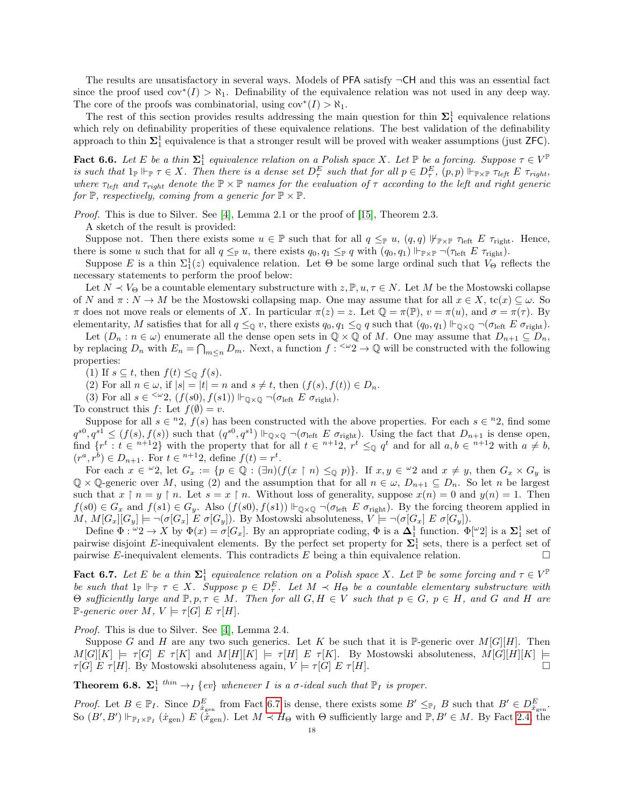The results are unsatisfactory in several ways. Models of  $PFA$  satisfy  $\neg CH$  and this was an essential fact since the proof used cov<sup>\*</sup>(I) >  $\aleph_1$ . Definability of the equivalence relation was not used in any deep way. The core of the proofs was combinatorial, using  $cov^*(I) > \aleph_1$ .

The rest of this section provides results addressing the main question for thin  $\Sigma_1^1$  equivalence relations which rely on definability properities of these equivalence relations. The best validation of the definability approach to thin  $\Sigma_1^1$  equivalence is that a stronger result will be proved with weaker assumptions (just ZFC).

**Fact 6.6.** Let E be a thin  $\Sigma_1^1$  equivalence relation on a Polish space X. Let  $\mathbb P$  be a forcing. Suppose  $\tau \in V^{\mathbb P}$ is such that  $1_{\mathbb{P}} \Vdash_{\mathbb{P}} \tau \in X$ . Then there is a dense set  $D_{\tau}^{E}$  such that for all  $p \in D_{\tau}^{E}$ ,  $(p, p) \Vdash_{\mathbb{P} \times \mathbb{P}} \tau_{left}$   $E \tau_{right}$ , where  $\tau_{left}$  and  $\tau_{right}$  denote the  $\mathbb{P}\times\mathbb{P}$  names for the evaluation of  $\tau$  according to the left and right generic for  $\mathbb{P}$ , respectively, coming from a generic for  $\mathbb{P} \times \mathbb{P}$ .

Proof. This is due to Silver. See [\[4\]](#page-27-7), Lemma 2.1 or the proof of [\[15\]](#page-28-16), Theorem 2.3.

A sketch of the result is provided:

Suppose not. Then there exists some  $u \in \mathbb{P}$  such that for all  $q \leq_{\mathbb{P}} u$ ,  $(q,q)$   $\not\Vdash_{\mathbb{P}\times\mathbb{P}} \tau_{\text{left}}$ . Hence, there is some u such that for all  $q \leq_{\mathbb{P}} u$ , there exists  $q_0, q_1 \leq_{\mathbb{P}} q$  with  $(q_0, q_1) \Vdash_{\mathbb{P} \times \mathbb{P}} \neg(\tau_{\text{left}} E \tau_{\text{right}})$ .

Suppose E is a thin  $\Sigma_1^1(z)$  equivalence relation. Let  $\Theta$  be some large ordinal such that  $V_{\Theta}$  reflects the necessary statements to perform the proof below:

Let  $N \prec V_{\Theta}$  be a countable elementary substructure with  $z, \mathbb{P}, u, \tau \in N$ . Let M be the Mostowski collapse of N and  $\pi : N \to M$  be the Mostowski collapsing map. One may assume that for all  $x \in X$ , tc(x)  $\subseteq \omega$ . So  $\pi$  does not move reals or elements of X. In particular  $\pi(z) = z$ . Let  $\mathbb{Q} = \pi(\mathbb{P})$ ,  $v = \pi(u)$ , and  $\sigma = \pi(\tau)$ . By elementarity, M satisfies that for all  $q \leq_{\mathbb{Q}} v$ , there exists  $q_0, q_1 \leq_{\mathbb{Q}} q$  such that  $(q_0, q_1) \Vdash_{\mathbb{Q}\times\mathbb{Q}} \neg(\sigma_{\text{left}} E \sigma_{\text{right}})$ .

Let  $(D_n : n \in \omega)$  enumerate all the dense open sets in  $\mathbb{Q} \times \mathbb{Q}$  of M. One may assume that  $D_{n+1} \subseteq D_n$ , by replacing  $D_n$  with  $E_n = \bigcap_{m \leq n} D_m$ . Next, a function  $f : \leq \omega_2 \to \mathbb{Q}$  will be constructed with the following properties:

(1) If  $s \subseteq t$ , then  $f(t) \leq_{\mathbb{Q}} f(s)$ .

(2) For all  $n \in \omega$ , if  $|s| = |t| = n$  and  $s \neq t$ , then  $(f(s), f(t)) \in D_n$ .

(3) For all  $s \in \langle \omega_2, (f(s_0), f(s_1)) | \vdash_{\mathbb{Q} \times \mathbb{Q}} \neg(\sigma_{\text{left}} E \sigma_{\text{right}}).$ 

To construct this  $f:$  Let  $f(\emptyset) = v$ .

Suppose for all  $s \in {}^{n}2$ ,  $f(s)$  has been constructed with the above properties. For each  $s \in {}^{n}2$ , find some  $q^{s0}, q^{s1} \leq (f(s), f(s))$  such that  $(q^{s0}, q^{s1}) \Vdash_{\mathbb{Q} \times \mathbb{Q}} \neg(\sigma_{\text{left}} E \sigma_{\text{right}})$ . Using the fact that  $D_{n+1}$  is dense open, find  $\{r^t : t \in n+12\}$  with the property that for all  $t \in n+12$ ,  $r^t \leq_0 q^t$  and for all  $a, b \in n+12$  with  $a \neq b$ ,  $(r^{a}, r^{b}) \in D_{n+1}$ . For  $t \in {}^{n+1}2$ , define  $f(t) = r^{t}$ .

For each  $x \in \omega_2$ , let  $G_x := \{p \in \mathbb{Q} : (\exists n)(f(x \upharpoonright n) \leq_{\mathbb{Q}} p)\}\$ . If  $x, y \in \omega_2$  and  $x \neq y$ , then  $G_x \times G_y$  is  $\mathbb{Q} \times \mathbb{Q}$ -generic over M, using (2) and the assumption that for all  $n \in \omega$ ,  $D_{n+1} \subseteq D_n$ . So let n be largest such that  $x \restriction n = y \restriction n$ . Let  $s = x \restriction n$ . Without loss of generality, suppose  $x(n) = 0$  and  $y(n) = 1$ . Then  $f(s0) \in G_x$  and  $f(s1) \in G_y$ . Also  $(f(s0), f(s1)) \Vdash_{\mathbb{Q}\times\mathbb{Q}} \neg(\sigma_{\text{left}} E \sigma_{\text{right}})$ . By the forcing theorem applied in M,  $M[G_x][G_y] \models \neg(\sigma[G_x] \mathrel{E} \sigma[G_y])$ . By Mostowski absoluteness,  $V \models \neg(\sigma[G_x] \mathrel{E} \sigma[G_y])$ .

Define  $\Phi: \omega_2 \to X$  by  $\Phi(x) = \sigma[G_x]$ . By an appropriate coding,  $\Phi$  is a  $\Delta_1^1$  function.  $\Phi[\omega_2]$  is a  $\Sigma_1^1$  set of pairwise disjoint E-inequivalent elements. By the perfect set property for  $\Sigma_1^1$  sets, there is a perfect set of pairwise E-inequivalent elements. This contradicts  $E$  being a thin equivalence relation.

<span id="page-17-1"></span>**Fact 6.7.** Let E be a thin  $\Sigma_1^1$  equivalence relation on a Polish space X. Let  $\mathbb P$  be some forcing and  $\tau \in V^{\mathbb P}$ be such that  $1_{\mathbb{P}} \Vdash_{\mathbb{P}} \tau \in X$ . Suppose  $p \in D_{\tau}^{E}$ . Let  $M \prec H_{\Theta}$  be a countable elementary substructure with  $\Theta$  sufficiently large and  $\mathbb{P}, p, \tau \in M$ . Then for all  $G, H \in V$  such that  $p \in G$ ,  $p \in H$ , and  $G$  and  $H$  are P-generic over  $M, V \models \tau[G] \mathop{E} \tau[H].$ 

Proof. This is due to Silver. See [\[4\]](#page-27-7), Lemma 2.4.

Suppose G and H are any two such generics. Let K be such that it is P-generic over  $M[G][H]$ . Then  $M[G][K] \models \tau[G] \mathrel{E} \tau[K]$  and  $M[H][K] \models \tau[H] \mathrel{E} \tau[K]$ . By Mostowski absoluteness,  $M[G][H][K] \models$  $\tau[G] \ E \ \tau[H]$ . By Mostowski absoluteness again,  $V \models \tau[G] \ E \ \tau[H]$ .

<span id="page-17-0"></span>**Theorem 6.8.**  $\Sigma_1^1$  thin  $\rightarrow_I$  {ev} whenever I is a  $\sigma$ -ideal such that  $\mathbb{P}_I$  is proper.

*Proof.* Let  $B \in \mathbb{P}_I$ . Since  $D_{\dot{x}_{gen}}^E$  from Fact [6.7](#page-17-1) is dense, there exists some  $B' \leq_{\mathbb{P}_I} B$  such that  $B' \in D_{\dot{x}_{gen}}^E$ . So  $(B', B') \Vdash_{\mathbb{P}_I \times \mathbb{P}_I} (\dot{x}_{gen}) E(\dot{\dot{x}}_{gen})$ . Let  $M \prec H_{\Theta}$  with  $\Theta$  sufficiently large and  $\mathbb{P}, B' \in M$ . By Fact [2.4,](#page-3-0) the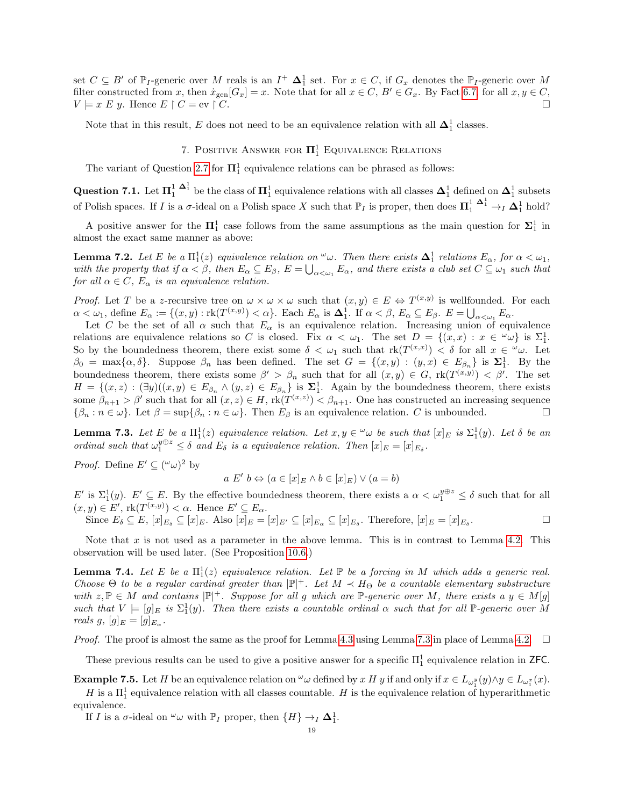set  $C \subseteq B'$  of  $\mathbb{P}_I$ -generic over M reals is an  $I^+$   $\mathbf{\Delta}_1^1$  set. For  $x \in C$ , if  $G_x$  denotes the  $\mathbb{P}_I$ -generic over M filter constructed from x, then  $\dot{x}_{gen}[G_x] = x$ . Note that for all  $x \in C$ ,  $B' \in G_x$ . By Fact [6.7,](#page-17-1) for all  $x, y \in C$ ,  $V \models x \mathrel{E} y$ . Hence  $E \restriction C = \text{ev} \restriction C$ .

Note that in this result, E does not need to be an equivalence relation with all  $\Delta_1^1$  classes.

# 7. POSITIVE ANSWER FOR  $\Pi^1_1$  EQUIVALENCE RELATIONS

<span id="page-18-0"></span>The variant of Question [2.7](#page-4-3) for  $\mathbf{\Pi}^1_1$  equivalence relations can be phrased as follows:

Question 7.1. Let  $\Pi_1^1 \xrightarrow{\Delta_1^1}$  be the class of  $\Pi_1^1$  equivalence relations with all classes  $\Delta_1^1$  defined on  $\Delta_1^1$  subsets of Polish spaces. If I is a  $\sigma$ -ideal on a Polish space X such that  $\mathbb{P}_I$  is proper, then does  $\prod_1^1 \frac{\Delta_1^1}{\sigma_1} \to_I \Delta_1^1$  hold?

A positive answer for the  $\Pi_1^1$  case follows from the same assumptions as the main question for  $\Sigma_1^1$  in almost the exact same manner as above:

<span id="page-18-1"></span>**Lemma 7.2.** Let E be a  $\Pi_1^1(z)$  equivalence relation on  $\omega$ . Then there exists  $\Delta_1^1$  relations  $E_\alpha$ , for  $\alpha < \omega_1$ , with the property that if  $\alpha < \beta$ , then  $E_{\alpha} \subseteq E_{\beta}$ ,  $E = \bigcup_{\alpha < \omega_1} E_{\alpha}$ , and there exists a club set  $C \subseteq \omega_1$  such that for all  $\alpha \in C$ ,  $E_{\alpha}$  is an equivalence relation.

*Proof.* Let T be a z-recursive tree on  $\omega \times \omega \times \omega$  such that  $(x, y) \in E \Leftrightarrow T^{(x,y)}$  is wellfounded. For each  $\alpha < \omega_1$ , define  $E_\alpha := \{(x, y) : \text{rk}(T^{(x,y)}) < \alpha\}$ . Each  $E_\alpha$  is  $\Delta_1^1$ . If  $\alpha < \beta$ ,  $E_\alpha \subseteq E_\beta$ .  $E = \bigcup_{\alpha < \omega_1} E_\alpha$ .

Let C be the set of all  $\alpha$  such that  $E_{\alpha}$  is an equivalence relation. Increasing union of equivalence relations are equivalence relations so C is closed. Fix  $\alpha < \omega_1$ . The set  $D = \{(x, x) : x \in \alpha \omega\}$  is  $\Sigma_1^1$ . So by the boundedness theorem, there exist some  $\delta < \omega_1$  such that  $\text{rk}(T^{(x,x)}) < \delta$  for all  $x \in \omega$ . Let  $\beta_0 = \max\{\alpha, \delta\}$ . Suppose  $\beta_n$  has been defined. The set  $G = \{(x, y) : (y, x) \in E_{\beta_n}\}\$ is  $\Sigma_1^1$ . By the boundedness theorem, there exists some  $\beta' > \beta_n$  such that for all  $(x, y) \in G$ ,  $rk(T^{(x,y)}) < \beta'$ . The set  $H = \{(x, z) : (\exists y)((x, y) \in E_{\beta_n} \land (y, z) \in E_{\beta_n}\}\$ is  $\Sigma_1^1$ . Again by the boundedness theorem, there exists some  $\beta_{n+1} > \beta'$  such that for all  $(x, z) \in H$ ,  $rk(T^{(x,z)}) < \beta_{n+1}$ . One has constructed an increasing sequence  $\{\beta_n : n \in \omega\}$ . Let  $\beta = \sup\{\beta_n : n \in \omega\}$ . Then  $E_\beta$  is an equivalence relation. C is unbounded.

<span id="page-18-2"></span>**Lemma 7.3.** Let  $E$  be a  $\Pi_1^1(z)$  equivalence relation. Let  $x, y \in \omega$  be such that  $[x]_E$  is  $\Sigma_1^1(y)$ . Let  $\delta$  be an ordinal such that  $\omega_1^{y \oplus z} \leq \delta$  and  $E_{\delta}$  is a equivalence relation. Then  $[x]_E = [x]_{E_{\delta}}$ .

*Proof.* Define  $E' \subseteq (\omega \omega)^2$  by

$$
a E' b \Leftrightarrow (a \in [x]_E \land b \in [x]_E) \lor (a = b)
$$

 $E'$  is  $\Sigma_1^1(y)$ .  $E' \subseteq E$ . By the effective boundedness theorem, there exists a  $\alpha < \omega_1^{y \oplus z} \leq \delta$  such that for all  $(x, y) \in E'$ ,  $rk(T^{(x,y)}) < \alpha$ . Hence  $E' \subseteq E_{\alpha}$ .

Since  $E_{\delta} \subseteq E$ ,  $[x]_{E_{\delta}} \subseteq [x]_E$ . Also  $[x]_E = [x]_{E'} \subseteq [x]_{E_{\alpha}} \subseteq [x]_{E_{\delta}}$ . Therefore,  $[x]_E = [x]_{E_{\delta}}$ . — Первый проста в сервести проста в сервести проста в сервести проста в сервести проста в сервести проста в<br>В сервести проста в сервести проста в сервести проста в сервести проста в сервести проста в сервести проста в

Note that x is not used as a parameter in the above lemma. This is in contrast to Lemma [4.2.](#page-7-1) This observation will be used later. (See Proposition [10.6.](#page-25-0))

<span id="page-18-3"></span>**Lemma 7.4.** Let E be a  $\Pi_1^1(z)$  equivalence relation. Let  $\mathbb P$  be a forcing in M which adds a generic real. Choose  $\Theta$  to be a regular cardinal greater than  $|\mathbb{P}|^+$ . Let  $M \prec H_\Theta$  be a countable elementary substructure with  $z, \mathbb{P} \in M$  and contains  $|\mathbb{P}|^+$ . Suppose for all g which are  $\mathbb{P}$ -generic over M, there exists a  $y \in M[g]$ such that  $V = [g]_E$  is  $\Sigma_1^1(y)$ . Then there exists a countable ordinal  $\alpha$  such that for all P-generic over M reals  $g, [g]_E = [g]_{E_{\alpha}}$ .

*Proof.* The proof is almost the same as the proof for Lemma [4.3](#page-8-0) using Lemma [7.3](#page-18-2) in place of Lemma [4.2.](#page-7-1)  $\Box$ 

These previous results can be used to give a positive answer for a specific  $\Pi_1^1$  equivalence relation in ZFC.

**Example 7.5.** Let H be an equivalence relation on  $\omega$  defined by x H y if and only if  $x \in L_{\omega_1^y}(y) \wedge y \in L_{\omega_1^x}(x)$ .

H is a  $\Pi_1^1$  equivalence relation with all classes countable. H is the equivalence relation of hyperarithmetic equivalence.

If *I* is a  $\sigma$ -ideal on  $\omega$  with  $\mathbb{P}_I$  proper, then  $\{H\} \to_I \Delta_1^1$ .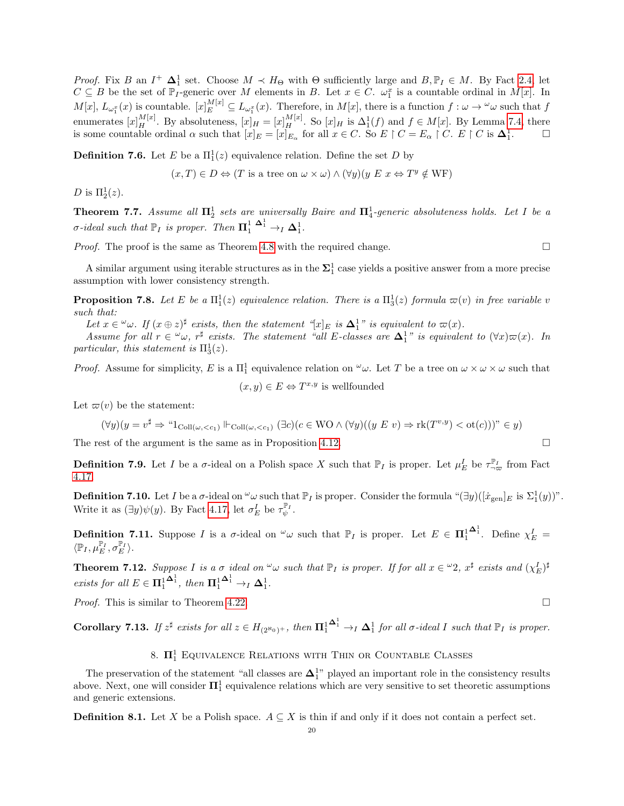*Proof.* Fix B an  $I^+$   $\Delta_1^1$  set. Choose  $M \prec H_{\Theta}$  with  $\Theta$  sufficiently large and  $B, \mathbb{P}_I \in M$ . By Fact [2.4,](#page-3-0) let  $C \subseteq B$  be the set of  $\mathbb{P}_I$ -generic over M elements in B. Let  $x \in C$ .  $\omega_1^x$  is a countable ordinal in  $M[x]$ . In  $M[x], L_{\omega_1^x}(x)$  is countable.  $[x]_E^{M[x]} \subseteq L_{\omega_1^x}(x)$ . Therefore, in  $M[x]$ , there is a function  $f : \omega \to {}^{\omega} \omega$  such that  $f$ enumerates  $[x]_H^{M[x]}$ . By absoluteness,  $[x]_H = [x]_H^{M[x]}$ . So  $[x]_H$  is  $\Delta_1^1(f)$  and  $f \in M[x]$ . By Lemma [7.4,](#page-18-3) there is some countable ordinal  $\alpha$  such that  $[x]_E = [x]_{E_\alpha}$  for all  $x \in C$ . So  $E \upharpoonright C = E_\alpha \upharpoonright C$ .  $E \upharpoonright C$  is  $\Delta_1^1$ .

**Definition 7.6.** Let E be a  $\Pi_1^1(z)$  equivalence relation. Define the set D by

 $(x, T) \in D \Leftrightarrow (T \text{ is a tree on } \omega \times \omega) \wedge (\forall y)(y \ E \ x \Leftrightarrow T^y \notin \text{WF})$ 

D is  $\Pi_2^1(z)$ .

**Theorem 7.7.** Assume all  $\Pi_2^1$  sets are universally Baire and  $\Pi_4^1$ -generic absoluteness holds. Let I be a *σ*-ideal such that  $\mathbb{P}_I$  is proper. Then  $\mathbf{\Pi}_1^1 \xrightarrow{\mathbf{\Delta}_1^1} \rightarrow_I \mathbf{\Delta}_1^1$ .

*Proof.* The proof is the same as Theorem [4.8](#page-9-2) with the required change.  $\square$ 

A similar argument using iterable structures as in the  $\Sigma_1^1$  case yields a positive answer from a more precise assumption with lower consistency strength.

**Proposition 7.8.** Let E be a  $\Pi_1^1(z)$  equivalence relation. There is a  $\Pi_3^1(z)$  formula  $\varpi(v)$  in free variable v such that:

Let  $x \in \omega$ . If  $(x \oplus z)^{\sharp}$  exists, then the statement "[x] E is  $\Delta_1^1$ " is equivalent to  $\varpi(x)$ .

Assume for all  $r \in \omega$ ,  $r^{\sharp}$  exists. The statement "all E-classes are  $\Delta_1^1$ " is equivalent to  $(\forall x)\varpi(x)$ . In particular, this statement is  $\Pi_3^1(z)$ .

*Proof.* Assume for simplicity, E is a  $\Pi_1^1$  equivalence relation on  $\omega \omega$ . Let T be a tree on  $\omega \times \omega \times \omega$  such that

$$
(x, y) \in E \Leftrightarrow T^{x,y}
$$
 is well  
founded

Let  $\varpi(v)$  be the statement:

$$
(\forall y)(y = v^{\sharp} \Rightarrow \text{``1}_{\text{Coll}(\omega, < c_1)} \Vdash_{\text{Coll}(\omega, < c_1)} (\exists c)(c \in \text{WO} \land (\forall y)((y \ E \ v) \Rightarrow \text{rk}(T^{v,y}) < \text{ot}(c))) \text{''} \in y)
$$

The rest of the argument is the same as in Proposition [4.12.](#page-10-0)  $\Box$ 

**Definition 7.9.** Let I be a  $\sigma$ -ideal on a Polish space X such that  $\mathbb{P}_I$  is proper. Let  $\mu_E^I$  be  $\tau_{\neg \varpi}^{\mathbb{P}_I}$  from Fact [4.17.](#page-12-2)

**Definition 7.10.** Let I be a  $\sigma$ -ideal on  $\omega$  such that  $\mathbb{P}_I$  is proper. Consider the formula " $(\exists y)([\dot{x}_{gen}]_E$  is  $\Sigma_1^1(y)$ ". Write it as  $(\exists y)\psi(y)$ . By Fact [4.17,](#page-12-2) let  $\sigma_E^I$  be  $\tau_{\psi}^{\mathbb{P}_I}$ .

**Definition 7.11.** Suppose I is a  $\sigma$ -ideal on  $\omega$  such that  $\mathbb{P}_I$  is proper. Let  $E \in \Pi_1^1$  $\mathbf{\Delta}^1$ . Define  $\chi^I_E =$  $\langle \mathbb{P}_I, \mu_E^{\mathbb{P}_I}, \sigma_E^{\mathbb{P}_I} \rangle.$ 

<span id="page-19-0"></span>**Theorem 7.12.** Suppose I is a  $\sigma$  ideal on  $\omega$  such that  $\mathbb{P}_I$  is proper. If for all  $x \in \omega_2$ ,  $x^{\sharp}$  exists and  $(\chi_E^I)^{\sharp}$ exists for all  $E \in \mathbf{\Pi}^1_1$  $\mathbf{\Delta}^1_1$ , then  $\mathbf{\Pi}^1_1$  $\mathbf{\Delta}^1_1 \to_I \mathbf{\Delta}^1_1.$ 

*Proof.* This is similar to Theorem [4.22.](#page-13-0)

**Corollary 7.13.** If  $z^{\sharp}$  exists for all  $z \in H_{(2^{\aleph_0})^+}$ , then  $\mathbf{\Pi}^1_1$  $\mathbf{\Delta}^1_1 \rightarrow_I \mathbf{\Delta}^1_1$  for all  $\sigma$ -ideal I such that  $\mathbb{P}_I$  is proper.

# 8.  $\Pi^1_1$  Equivalence Relations with Thin or Countable Classes

<span id="page-19-1"></span>The preservation of the statement "all classes are  $\Delta_1^{1}$ " played an important role in the consistency results above. Next, one will consider  $\mathbf{\Pi}^1_1$  equivalence relations which are very sensitive to set theoretic assumptions and generic extensions.

**Definition 8.1.** Let X be a Polish space.  $A \subseteq X$  is thin if and only if it does not contain a perfect set.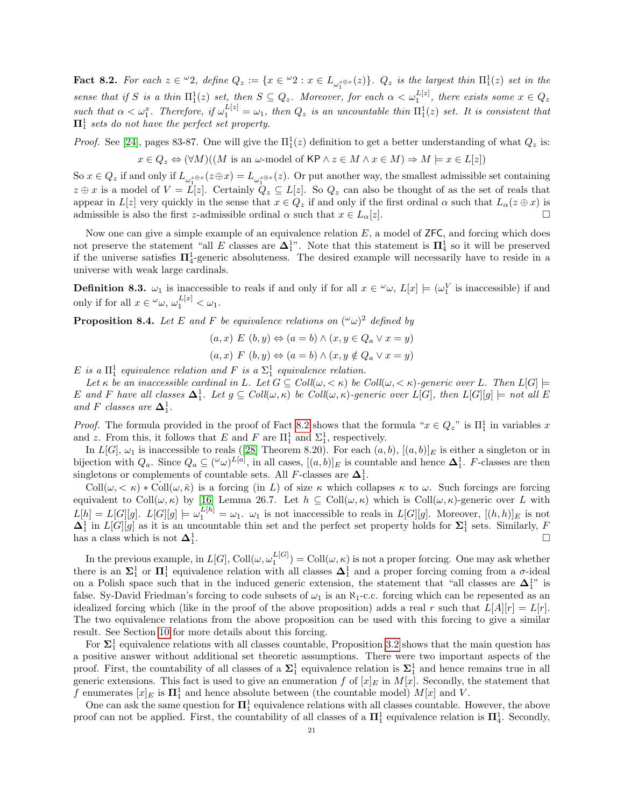<span id="page-20-0"></span>**Fact 8.2.** For each  $z \in \omega_2$ , define  $Q_z := \{x \in \omega_2 : x \in L_{\omega_1^{z \oplus x}}(z)\}\$ .  $Q_z$  is the largest thin  $\Pi_1^1(z)$  set in the sense that if S is a thin  $\Pi_1^1(z)$  set, then  $S \subseteq Q_z$ . Moreover, for each  $\alpha < \omega_1^{L[z]}$ , there exists some  $x \in Q_z$ such that  $\alpha < \omega_1^x$ . Therefore, if  $\omega_1^{L[z]} = \omega_1$ , then  $Q_z$  is an uncountable thin  $\Pi_1^1(z)$  set. It is consistent that  $\Pi^1_1$  sets do not have the perfect set property.

*Proof.* See [\[24\]](#page-28-4), pages 83-87. One will give the  $\Pi_1^1(z)$  definition to get a better understanding of what  $Q_z$  is:

$$
x \in Q_z \Leftrightarrow (\forall M)((M \text{ is an } \omega \text{-model of KP} \land z \in M \land x \in M) \Rightarrow M \models x \in L[z])
$$

So  $x \in Q_z$  if and only if  $L_{\omega_1^{z\oplus x}}(z\oplus x) = L_{\omega_1^{z\oplus x}}(z)$ . Or put another way, the smallest admissible set containing  $z \oplus x$  is a model of  $V = L[z]$ . Certainly  $Q_z \subseteq L[z]$ . So  $Q_z$  can also be thought of as the set of reals that appear in  $L[z]$  very quickly in the sense that  $x \in Q_z$  if and only if the first ordinal  $\alpha$  such that  $L_{\alpha}(z \oplus x)$  is admissible is also the first z-admissible ordinal  $\alpha$  such that  $x \in L_{\alpha}[z]$ .

Now one can give a simple example of an equivalence relation  $E$ , a model of  $ZFC$ , and forcing which does not preserve the statement "all E classes are  $\Delta_1^{1}$ ". Note that this statement is  $\Pi_4^1$  so it will be preserved if the universe satisfies  $\Pi_4^1$ -generic absoluteness. The desired example will necessarily have to reside in a universe with weak large cardinals.

**Definition 8.3.**  $\omega_1$  is inaccessible to reals if and only if for all  $x \in \omega$ ,  $L[x] \models (\omega_1^V$  is inaccessible) if and only if for all  $x \in \omega$ ,  $\omega_1^{L[x]} < \omega_1$ .

**Proposition 8.4.** Let E and F be equivalence relations on  $({}^{\omega}\omega)^2$  defined by

 $(a, x) E (b, y) \Leftrightarrow (a = b) \wedge (x, y \in Q_a \vee x = y)$  $(a, x) \ F (b, y) \Leftrightarrow (a = b) \wedge (x, y \notin Q_a \vee x = y)$ 

E is a  $\Pi_1^1$  equivalence relation and F is a  $\Sigma_1^1$  equivalence relation.

Let  $\kappa$  be an inaccessible cardinal in L. Let  $G \subseteq Coll(\omega, < \kappa)$  be  $Coll(\omega, < \kappa)$ -generic over L. Then  $L[G] \models$ E and F have all classes  $\Delta_1^1$ . Let  $g \subseteq Coll(\omega, \kappa)$  be Coll $(\omega, \kappa)$ -generic over  $L[G],$  then  $L[G][g] \models not$  all E and F classes are  $\mathbf{\Delta}^1_1$ .

*Proof.* The formula provided in the proof of Fact [8.2](#page-20-0) shows that the formula " $x \in Q_z$ " is  $\Pi_1^1$  in variables x and z. From this, it follows that E and F are  $\Pi_1^1$  and  $\Sigma_1^1$ , respectively.

In $L[G], \omega_1$  is inaccessible to reals ([\[28\]](#page-28-8) Theorem 8.20). For each  $(a, b), [(a, b)]_E$  is either a singleton or in bijection with  $Q_a$ . Since  $Q_a \subseteq (\omega \omega)^{L[a]}$ , in all cases,  $[(a, b)]_E$  is countable and hence  $\Delta_1^1$ . F-classes are then singletons or complements of countable sets. All F-classes are  $\Delta_1^1$ .

 $\text{Coll}(\omega, \langle \kappa \rangle) * \text{Coll}(\omega, \tilde{\kappa})$  is a forcing (in L) of size  $\kappa$  which collapses  $\kappa$  to  $\omega$ . Such forcings are forcing equivalent to Coll $(\omega, \kappa)$  by [\[16\]](#page-28-17) Lemma 26.7. Let  $h \subseteq Coll(\omega, \kappa)$  which is Coll $(\omega, \kappa)$ -generic over L with  $L[h] = L[G][g]$ .  $L[G][g] \models \omega_1^{L[h]} = \omega_1$ .  $\omega_1$  is not inaccessible to reals in  $L[G][g]$ . Moreover,  $[(h,h)]_E$  is not  $\Delta_1^1$  in  $L[G][g]$  as it is an uncountable thin set and the perfect set property holds for  $\Sigma_1^1$  sets. Similarly, F has a class which is not  $\Delta_1^1$ .

In the previous example, in  $L[G]$ ,  $\text{Coll}(\omega, \omega_1^{L[G]}) = \text{Coll}(\omega, \kappa)$  is not a proper forcing. One may ask whether there is an  $\Sigma_1^1$  or  $\Pi_1^1$  equivalence relation with all classes  $\Delta_1^1$  and a proper forcing coming from a  $\sigma$ -ideal on a Polish space such that in the induced generic extension, the statement that "all classes are  $\Delta_1^{1''}$  is false. Sy-David Friedman's forcing to code subsets of  $\omega_1$  is an  $\aleph_1$ -c.c. forcing which can be repesented as an idealized forcing which (like in the proof of the above proposition) adds a real r such that  $L[A][r] = L[r]$ . The two equivalence relations from the above proposition can be used with this forcing to give a similar result. See Section [10](#page-24-1) for more details about this forcing.

For  $\Sigma_1^1$  equivalence relations with all classes countable, Proposition [3.2](#page-4-2) shows that the main question has a positive answer without additional set theoretic assumptions. There were two important aspects of the proof. First, the countability of all classes of a  $\Sigma_1^1$  equivalence relation is  $\Sigma_1^1$  and hence remains true in all generic extensions. This fact is used to give an enumeration f of  $[x]_E$  in  $M[x]$ . Secondly, the statement that f enumerates  $[x]_E$  is  $\mathbf{\Pi}^1_1$  and hence absolute between (the countable model)  $M[x]$  and V.

One can ask the same question for  $\mathbf{\Pi}^1_1$  equivalence relations with all classes countable. However, the above proof can not be applied. First, the countability of all classes of a  $\Pi_1^1$  equivalence relation is  $\Pi_4^1$ . Secondly,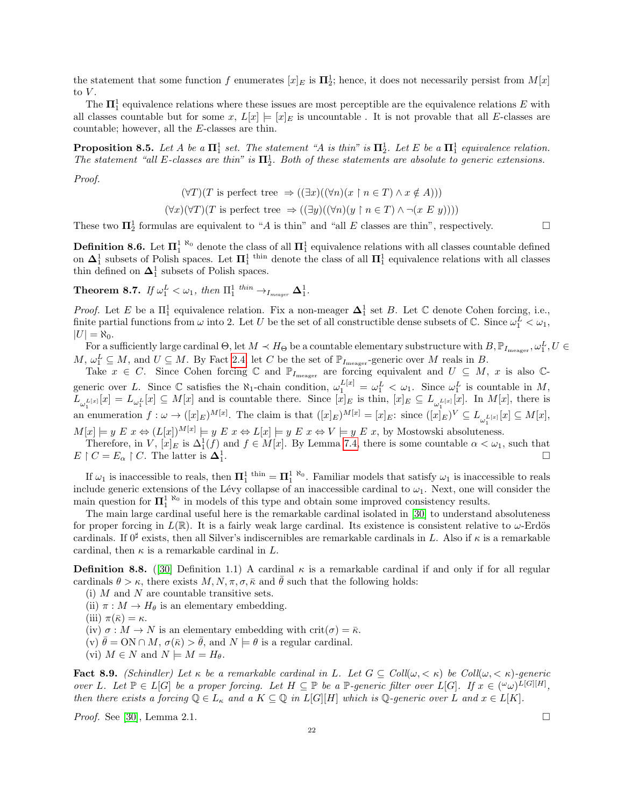the statement that some function f enumerates  $[x]_E$  is  $\mathbf{\Pi}^1_2$ ; hence, it does not necessarily persist from  $M[x]$ to  $V$ .

The  $\Pi_1^1$  equivalence relations where these issues are most perceptible are the equivalence relations E with all classes countable but for some x,  $L[x] \models [x]_E$  is uncountable. It is not provable that all E-classes are countable; however, all the E-classes are thin.

**Proposition 8.5.** Let A be a  $\mathbf{\Pi}^1_1$  set. The statement "A is thin" is  $\mathbf{\Pi}^1_2$ . Let E be a  $\mathbf{\Pi}^1_1$  equivalence relation. The statement "all E-classes are thin" is  $\Pi_2^1$ . Both of these statements are absolute to generic extensions.

Proof.

$$
(\forall T)(T \text{ is perfect tree } \Rightarrow ((\exists x)((\forall n)(x \upharpoonright n \in T) \land x \notin A)))
$$

 $(\forall x)(\forall T)(T \text{ is perfect tree } \Rightarrow ((\exists y)((\forall n)(y \upharpoonright n \in T) \land \neg(x \in y))))$ 

These two  $\Pi_2^1$  formulas are equivalent to "A is thin" and "all E classes are thin", respectively.

**Definition 8.6.** Let  $\Pi_1^{1 \text{ N}_0}$  denote the class of all  $\Pi_1^1$  equivalence relations with all classes countable defined on  $\Delta_1^1$  subsets of Polish spaces. Let  $\Pi_1^1$ <sup>thin</sup> denote the class of all  $\Pi_1^1$  equivalence relations with all classes thin defined on  $\mathbf{\Delta}^1_1$  subsets of Polish spaces.

**Theorem 8.7.** If  $\omega_1^L < \omega_1$ , then  $\Pi_1^1$  <sup>thin</sup>  $\rightarrow_{I_{meger}} \mathbf{\Delta}_1^1$ .

*Proof.* Let E be a  $\Pi_1^1$  equivalence relation. Fix a non-meager  $\Delta_1^1$  set B. Let  $\mathbb C$  denote Cohen forcing, i.e., finite partial functions from  $\omega$  into 2. Let U be the set of all constructible dense subsets of  $\mathbb{C}$ . Since  $\omega_1^L < \omega_1$ ,  $|U| = \aleph_0$ .

For a sufficiently large cardinal  $\Theta$ , let  $M \prec H_\Theta$  be a countable elementary substructure with  $B, \mathbb{P}_{I_\text{meager}}, \omega_1^L, U \in$  $M, \omega_1^L \subseteq M$ , and  $U \subseteq M$ . By Fact [2.4,](#page-3-0) let C be the set of  $\mathbb{P}_{I_{\text{meager}}}$ -generic over M reals in B.

Take  $x \in C$ . Since Cohen forcing C and  $\mathbb{P}_{I_{\text{meager}}}$  are forcing equivalent and  $U \subseteq M$ , x is also Cgeneric over L. Since  $\mathbb C$  satisfies the  $\aleph_1$ -chain condition,  $\omega_1^{L[x]} = \omega_1^L < \omega_1$ . Since  $\omega_1^L$  is countable in M,  $L_{\omega_1^{L[x]}}[x] = L_{\omega_1^{L}}[x] \subseteq M[x]$  and is countable there. Since  $[x]_E$  is thin,  $[x]_E \subseteq L_{\omega_1^{L[x]}}[x]$ . In  $M[x]$ , there is an enumeration  $f: \omega \to ([x]_E)^{M[x]}$ . The claim is that  $([x]_E)^{M[x]} = [x]_E$ : since  $([x]_E)^V \subseteq L_{\omega_1^{L[x]}}[x] \subseteq M[x]$ ,

 $M[x] \models y \ E \ x \Leftrightarrow (L[x])^{M[x]} \models y \ E \ x \Leftrightarrow L[x] \models y \ E \ x \Leftrightarrow V \models y \ E \ x, \text{ by Mostowski absoluteness.}$ 

Therefore, in V,  $[x]_E$  is  $\Delta_1^1(f)$  and  $f \in M[x]$ . By Lemma [7.4,](#page-18-3) there is some countable  $\alpha < \omega_1$ , such that  $E \restriction C = E_{\alpha} \restriction C$ . The latter is  $\Delta_1^1$ .

If  $\omega_1$  is inaccessible to reals, then  $\mathbf{\Pi}_1^1$ <sup>thin</sup> =  $\mathbf{\Pi}_1^1$ <sup>N<sub>0</sub></sup>. Familiar models that satisfy  $\omega_1$  is inaccessible to reals include generic extensions of the Lévy collapse of an inaccessible cardinal to  $\omega_1$ . Next, one will consider the main question for  $\Pi_1^1$ <sup> $\aleph_0$ </sup> in models of this type and obtain some improved consistency results.

The main large cardinal useful here is the remarkable cardinal isolated in [\[30\]](#page-28-18) to understand absoluteness for proper forcing in  $L(\mathbb{R})$ . It is a fairly weak large cardinal. Its existence is consistent relative to  $\omega$ -Erdös cardinals. If  $0^{\sharp}$  exists, then all Silver's indiscernibles are remarkable cardinals in L. Also if  $\kappa$  is a remarkable cardinal, then  $\kappa$  is a remarkable cardinal in  $L$ .

**Definition 8.8.** ([\[30\]](#page-28-18) Definition 1.1) A cardinal  $\kappa$  is a remarkable cardinal if and only if for all regular cardinals  $\theta > \kappa$ , there exists  $M, N, \pi, \sigma, \bar{\kappa}$  and  $\bar{\theta}$  such that the following holds:

- (i)  $M$  and  $N$  are countable transitive sets.
- (ii)  $\pi : M \to H_{\theta}$  is an elementary embedding.
- (iii)  $\pi(\bar{\kappa}) = \kappa$ .
- (iv)  $\sigma : M \to N$  is an elementary embedding with crit $(\sigma) = \bar{\kappa}$ .
- (v)  $\bar{\theta} = \text{ON} \cap M$ ,  $\sigma(\bar{\kappa}) > \bar{\theta}$ , and  $N \models \theta$  is a regular cardinal.
- (vi)  $M \in N$  and  $N \models M = H_{\theta}$ .

<span id="page-21-0"></span>Fact 8.9. (Schindler) Let  $\kappa$  be a remarkable cardinal in L. Let  $G \subseteq Coll(\omega, \langle \kappa \rangle)$  be  $Coll(\omega, \langle \kappa \rangle)$ -generic over L. Let  $\mathbb{P} \in L[G]$  be a proper forcing. Let  $H \subseteq \mathbb{P}$  be a  $\mathbb{P}$ -generic filter over  $L[G]$ . If  $x \in (\mathbb{P} \omega)^{L[G][H]}$ , then there exists a forcing  $\mathbb{Q} \in L_{\kappa}$  and a  $K \subseteq \mathbb{Q}$  in  $L[G][H]$  which is  $\mathbb{Q}$ -generic over L and  $x \in L[K]$ .

*Proof.* See [\[30\]](#page-28-18), Lemma 2.1.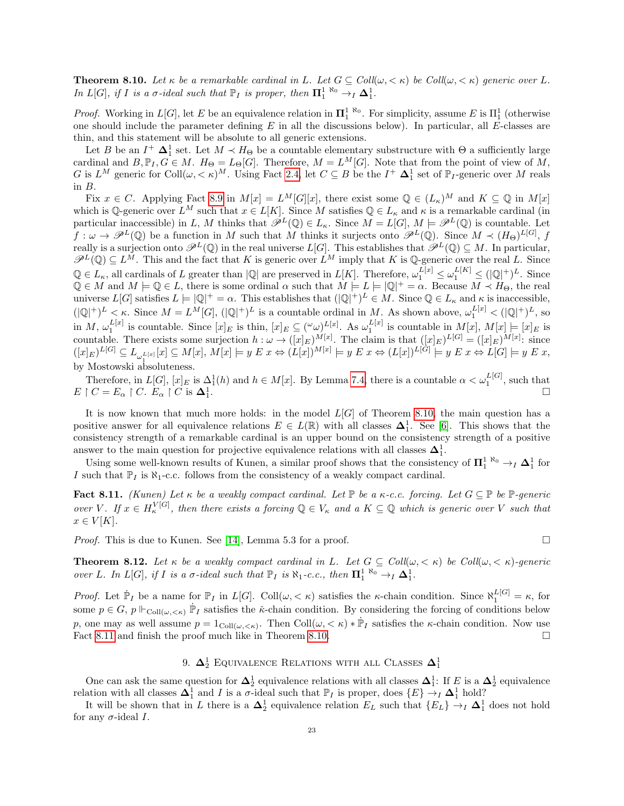<span id="page-22-0"></span>**Theorem 8.10.** Let  $\kappa$  be a remarkable cardinal in L. Let  $G \subseteq Coll(\omega, \langle \kappa \rangle)$  be Coll $(\omega, \langle \kappa \rangle)$  generic over L. In L[G], if I is a  $\sigma$ -ideal such that  $\mathbb{P}_I$  is proper, then  $\Pi_1^{1 \aleph_0} \rightarrow_I \Delta_1^1$ .

*Proof.* Working in  $L[G]$ , let E be an equivalence relation in  $\mathbf{\Pi}_1^{1 \text{ } \aleph_0}$ . For simplicity, assume E is  $\Pi_1^1$  (otherwise one should include the parameter defining  $E$  in all the discussions below). In particular, all  $E$ -classes are thin, and this statement will be absolute to all generic extensions.

Let B be an  $I^+$   $\Delta_1^1$  set. Let  $M \prec H_\Theta$  be a countable elementary substructure with  $\Theta$  a sufficiently large cardinal and  $B, \mathbb{P}_I, G \in M$ .  $H_{\Theta} = L_{\Theta}[G]$ . Therefore,  $M = L^M[G]$ . Note that from the point of view of M, G is  $L^M$  generic for  $\text{Coll}(\omega, <\kappa)^M$ . Using Fact [2.4,](#page-3-0) let  $C \subseteq B$  be the  $I^+$   $\Delta_1^1$  set of  $\mathbb{P}_I$ -generic over M reals in B.

Fix  $x \in C$ . Applying Fact [8.9](#page-21-0) in  $M[x] = L^M[G][x]$ , there exist some  $\mathbb{Q} \in (L_{\kappa})^M$  and  $K \subseteq \mathbb{Q}$  in  $M[x]$ which is Q-generic over  $L^M$  such that  $x \in L[K]$ . Since M satisfies  $\mathbb{Q} \in L_\kappa$  and  $\kappa$  is a remarkable cardinal (in particular inaccessible) in L, M thinks that  $\mathscr{P}^L(\mathbb{Q}) \in L_{\kappa}$ . Since  $M = L[G], M \models \mathscr{P}^L(\mathbb{Q})$  is countable. Let  $f:\omega\to\mathscr{P}^L(\mathbb{Q})$  be a function in M such that M thinks it surjects onto  $\mathscr{P}^L(\mathbb{Q})$ . Since  $M\prec (H_\Theta)^{L[G]}$ , f really is a surjection onto  $\mathscr{P}^L(\mathbb{Q})$  in the real universe  $L[G]$ . This establishes that  $\mathscr{P}^L(\mathbb{Q}) \subseteq M$ . In particular,  $\mathscr{P}^L(\mathbb{Q}) \subseteq L^M$ . This and the fact that K is generic over  $L^M$  imply that K is Q-generic over the real L. Since  $\mathbb{Q} \in L_{\kappa}$ , all cardinals of L greater than  $|\mathbb{Q}|$  are preserved in  $L[K]$ . Therefore,  $\omega_1^{L[x]} \leq \omega_1^{L[K]} \leq (|\mathbb{Q}|^+)^L$ . Since  $\mathbb{Q} \in M$  and  $M \models \mathbb{Q} \in L$ , there is some ordinal  $\alpha$  such that  $M \models L \models |\mathbb{Q}|^+ = \alpha$ . Because  $M \prec H_{\Theta}$ , the real universe  $L[G]$  satisfies  $L \models |\mathbb{Q}|^+ = \alpha$ . This establishes that  $(|\mathbb{Q}|^+)^L \in M$ . Since  $\mathbb{Q} \in L_{\kappa}$  and  $\kappa$  is inaccessible,  $(|\mathbb{Q}|^+)^L < \kappa$ . Since  $M = L^M[G]$ ,  $(|\mathbb{Q}|^+)^L$  is a countable ordinal in M. As shown above,  $\omega_1^{L[x]} < (|\mathbb{Q}|^+)^L$ , so in  $M$ ,  $\omega_1^{L[x]}$  is countable. Since  $[x]_E$  is thin,  $[x]_E \subseteq (\omega \omega)^{L[x]}$ . As  $\omega_1^{L[x]}$  is countable in  $M[x]$ ,  $M[x] \models [x]_E$  is countable. There exists some surjection  $h : \omega \to ([x]_E)^{M[x]}$ . The claim is that  $([x]_E)^{L[G]} = ([x]_E)^{M[x]}$ : since  $([x]_E)^{L[G]} \subseteq L_{\omega_1^{L[x]}}[x] \subseteq M[x], M[x] \models y \ E \ x \Leftrightarrow (L[x])^{M[x]} \models y \ E \ x \Leftrightarrow (L[x])^{L[G]} \models y \ E \ x \Leftrightarrow L[G] \models y \ E \ x,$ by Mostowski absoluteness.

Therefore, in  $L[G], [x]_E$  is  $\Delta_1^1(h)$  and  $h \in M[x]$ . By Lemma [7.4,](#page-18-3) there is a countable  $\alpha < \omega_1^{L[G]}$ , such that  $E \restriction C = E_{\alpha} \restriction C$ .  $E_{\alpha} \restriction C$  is  $\Delta_1^1$ .

It is now known that much more holds: in the model  $L[G]$  of Theorem [8.10,](#page-22-0) the main question has a positive answer for all equivalence relations  $E \in L(\mathbb{R})$  with all classes  $\Delta_1^1$ . See [\[6\]](#page-27-0). This shows that the consistency strength of a remarkable cardinal is an upper bound on the consistency strength of a positive answer to the main question for projective equivalence relations with all classes  $\Delta_1^1$ .

Using some well-known results of Kunen, a similar proof shows that the consistency of  $\Pi_1^{1 \aleph_0} \to_I \Delta_1^1$  for I such that  $\mathbb{P}_I$  is  $\aleph_1$ -c.c. follows from the consistency of a weakly compact cardinal.

<span id="page-22-2"></span>Fact 8.11. (Kunen) Let  $\kappa$  be a weakly compact cardinal. Let  $\mathbb P$  be a  $\kappa$ -c.c. forcing. Let  $G \subseteq \mathbb P$  be  $\mathbb P$ -generic over V. If  $x \in H_{\kappa}^{V[G]}$ , then there exists a forcing  $\mathbb{Q} \in V_{\kappa}$  and a  $K \subseteq \mathbb{Q}$  which is generic over V such that  $x \in V[K]$ .

*Proof.* This is due to Kunen. See [\[14\]](#page-28-19), Lemma 5.3 for a proof.  $\square$ 

<span id="page-22-3"></span>**Theorem 8.12.** Let  $\kappa$  be a weakly compact cardinal in L. Let  $G \subseteq Coll(\omega, \langle \kappa \rangle)$  be  $Coll(\omega, \langle \kappa \rangle)$ -generic over L. In L[G], if I is a  $\sigma$ -ideal such that  $\mathbb{P}_I$  is  $\aleph_1$ -c.c., then  $\Pi_1^{1 \aleph_0} \rightarrow_I \Delta_1^1$ .

Proof. Let  $\dot{\mathbb{P}}_I$  be a name for  $\mathbb{P}_I$  in  $L[G]$ . Coll $(\omega, < \kappa)$  satisfies the  $\kappa$ -chain condition. Since  $\aleph_1^{L[G]} = \kappa$ , for some  $p \in G$ ,  $p \Vdash_{\mathrm{Coll}(\omega,<\kappa)} \dot{\mathbb{P}}_I$  satisfies the  $\kappa$ -chain condition. By considering the forcing of conditions below p, one may as well assume  $p = 1_{\text{Coll}(\omega, < \kappa)}$ . Then  $\text{Coll}(\omega, < \kappa) * \dot{P}_I$  satisfies the  $\kappa$ -chain condition. Now use Fact [8.11](#page-22-2) and finish the proof much like in Theorem [8.10.](#page-22-0)  $\Box$ 

# 9.  $\Delta_2^1$  Equivalence Relations with all Classes  $\Delta_1^1$

<span id="page-22-1"></span>One can ask the same question for  $\Delta_2^1$  equivalence relations with all classes  $\Delta_1^1$ : If E is a  $\Delta_2^1$  equivalence relation with all classes  $\Delta_1^1$  and I is a  $\sigma$ -ideal such that  $\mathbb{P}_I$  is proper, does  $\{E\} \to_I \Delta_1^1$  hold?

It will be shown that in L there is a  $\Delta_2^1$  equivalence relation  $E_L$  such that  $\{E_L\} \to_I \Delta_1^1$  does not hold for any  $\sigma$ -ideal I.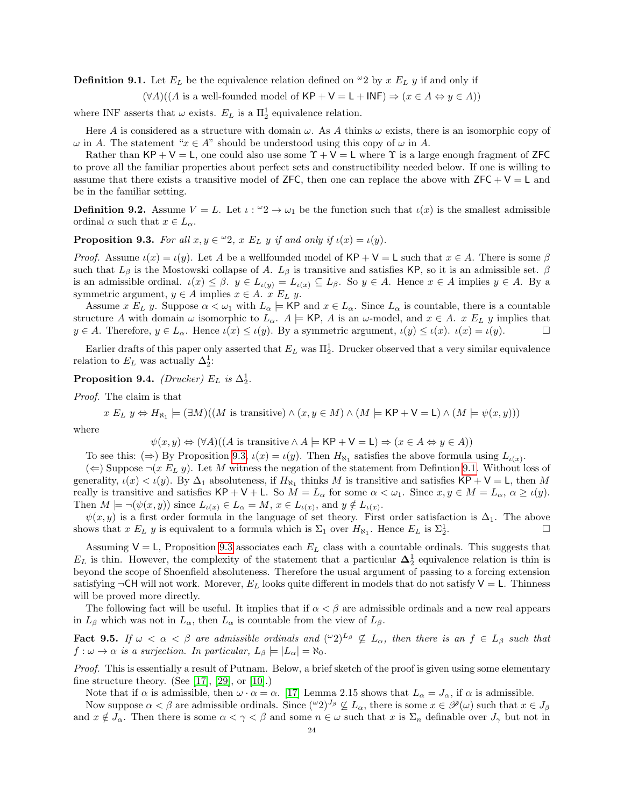<span id="page-23-1"></span>**Definition 9.1.** Let  $E_L$  be the equivalence relation defined on  $\omega_2$  by x  $E_L$  y if and only if

 $(\forall A)((A \text{ is a well-tounded model of KP} + V = L + INF) \Rightarrow (x \in A \Leftrightarrow y \in A))$ 

where INF asserts that  $\omega$  exists.  $E_L$  is a  $\Pi_2^1$  equivalence relation.

Here A is considered as a structure with domain  $\omega$ . As A thinks  $\omega$  exists, there is an isomorphic copy of  $\omega$  in A. The statement " $x \in A$ " should be understood using this copy of  $\omega$  in A.

Rather than  $KP + V = L$ , one could also use some  $\Upsilon + V = L$  where  $\Upsilon$  is a large enough fragment of ZFC to prove all the familiar properties about perfect sets and constructibility needed below. If one is willing to assume that there exists a transitive model of ZFC, then one can replace the above with  $ZFC + V = L$  and be in the familiar setting.

**Definition 9.2.** Assume  $V = L$ . Let  $\iota : \omega_2 \to \omega_1$  be the function such that  $\iota(x)$  is the smallest admissible ordinal  $\alpha$  such that  $x \in L_{\alpha}$ .

<span id="page-23-0"></span>**Proposition 9.3.** For all  $x, y \in \mathcal{L}2$ ,  $x E_L y$  if and only if  $\iota(x) = \iota(y)$ .

*Proof.* Assume  $\iota(x) = \iota(y)$ . Let A be a wellfounded model of KP + V = L such that  $x \in A$ . There is some  $\beta$ such that  $L_\beta$  is the Mostowski collapse of A.  $L_\beta$  is transitive and satisfies KP, so it is an admissible set.  $\beta$ is an admissible ordinal.  $\iota(x) \leq \beta$ .  $y \in L_{\iota(y)} = L_{\iota(x)} \subseteq L_{\beta}$ . So  $y \in A$ . Hence  $x \in A$  implies  $y \in A$ . By a symmetric argument,  $y \in A$  implies  $x \in A$ .  $x E_L y$ .

Assume x  $E_L$  y. Suppose  $\alpha < \omega_1$  with  $L_\alpha \models \mathsf{KP}$  and  $x \in L_\alpha$ . Since  $L_\alpha$  is countable, there is a countable structure A with domain  $\omega$  isomorphic to  $L_{\alpha}$ .  $A \models$  KP, A is an  $\omega$ -model, and  $x \in A$ .  $x E_L y$  implies that  $y \in A$ . Therefore,  $y \in L_{\alpha}$ . Hence  $\iota(x) \leq \iota(y)$ . By a symmetric argument,  $\iota(y) \leq \iota(x)$ .  $\iota(x) = \iota(y)$ .

Earlier drafts of this paper only asserted that  $E_L$  was  $\Pi_2^1$ . Drucker observed that a very similar equivalence relation to  $E_L$  was actually  $\Delta_2^1$ :

Proposition 9.4. (Drucker)  $E_L$  is  $\Delta_2^1$ .

Proof. The claim is that

 $x E_L y \Leftrightarrow H_{\aleph_1} \models (\exists M)((M \text{ is transitive}) \land (x, y \in M) \land (M \models \mathsf{KP} + \mathsf{V} = \mathsf{L}) \land (M \models \psi(x, y)))$ 

where

$$
\psi(x, y) \Leftrightarrow (\forall A)((A \text{ is transitive} \land A \models \mathsf{KP} + \mathsf{V} = \mathsf{L}) \Rightarrow (x \in A \Leftrightarrow y \in A))
$$

To see this:  $(\Rightarrow)$  By Proposition [9.3,](#page-23-0)  $\iota(x) = \iota(y)$ . Then  $H_{\aleph_1}$  satisfies the above formula using  $L_{\iota(x)}$ .

 $(\Leftarrow)$  Suppose  $\neg(x E_L y)$ . Let M witness the negation of the statement from Definition [9.1.](#page-23-1) Without loss of generality,  $\iota(x) < \iota(y)$ . By  $\Delta_1$  absoluteness, if  $H_{\aleph_1}$  thinks M is transitive and satisfies  $\mathsf{KP}+\mathsf{V}=\mathsf{L}$ , then M really is transitive and satisfies  $\mathsf{KP}+\mathsf{V}+\mathsf{L}$ . So  $M=L_\alpha$  for some  $\alpha<\omega_1$ . Since  $x, y\in M=L_\alpha, \alpha\geq\iota(y)$ . Then  $M \models \neg(\psi(x, y))$  since  $L_{\iota(x)} \in L_{\alpha} = M$ ,  $x \in L_{\iota(x)}$ , and  $y \notin L_{\iota(x)}$ .

 $\psi(x, y)$  is a first order formula in the language of set theory. First order satisfaction is  $\Delta_1$ . The above shows that x  $E_L$  y is equivalent to a formula which is  $\Sigma_1$  over  $H_{\aleph_1}$ . Hence  $E_L$  is  $\Sigma_2^1$ .

Assuming  $V = L$ , Proposition [9.3](#page-23-0) associates each  $E<sub>L</sub>$  class with a countable ordinals. This suggests that  $E_L$  is thin. However, the complexity of the statement that a particular  $\Delta_2^1$  equivalence relation is thin is beyond the scope of Shoenfield absoluteness. Therefore the usual argument of passing to a forcing extension satisfying  $\neg$ CH will not work. Morever,  $E_L$  looks quite different in models that do not satisfy  $V = L$ . Thinness will be proved more directly.

The following fact will be useful. It implies that if  $\alpha < \beta$  are admissible ordinals and a new real appears in  $L_\beta$  which was not in  $L_\alpha$ , then  $L_\alpha$  is countable from the view of  $L_\beta$ .

<span id="page-23-2"></span>**Fact 9.5.** If  $\omega < \alpha < \beta$  are admissible ordinals and  $({}^{\omega}2)^{L_{\beta}} \nsubseteq L_{\alpha}$ , then there is an  $f \in L_{\beta}$  such that  $f: \omega \to \alpha$  is a surjection. In particular,  $L_{\beta} \models |L_{\alpha}| = \aleph_0$ .

Proof. This is essentially a result of Putnam. Below, a brief sketch of the proof is given using some elementary fine structure theory. (See [\[17\]](#page-28-20), [\[29\]](#page-28-21), or [\[10\]](#page-28-22).)

Note that if  $\alpha$  is admissible, then  $\omega \cdot \alpha = \alpha$ . [\[17\]](#page-28-20) Lemma 2.15 shows that  $L_{\alpha} = J_{\alpha}$ , if  $\alpha$  is admissible.

Now suppose  $\alpha < \beta$  are admissible ordinals. Since  $({}^{\omega}2)^{J_{\beta}} \nsubseteq L_{\alpha}$ , there is some  $x \in \mathscr{P}(\omega)$  such that  $x \in J_{\beta}$ and  $x \notin J_\alpha$ . Then there is some  $\alpha < \gamma < \beta$  and some  $n \in \omega$  such that x is  $\Sigma_n$  definable over  $J_\gamma$  but not in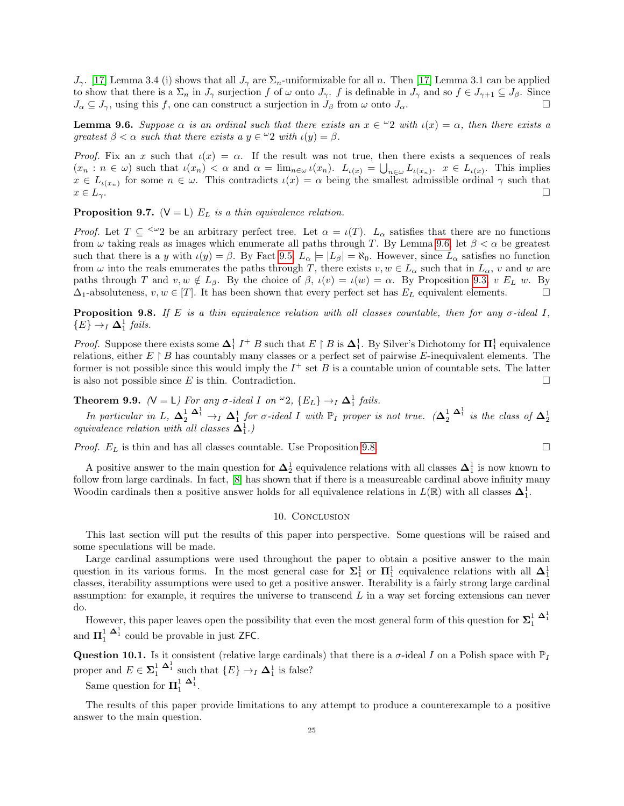$J_{\gamma}$ . [\[17\]](#page-28-20) Lemma 3.4 (i) shows that all  $J_{\gamma}$  are  $\Sigma_n$ -uniformizable for all n. Then [17] Lemma 3.1 can be applied to show that there is a  $\Sigma_n$  in  $J_\gamma$  surjection f of  $\omega$  onto  $J_\gamma$ . f is definable in  $J_\gamma$  and so  $f \in J_{\gamma+1} \subseteq J_\beta$ . Since  $J_{\alpha} \subseteq J_{\gamma}$ , using this f, one can construct a surjection in  $J_{\beta}$  from  $\omega$  onto  $J_{\alpha}$ .

<span id="page-24-2"></span>**Lemma 9.6.** Suppose  $\alpha$  is an ordinal such that there exists an  $x \in \mathcal{L}$  with  $\iota(x) = \alpha$ , then there exists a greatest  $\beta < \alpha$  such that there exists a  $y \in \mathcal{Q}$  with  $\iota(y) = \beta$ .

Proof. Fix an x such that  $\iota(x) = \alpha$ . If the result was not true, then there exists a sequences of reals  $(x_n : n \in \omega)$  such that  $\iota(x_n) < \alpha$  and  $\alpha = \lim_{n \in \omega} \iota(x_n)$ .  $L_{\iota(x)} = \bigcup_{n \in \omega} L_{\iota(x_n)}$ .  $x \in L_{\iota(x)}$ . This implies  $x \in L_{\iota(x_n)}$  for some  $n \in \omega$ . This contradicts  $\iota(x) = \alpha$  being the smallest admissible ordinal  $\gamma$  such that  $x \in L_{\gamma}$ .

**Proposition 9.7.** ( $V = L$ )  $E_L$  is a thin equivalence relation.

Proof. Let  $T \subseteq \langle \omega_2 \rangle$  be an arbitrary perfect tree. Let  $\alpha = \iota(T)$ .  $L_\alpha$  satisfies that there are no functions from  $\omega$  taking reals as images which enumerate all paths through T. By Lemma [9.6,](#page-24-2) let  $\beta < \alpha$  be greatest such that there is a y with  $\iota(y) = \beta$ . By Fact [9.5,](#page-23-2)  $L_{\alpha} \models |L_{\beta}| = \aleph_0$ . However, since  $L_{\alpha}$  satisfies no function from  $\omega$  into the reals enumerates the paths through T, there exists  $v, w \in L_{\alpha}$  such that in  $L_{\alpha}$ , v and w are paths through T and  $v, w \notin L_\beta$ . By the choice of  $\beta$ ,  $\iota(v) = \iota(w) = \alpha$ . By Proposition [9.3,](#page-23-0) v  $E_L$  w. By  $\Delta_1$ -absoluteness,  $v, w \in [T]$ . It has been shown that every perfect set has  $E_L$  equivalent elements.

<span id="page-24-3"></span>**Proposition 9.8.** If E is a thin equivalence relation with all classes countable, then for any  $\sigma$ -ideal I,  ${E} \rightarrow I \Delta_1^1$  fails.

*Proof.* Suppose there exists some  $\Delta_1^1$   $I^+$  B such that  $E \upharpoonright B$  is  $\Delta_1^1$ . By Silver's Dichotomy for  $\Pi_1^1$  equivalence relations, either  $E \upharpoonright B$  has countably many classes or a perfect set of pairwise E-inequivalent elements. The former is not possible since this would imply the  $I^+$  set B is a countable union of countable sets. The latter is also not possible since E is thin. Contradiction.

<span id="page-24-0"></span>**Theorem 9.9.** ( $V = L$ ) For any  $\sigma$ -ideal I on  $\omega_2$ ,  $\{E_L\} \rightarrow_I \Delta_1^1$  fails.

In particular in L,  $\Delta_2^1 \stackrel{\Delta_1^1}{\rightarrow}_I \Delta_1^1$  for  $\sigma$ -ideal I with  $\mathbb{P}_I$  proper is not true.  $(\Delta_2^1 \stackrel{\Delta_1^1}{\rightarrow}_I$  is the class of  $\Delta_2^1$  equivalence relation with all classes  $\Delta_1^1$ .)

*Proof.*  $E_L$  is thin and has all classes countable. Use Proposition [9.8.](#page-24-3)

A positive answer to the main question for  $\Delta_2^1$  equivalence relations with all classes  $\Delta_1^1$  is now known to follow from large cardinals. In fact, [\[8\]](#page-27-1) has shown that if there is a measureable cardinal above infinity many Woodin cardinals then a positive answer holds for all equivalence relations in  $L(\mathbb{R})$  with all classes  $\Delta_1^1$ .

#### 10. CONCLUSION

<span id="page-24-1"></span>This last section will put the results of this paper into perspective. Some questions will be raised and some speculations will be made.

Large cardinal assumptions were used throughout the paper to obtain a positive answer to the main question in its various forms. In the most general case for  $\Sigma_1^1$  or  $\Pi_1^1$  equivalence relations with all  $\Delta_1^1$ classes, iterability assumptions were used to get a positive answer. Iterability is a fairly strong large cardinal assumption: for example, it requires the universe to transcend  $L$  in a way set forcing extensions can never do.

However, this paper leaves open the possibility that even the most general form of this question for  $\Sigma_1^1$   $\Delta_1^1$ and  $\mathbf{\Pi}_{1}^{1}$   $\mathbf{\Delta}_{1}^{1}$  could be provable in just ZFC.

**Question 10.1.** Is it consistent (relative large cardinals) that there is a  $\sigma$ -ideal I on a Polish space with  $\mathbb{P}_I$ proper and  $E \in \Sigma_1^1 \stackrel{\Delta_1^1}{\longrightarrow}$  such that  $\{E\} \to_I \Delta_1^1$  is false?

Same question for  $\Pi_1^1 \stackrel{\Delta_1^1}{\longrightarrow}$ .

The results of this paper provide limitations to any attempt to produce a counterexample to a positive answer to the main question.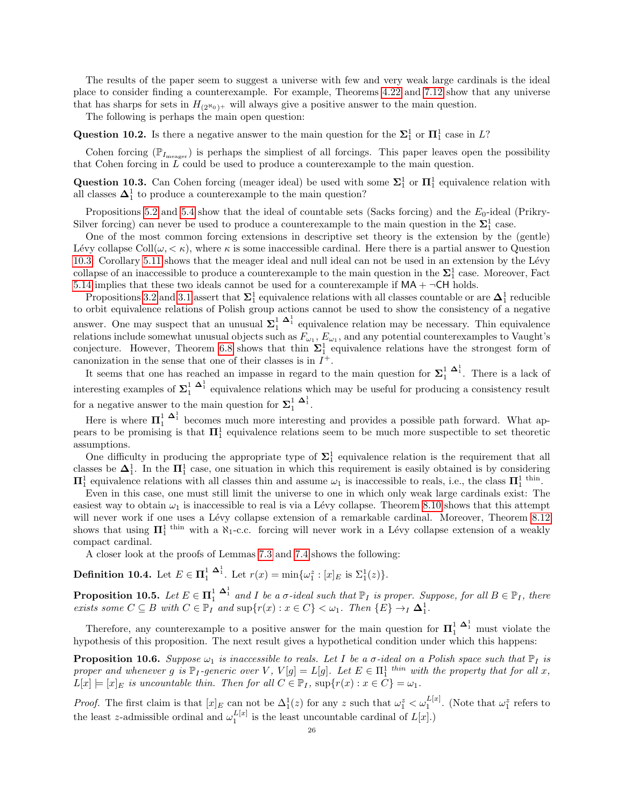The results of the paper seem to suggest a universe with few and very weak large cardinals is the ideal place to consider finding a counterexample. For example, Theorems [4.22](#page-13-0) and [7.12](#page-19-0) show that any universe that has sharps for sets in  $H_{(2^N0)^+}$  will always give a positive answer to the main question.

The following is perhaps the main open question:

Question 10.2. Is there a negative answer to the main question for the  $\Sigma_1^1$  or  $\Pi_1^1$  case in L?

Cohen forcing  $(\mathbb{P}_{I_{\text{meager}}})$  is perhaps the simpliest of all forcings. This paper leaves open the possibility that Cohen forcing in  $L$  could be used to produce a counterexample to the main question.

<span id="page-25-1"></span>Question 10.3. Can Cohen forcing (meager ideal) be used with some  $\Sigma_1^1$  or  $\Pi_1^1$  equivalence relation with all classes  $\mathbf{\Delta}^1_1$  to produce a counterexample to the main question?

Propositions [5.2](#page-14-3) and [5.4](#page-14-4) show that the ideal of countable sets (Sacks forcing) and the  $E_0$ -ideal (Prikry-Silver forcing) can never be used to produce a counterexample to the main question in the  $\Sigma_1^1$  case.

One of the most common forcing extensions in descriptive set theory is the extension by the (gentle) Lévy collapse Coll $(\omega, \langle \kappa \rangle)$ , where  $\kappa$  is some inaccessible cardinal. Here there is a partial answer to Question [10.3:](#page-25-1) Corollary [5.11](#page-15-1) shows that the meager ideal and null ideal can not be used in an extension by the Lévy collapse of an inaccessible to produce a counterexample to the main question in the  $\Sigma_1^1$  case. Moreover, Fact [5.14](#page-16-4) implies that these two ideals cannot be used for a counterexample if  $MA + \neg CH$  holds.

Propositions [3.2](#page-4-2) and [3.1](#page-4-1) assert that  $\Sigma^1_1$  equivalence relations with all classes countable or are  $\Delta^1_1$  reducible to orbit equivalence relations of Polish group actions cannot be used to show the consistency of a negative answer. One may suspect that an unusual  $\Sigma_1^1$   $\Delta_1^1$  equivalence relation may be necessary. Thin equivalence relations include somewhat unusual objects such as  $F_{\omega_1}$ ,  $E_{\omega_1}$ , and any potential counterexamples to Vaught's conjecture. However, Theorem [6.8](#page-17-0) shows that thin  $\Sigma_1^1$  equivalence relations have the strongest form of canonization in the sense that one of their classes is in  $I^+$ .

It seems that one has reached an impasse in regard to the main question for  $\Sigma_1^1$   $\Delta_1^1$ . There is a lack of interesting examples of  $\Sigma_1^1$   $\Delta_1^1$  equivalence relations which may be useful for producing a consistency result for a negative answer to the main question for  $\Sigma_1^1$   $\Delta_1^1$ .

Here is where  $\mathbf{\Pi}_{1}^{1}$   $\mathbf{\Delta}_{1}^{1}$  becomes much more interesting and provides a possible path forward. What appears to be promising is that  $\Pi_1^1$  equivalence relations seem to be much more suspectible to set theoretic assumptions.

One difficulty in producing the appropriate type of  $\Sigma_1^1$  equivalence relation is the requirement that all classes be  $\Delta_1^1$ . In the  $\Pi_1^1$  case, one situation in which this requirement is easily obtained is by considering  $\Pi_1^1$  equivalence relations with all classes thin and assume  $\omega_1$  is inaccessible to reals, i.e., the class  $\Pi_1^1$  <sup>thin</sup>.

Even in this case, one must still limit the universe to one in which only weak large cardinals exist: The easiest way to obtain  $\omega_1$  is inaccessible to real is via a Lévy collapse. Theorem [8.10](#page-22-0) shows that this attempt will never work if one uses a Lévy collapse extension of a remarkable cardinal. Moreover, Theorem [8.12](#page-22-3) shows that using  $\Pi_1^1$ <sup>thin</sup> with a  $\aleph_1$ -c.c. forcing will never work in a Lévy collapse extension of a weakly compact cardinal.

A closer look at the proofs of Lemmas [7.3](#page-18-2) and [7.4](#page-18-3) shows the following:

**Definition 10.4.** Let  $E \in \Pi_1^1$   $\Delta_1^1$ . Let  $r(x) = \min{\{\omega_1^z : [x]_E \text{ is } \Sigma_1^1(z)\}}$ .

**Proposition 10.5.** Let  $E \in \Pi_1^1$   $\Delta_1^1$  and I be a  $\sigma$ -ideal such that  $\mathbb{P}_I$  is proper. Suppose, for all  $B \in \mathbb{P}_I$ , there exists some  $C \subseteq B$  with  $C \in \mathbb{P}_I$  and  $\sup\{r(x) : x \in C\} < \omega_1$ . Then  $\{E\} \to_I \Delta^1$ .

Therefore, any counterexample to a positive answer for the main question for  $\Pi_1^1$   $\Delta_1^1$  must violate the hypothesis of this proposition. The next result gives a hypothetical condition under which this happens:

<span id="page-25-0"></span>**Proposition 10.6.** Suppose  $\omega_1$  is inaccessible to reals. Let I be a  $\sigma$ -ideal on a Polish space such that  $\mathbb{P}_I$  is proper and whenever g is  $\mathbb{P}_I$ -generic over V,  $V[g] = L[g]$ . Let  $E \in \Pi_1^1$  thin with the property that for all x,  $L[x] \models [x]_E$  is uncountable thin. Then for all  $C \in \mathbb{P}_I$ ,  $\sup\{r(x) : x \in C\} = \omega_1$ .

*Proof.* The first claim is that  $[x]_E$  can not be  $\Delta_1^1(z)$  for any z such that  $\omega_1^z < \omega_1^{L[x]}$ . (Note that  $\omega_1^z$  refers to the least z-admissible ordinal and  $\omega_1^{L[x]}$  is the least uncountable cardinal of  $L[x]$ .)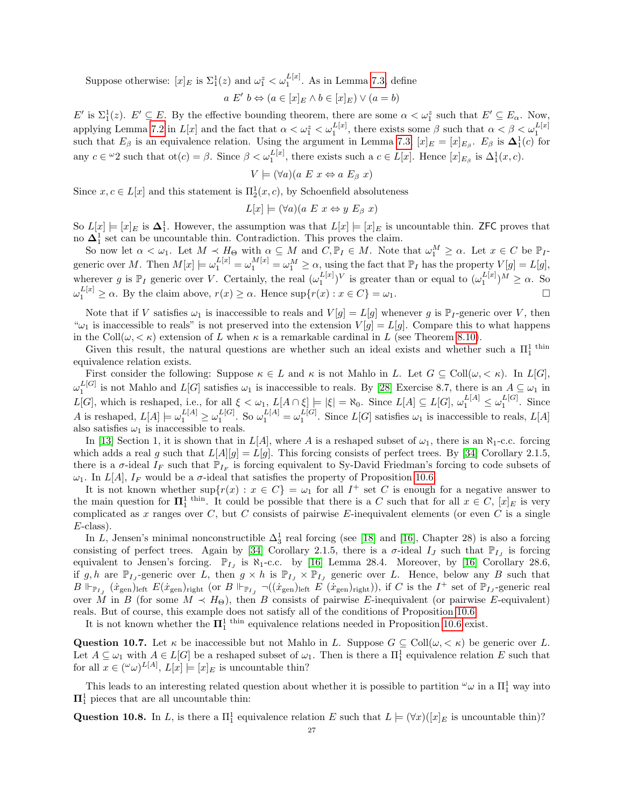Suppose otherwise:  $[x]_E$  is  $\Sigma_1^1(z)$  and  $\omega_1^z < \omega_1^{L[x]}$ . As in Lemma [7.3,](#page-18-2) define

$$
a E' b \Leftrightarrow (a \in [x]_E \land b \in [x]_E) \lor (a = b)
$$

 $E'$  is  $\Sigma_1^1(z)$ .  $E' \subseteq E$ . By the effective bounding theorem, there are some  $\alpha < \omega_1^z$  such that  $E' \subseteq E_\alpha$ . Now, applying Lemma [7.2](#page-18-1) in  $L[x]$  and the fact that  $\alpha < \omega_1^z < \omega_1^{L[x]}$ , there exists some  $\beta$  such that  $\alpha < \beta < \omega_1^{L[x]}$ <br>such that  $E_\beta$  is an equivalence relation. Using the argument in Lemma [7.3,](#page-18-2)  $[x]_E = [x]_{E_\beta}$ .  $E_\beta$  is any  $c \in \omega_2$  such that  $\text{ot}(c) = \beta$ . Since  $\beta < \omega_1^{L[x]}$ , there exists such a  $c \in L[x]$ . Hence  $[x]_{E_\beta}$  is  $\Delta_1^1(x, c)$ .

$$
V \models (\forall a)(a \ E \ x \Leftrightarrow a \ E_{\beta} \ x)
$$

Since  $x, c \in L[x]$  and this statement is  $\Pi_2^1(x, c)$ , by Schoenfield absoluteness

$$
L[x] \models (\forall a)(a \ E \ x \Leftrightarrow y \ E_{\beta} \ x)
$$

So  $L[x] \models [x]_E$  is  $\Delta_1^1$ . However, the assumption was that  $L[x] \models [x]_E$  is uncountable thin. ZFC proves that no  $\mathbf{\Delta}^1_1$  set can be uncountable thin. Contradiction. This proves the claim.

So now let  $\alpha < \omega_1$ . Let  $M \prec H_{\Theta}$  with  $\alpha \subseteq M$  and  $C, \mathbb{P}_I \in M$ . Note that  $\omega_1^M \geq \alpha$ . Let  $x \in C$  be  $\mathbb{P}_I$ generic over M. Then  $M[x] \models \omega_1^{L[x]} = \omega_1^{M[x]} = \omega_1^M \ge \alpha$ , using the fact that  $\mathbb{P}_I$  has the property  $V[g] = L[g]$ , wherever g is  $\mathbb{P}_I$  generic over V. Certainly, the real  $(\omega_1^{L[x]})^V$  is greater than or equal to  $(\omega_1^{L[x]})^M \geq \alpha$ . So  $\omega_1^{L[x]} \ge \alpha$ . By the claim above,  $r(x) \ge \alpha$ . Hence  $\sup\{r(x) : x \in C\} = \omega_1$ .

Note that if V satisfies  $\omega_1$  is inaccessible to reals and  $V[g] = L[g]$  whenever g is  $\mathbb{P}_I$ -generic over V, then " $\omega_1$  is inaccessible to reals" is not preserved into the extension  $V[g] = L[g]$ . Compare this to what happens in the Coll $(\omega, < \kappa)$  extension of L when  $\kappa$  is a remarkable cardinal in L (see Theorem [8.10\)](#page-22-0).

Given this result, the natural questions are whether such an ideal exists and whether such a  $\Pi_1^1$ <sup>thin</sup> equivalence relation exists.

First consider the following: Suppose  $\kappa \in L$  and  $\kappa$  is not Mahlo in L. Let  $G \subseteq \text{Coll}(\omega, \langle \kappa \rangle)$ . In  $L[G],$  $\omega_1^{L[G]}$  is not Mahlo and  $L[G]$  satisfies  $\omega_1$  is inaccessible to reals. By [\[28\]](#page-28-8) Exercise 8.7, there is an  $A \subseteq \omega_1$  in  $L[G]$ , which is reshaped, i.e., for all  $\xi < \omega_1$ ,  $L[A \cap \xi] \models |\xi| = \aleph_0$ . Since  $L[A] \subseteq L[G]$ ,  $\omega_1^{L[A]} \leq \omega_1^{L[G]}$ . Since A is reshaped,  $L[A] \models \omega_1^{L[A]} \geq \omega_1^{L[G]}$ . So  $\omega_1^{L[A]} = \omega_1^{L[G]}$ . Since  $L[G]$  satisfies  $\omega_1$  is inaccessible to reals,  $L[A]$ also satisfies  $\omega_1$  is inaccessible to reals.

In [\[13\]](#page-28-23) Section 1, it is shown that in  $L[A]$ , where A is a reshaped subset of  $\omega_1$ , there is an  $\aleph_1$ -c.c. forcing which adds a real g such that  $L[A][g] = L[g]$ . This forcing consists of perfect trees. By [\[34\]](#page-28-0) Corollary 2.1.5, there is a  $\sigma$ -ideal  $I_F$  such that  $\mathbb{P}_{I_F}$  is forcing equivalent to Sy-David Friedman's forcing to code subsets of  $\omega_1$ . In  $L[A], I_F$  would be a  $\sigma$ -ideal that satisfies the property of Proposition [10.6.](#page-25-0)

It is not known whether  $\sup\{r(x): x \in C\} = \omega_1$  for all  $I^+$  set C is enough for a negative answer to the main question for  $\Pi_1^1$ <sup>thin</sup>. It could be possible that there is a C such that for all  $x \in C$ ,  $[x]_E$  is very complicated as  $x$  ranges over  $C$ , but  $C$  consists of pairwise  $E$ -inequivalent elements (or even  $C$  is a single  $E$ -class).

In L, Jensen's minimal nonconstructible  $\Delta_3^1$  real forcing (see [\[18\]](#page-28-24) and [\[16\]](#page-28-17), Chapter 28) is also a forcing consisting of perfect trees. Again by [\[34\]](#page-28-0) Corollary 2.1.5, there is a  $\sigma$ -ideal  $I_J$  such that  $\mathbb{P}_{I_J}$  is forcing equivalent to Jensen's forcing.  $\mathbb{P}_{I_J}$  is  $\aleph_1$ -c.c. by [\[16\]](#page-28-17) Lemma 28.4. Moreover, by [16] Corollary 28.6, if g, h are  $\mathbb{P}_{I_J}$ -generic over L, then  $g \times h$  is  $\mathbb{P}_{I_J} \times \mathbb{P}_{I_J}$  generic over L. Hence, below any B such that  $B \Vdash_{\mathbb{P}_{I_J}} (x_{\text{gen}})_{\text{left}}$  (or  $B \Vdash_{\mathbb{P}_{I_J}} \neg((x_{\text{gen}})_{\text{left}} E (x_{\text{gen}})_{\text{right}})$ ), if C is the  $I^+$  set of  $\mathbb{P}_{I_J}$ -generic real over M in B (for some  $M \prec H_{\Theta}$ ), then B consists of pairwise E-inequivalent (or pairwise E-equivalent) reals. But of course, this example does not satisfy all of the conditions of Proposition [10.6.](#page-25-0)

It is not known whether the  $\Pi_1^1$ <sup>thin</sup> equivalence relations needed in Proposition [10.6](#page-25-0) exist.

<span id="page-26-1"></span>**Question 10.7.** Let  $\kappa$  be inaccessible but not Mahlo in L. Suppose  $G \subseteq \text{Coll}(\omega, \langle \kappa \rangle)$  be generic over L. Let  $A \subseteq \omega_1$  with  $A \in L[G]$  be a reshaped subset of  $\omega_1$ . Then is there a  $\Pi_1^1$  equivalence relation E such that for all  $x \in (\omega \omega)^{L[A]}, L[x] \models [x]_E$  is uncountable thin?

This leads to an interesting related question about whether it is possible to partition  $\omega_{\omega}$  in a  $\Pi_1^1$  way into  $\Pi^1_1$  pieces that are all uncountable thin:

<span id="page-26-0"></span>Question 10.8. In L, is there a  $\Pi_1^1$  equivalence relation E such that  $L \models (\forall x)([x]_E$  is uncountable thin)?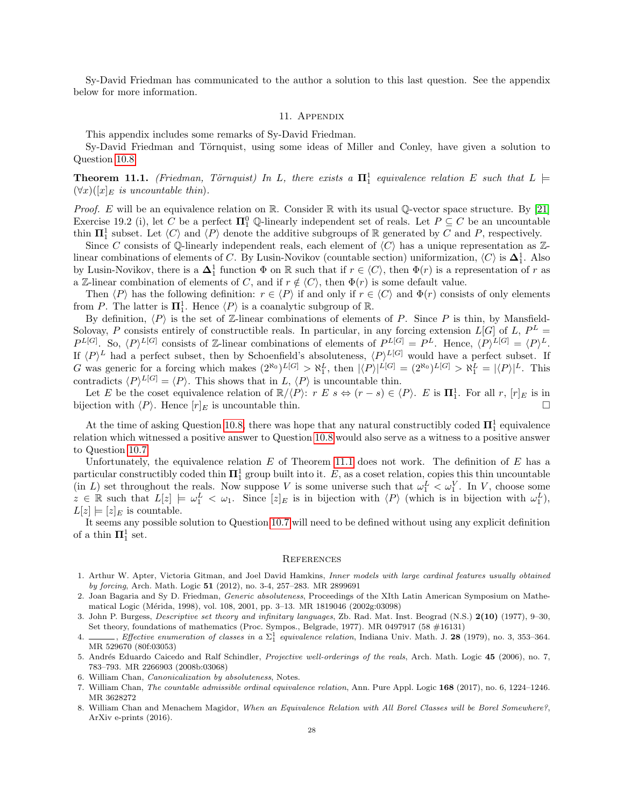Sy-David Friedman has communicated to the author a solution to this last question. See the appendix below for more information.

### 11. Appendix

This appendix includes some remarks of Sy-David Friedman.

Sy-David Friedman and Törnquist, using some ideas of Miller and Conley, have given a solution to Question [10.8.](#page-26-0)

<span id="page-27-8"></span>**Theorem 11.1.** (Friedman, Törnquist) In L, there exists a  $\mathbf{\Pi}^1_1$  equivalence relation E such that  $L \models$  $(\forall x)(x|_E)$  is uncountable thin.

*Proof.* E will be an equivalence relation on R. Consider R with its usual Q-vector space structure. By [\[21\]](#page-28-25) Exercise 19.2 (i), let C be a perfect  $\Pi_1^0$  Q-linearly independent set of reals. Let  $P \subseteq C$  be an uncountable thin  $\Pi_1^1$  subset. Let  $\langle C \rangle$  and  $\langle P \rangle$  denote the additive subgroups of R generated by C and P, respectively.

Since C consists of Q-linearly independent reals, each element of  $\langle C \rangle$  has a unique representation as Zlinear combinations of elements of C. By Lusin-Novikov (countable section) uniformization,  $\langle C \rangle$  is  $\Delta_1^1$ . Also by Lusin-Novikov, there is a  $\Delta_1^1$  function  $\Phi$  on R such that if  $r \in \langle C \rangle$ , then  $\Phi(r)$  is a representation of r as a Z-linear combination of elements of C, and if  $r \notin \langle C \rangle$ , then  $\Phi(r)$  is some default value.

Then  $\langle P \rangle$  has the following definition:  $r \in \langle P \rangle$  if and only if  $r \in \langle C \rangle$  and  $\Phi(r)$  consists of only elements from P. The latter is  $\Pi_1^1$ . Hence  $\langle P \rangle$  is a coanalytic subgroup of R.

By definition,  $\langle P \rangle$  is the set of Z-linear combinations of elements of P. Since P is thin, by Mansfield-Solovay, P consists entirely of constructible reals. In particular, in any forcing extension  $L[G]$  of L,  $P^L =$  $P^{L[G]}$ . So,  $\langle P \rangle^{L[G]}$  consists of Z-linear combinations of elements of  $P^{L[G]} = P^L$ . Hence,  $\langle P \rangle^{L[G]} = \langle P \rangle^L$ . If  $\langle P \rangle^L$  had a perfect subset, then by Schoenfield's absoluteness,  $\langle P \rangle^{L[G]}$  would have a perfect subset. If G was generic for a forcing which makes  $(2^{\aleph_0})^{L[G]} > \aleph_1^L$ , then  $|\langle P \rangle|^{L[G]} = (2^{\aleph_0})^{L[G]} > \aleph_1^L = |\langle P \rangle|^L$ . This contradicts  $\langle P \rangle^{L[G]} = \langle P \rangle$ . This shows that in L,  $\langle P \rangle$  is uncountable thin.

Let E be the coset equivalence relation of  $\mathbb{R}/\langle P \rangle$ :  $r \to s \Leftrightarrow (r-s) \in \langle P \rangle$ . E is  $\Pi_1^1$ . For all  $r$ ,  $[r]_E$  is in bijection with  $\langle P \rangle$ . Hence  $[r]_E$  is uncountable thin.

At the time of asking Question [10.8,](#page-26-0) there was hope that any natural constructibly coded  $\mathbf{\Pi}^1_1$  equivalence relation which witnessed a positive answer to Question [10.8](#page-26-0) would also serve as a witness to a positive answer to Question [10.7.](#page-26-1)

Unfortunately, the equivalence relation  $E$  of Theorem [11.1](#page-27-8) does not work. The definition of  $E$  has a particular constructibly coded thin  $\mathbf{\Pi}^1_1$  group built into it. E, as a coset relation, copies this thin uncountable (in L) set throughout the reals. Now suppose V is some universe such that  $\omega_1^L < \omega_1^V$ . In V, choose some  $z \in \mathbb{R}$  such that  $L[z] \models \omega_1^L < \omega_1$ . Since  $[z]_E$  is in bijection with  $\langle P \rangle$  (which is in bijection with  $\omega_1^L$ ),  $L[z] \models [z]_E$  is countable.

It seems any possible solution to Question [10.7](#page-26-1) will need to be defined without using any explicit definition of a thin  $\mathbf{\Pi}^1_1$  set.

#### **REFERENCES**

- <span id="page-27-5"></span>1. Arthur W. Apter, Victoria Gitman, and Joel David Hamkins, Inner models with large cardinal features usually obtained by forcing, Arch. Math. Logic 51 (2012), no. 3-4, 257–283. MR 2899691
- <span id="page-27-4"></span>2. Joan Bagaria and Sy D. Friedman, Generic absoluteness, Proceedings of the XIth Latin American Symposium on Mathematical Logic (M´erida, 1998), vol. 108, 2001, pp. 3–13. MR 1819046 (2002g:03098)
- <span id="page-27-3"></span>3. John P. Burgess, Descriptive set theory and infinitary languages, Zb. Rad. Mat. Inst. Beograd (N.S.) 2(10) (1977), 9–30, Set theory, foundations of mathematics (Proc. Sympos., Belgrade, 1977). MR 0497917 (58 #16131)
- <span id="page-27-7"></span>4. \_\_\_\_, Effective enumeration of classes in a  $\Sigma_1^1$  equivalence relation, Indiana Univ. Math. J. 28 (1979), no. 3, 353–364. MR 529670 (80f:03053)
- <span id="page-27-6"></span>5. Andrés Eduardo Caicedo and Ralf Schindler, Projective well-orderings of the reals, Arch. Math. Logic 45 (2006), no. 7, 783–793. MR 2266903 (2008b:03068)
- <span id="page-27-0"></span>6. William Chan, Canonicalization by absoluteness, Notes.
- <span id="page-27-2"></span>7. William Chan, The countable admissible ordinal equivalence relation, Ann. Pure Appl. Logic 168 (2017), no. 6, 1224–1246. MR 3628272
- <span id="page-27-1"></span>8. William Chan and Menachem Magidor, When an Equivalence Relation with All Borel Classes will be Borel Somewhere?, ArXiv e-prints (2016).